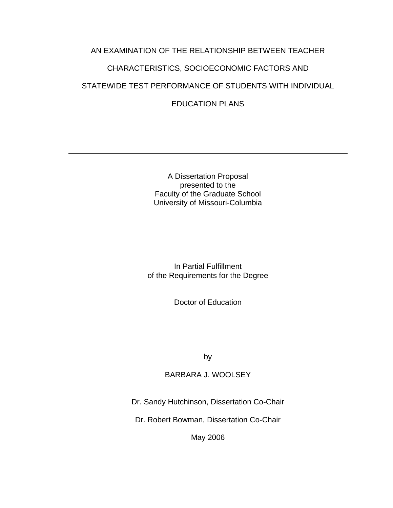# AN EXAMINATION OF THE RELATIONSHIP BETWEEN TEACHER CHARACTERISTICS, SOCIOECONOMIC FACTORS AND STATEWIDE TEST PERFORMANCE OF STUDENTS WITH INDIVIDUAL EDUCATION PLANS

A Dissertation Proposal presented to the Faculty of the Graduate School University of Missouri-Columbia

In Partial Fulfillment of the Requirements for the Degree

Doctor of Education

by

BARBARA J. WOOLSEY

Dr. Sandy Hutchinson, Dissertation Co-Chair

Dr. Robert Bowman, Dissertation Co-Chair

May 2006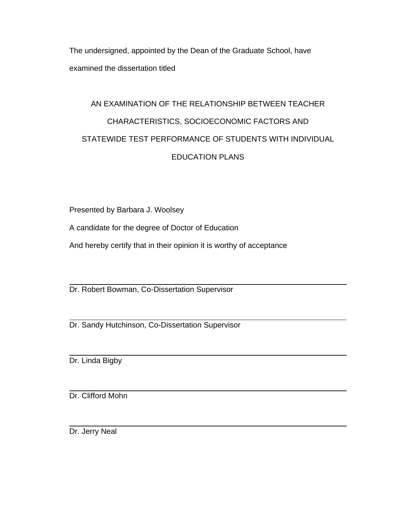The undersigned, appointed by the Dean of the Graduate School, have examined the dissertation titled

# AN EXAMINATION OF THE RELATIONSHIP BETWEEN TEACHER CHARACTERISTICS, SOCIOECONOMIC FACTORS AND STATEWIDE TEST PERFORMANCE OF STUDENTS WITH INDIVIDUAL EDUCATION PLANS

Presented by Barbara J. Woolsey

A candidate for the degree of Doctor of Education

And hereby certify that in their opinion it is worthy of acceptance

Dr. Robert Bowman, Co-Dissertation Supervisor

Dr. Sandy Hutchinson, Co-Dissertation Supervisor

Dr. Linda Bigby

Dr. Clifford Mohn

Dr. Jerry Neal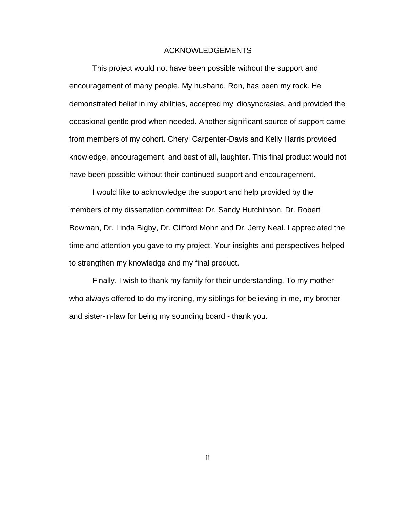### ACKNOWLEDGEMENTS

This project would not have been possible without the support and encouragement of many people. My husband, Ron, has been my rock. He demonstrated belief in my abilities, accepted my idiosyncrasies, and provided the occasional gentle prod when needed. Another significant source of support came from members of my cohort. Cheryl Carpenter-Davis and Kelly Harris provided knowledge, encouragement, and best of all, laughter. This final product would not have been possible without their continued support and encouragement.

I would like to acknowledge the support and help provided by the members of my dissertation committee: Dr. Sandy Hutchinson, Dr. Robert Bowman, Dr. Linda Bigby, Dr. Clifford Mohn and Dr. Jerry Neal. I appreciated the time and attention you gave to my project. Your insights and perspectives helped to strengthen my knowledge and my final product.

Finally, I wish to thank my family for their understanding. To my mother who always offered to do my ironing, my siblings for believing in me, my brother and sister-in-law for being my sounding board - thank you.

ii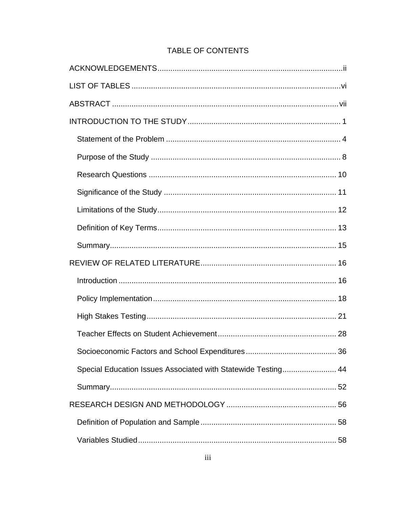# TABLE OF CONTENTS

| Special Education Issues Associated with Statewide Testing 44 |  |
|---------------------------------------------------------------|--|
|                                                               |  |
|                                                               |  |
|                                                               |  |
|                                                               |  |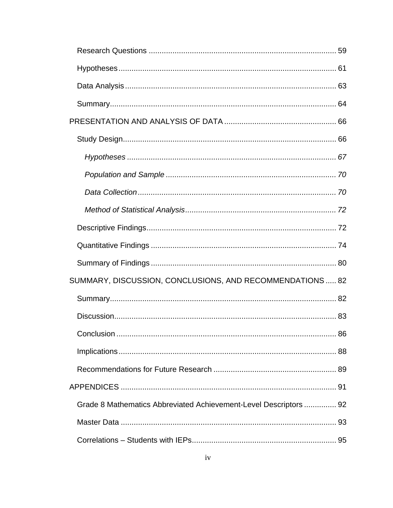| SUMMARY, DISCUSSION, CONCLUSIONS, AND RECOMMENDATIONS  82         |  |
|-------------------------------------------------------------------|--|
|                                                                   |  |
|                                                                   |  |
|                                                                   |  |
|                                                                   |  |
|                                                                   |  |
|                                                                   |  |
| Grade 8 Mathematics Abbreviated Achievement-Level Descriptors  92 |  |
|                                                                   |  |
|                                                                   |  |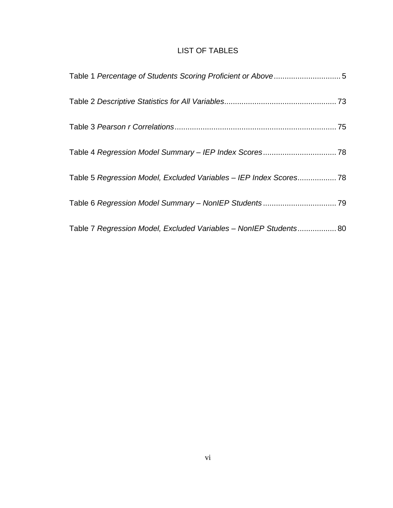# LIST OF TABLES

| Table 5 Regression Model, Excluded Variables - IEP Index Scores 78 |  |
|--------------------------------------------------------------------|--|
|                                                                    |  |
| Table 7 Regression Model, Excluded Variables - NonIEP Students 80  |  |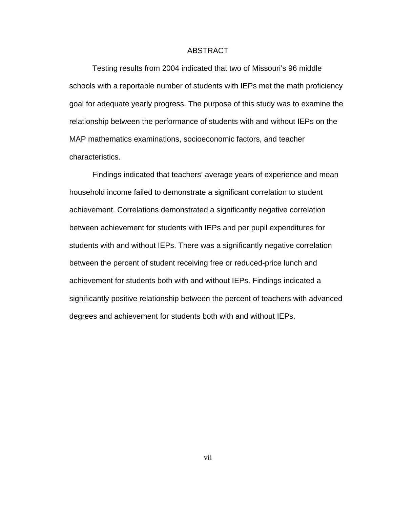### ABSTRACT

Testing results from 2004 indicated that two of Missouri's 96 middle schools with a reportable number of students with IEPs met the math proficiency goal for adequate yearly progress. The purpose of this study was to examine the relationship between the performance of students with and without IEPs on the MAP mathematics examinations, socioeconomic factors, and teacher characteristics.

Findings indicated that teachers' average years of experience and mean household income failed to demonstrate a significant correlation to student achievement. Correlations demonstrated a significantly negative correlation between achievement for students with IEPs and per pupil expenditures for students with and without IEPs. There was a significantly negative correlation between the percent of student receiving free or reduced-price lunch and achievement for students both with and without IEPs. Findings indicated a significantly positive relationship between the percent of teachers with advanced degrees and achievement for students both with and without IEPs.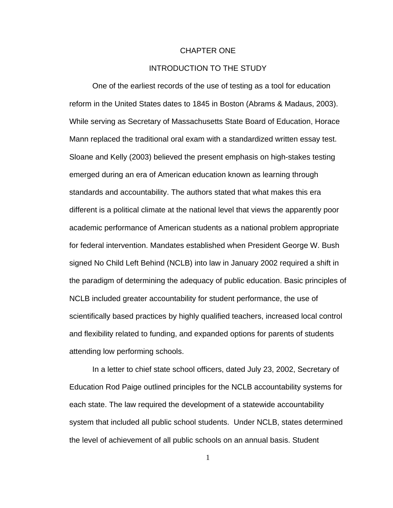### CHAPTER ONE

# INTRODUCTION TO THE STUDY

One of the earliest records of the use of testing as a tool for education reform in the United States dates to 1845 in Boston (Abrams & Madaus, 2003). While serving as Secretary of Massachusetts State Board of Education, Horace Mann replaced the traditional oral exam with a standardized written essay test. Sloane and Kelly (2003) believed the present emphasis on high-stakes testing emerged during an era of American education known as learning through standards and accountability. The authors stated that what makes this era different is a political climate at the national level that views the apparently poor academic performance of American students as a national problem appropriate for federal intervention. Mandates established when President George W. Bush signed No Child Left Behind (NCLB) into law in January 2002 required a shift in the paradigm of determining the adequacy of public education. Basic principles of NCLB included greater accountability for student performance, the use of scientifically based practices by highly qualified teachers, increased local control and flexibility related to funding, and expanded options for parents of students attending low performing schools.

In a letter to chief state school officers, dated July 23, 2002, Secretary of Education Rod Paige outlined principles for the NCLB accountability systems for each state. The law required the development of a statewide accountability system that included all public school students. Under NCLB, states determined the level of achievement of all public schools on an annual basis. Student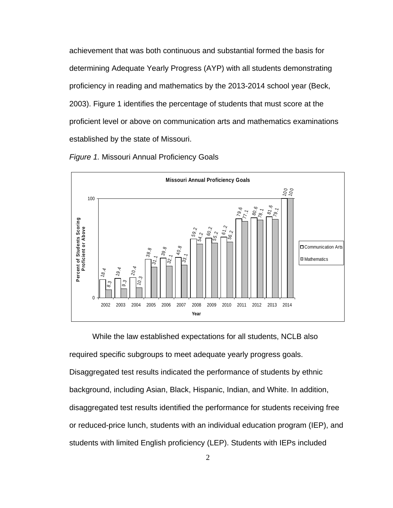achievement that was both continuous and substantial formed the basis for determining Adequate Yearly Progress (AYP) with all students demonstrating proficiency in reading and mathematics by the 2013-2014 school year (Beck, 2003). Figure 1 identifies the percentage of students that must score at the proficient level or above on communication arts and mathematics examinations established by the state of Missouri.

*Figure 1.* Missouri Annual Proficiency Goals



While the law established expectations for all students, NCLB also required specific subgroups to meet adequate yearly progress goals. Disaggregated test results indicated the performance of students by ethnic background, including Asian, Black, Hispanic, Indian, and White. In addition, disaggregated test results identified the performance for students receiving free or reduced-price lunch, students with an individual education program (IEP), and students with limited English proficiency (LEP). Students with IEPs included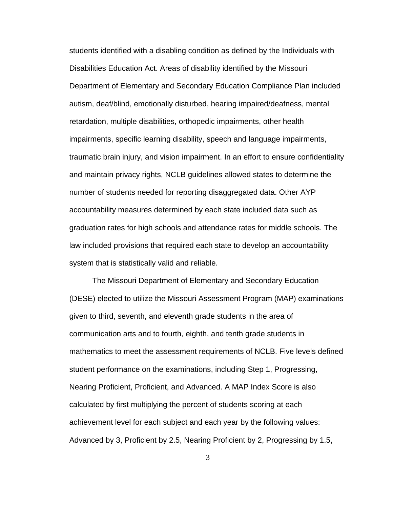students identified with a disabling condition as defined by the Individuals with Disabilities Education Act. Areas of disability identified by the Missouri Department of Elementary and Secondary Education Compliance Plan included autism, deaf/blind, emotionally disturbed, hearing impaired/deafness, mental retardation, multiple disabilities, orthopedic impairments, other health impairments, specific learning disability, speech and language impairments, traumatic brain injury, and vision impairment. In an effort to ensure confidentiality and maintain privacy rights, NCLB guidelines allowed states to determine the number of students needed for reporting disaggregated data. Other AYP accountability measures determined by each state included data such as graduation rates for high schools and attendance rates for middle schools. The law included provisions that required each state to develop an accountability system that is statistically valid and reliable.

The Missouri Department of Elementary and Secondary Education (DESE) elected to utilize the Missouri Assessment Program (MAP) examinations given to third, seventh, and eleventh grade students in the area of communication arts and to fourth, eighth, and tenth grade students in mathematics to meet the assessment requirements of NCLB. Five levels defined student performance on the examinations, including Step 1, Progressing, Nearing Proficient, Proficient, and Advanced. A MAP Index Score is also calculated by first multiplying the percent of students scoring at each achievement level for each subject and each year by the following values: Advanced by 3, Proficient by 2.5, Nearing Proficient by 2, Progressing by 1.5,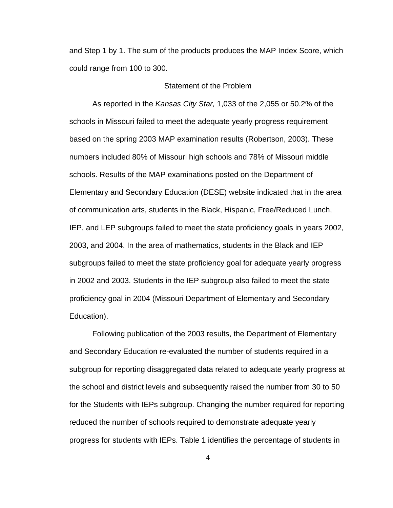and Step 1 by 1. The sum of the products produces the MAP Index Score, which could range from 100 to 300.

# Statement of the Problem

As reported in the *Kansas City Star,* 1,033 of the 2,055 or 50.2% of the schools in Missouri failed to meet the adequate yearly progress requirement based on the spring 2003 MAP examination results (Robertson, 2003). These numbers included 80% of Missouri high schools and 78% of Missouri middle schools. Results of the MAP examinations posted on the Department of Elementary and Secondary Education (DESE) website indicated that in the area of communication arts, students in the Black, Hispanic, Free/Reduced Lunch, IEP, and LEP subgroups failed to meet the state proficiency goals in years 2002, 2003, and 2004. In the area of mathematics, students in the Black and IEP subgroups failed to meet the state proficiency goal for adequate yearly progress in 2002 and 2003. Students in the IEP subgroup also failed to meet the state proficiency goal in 2004 (Missouri Department of Elementary and Secondary Education).

Following publication of the 2003 results, the Department of Elementary and Secondary Education re-evaluated the number of students required in a subgroup for reporting disaggregated data related to adequate yearly progress at the school and district levels and subsequently raised the number from 30 to 50 for the Students with IEPs subgroup. Changing the number required for reporting reduced the number of schools required to demonstrate adequate yearly progress for students with IEPs. Table 1 identifies the percentage of students in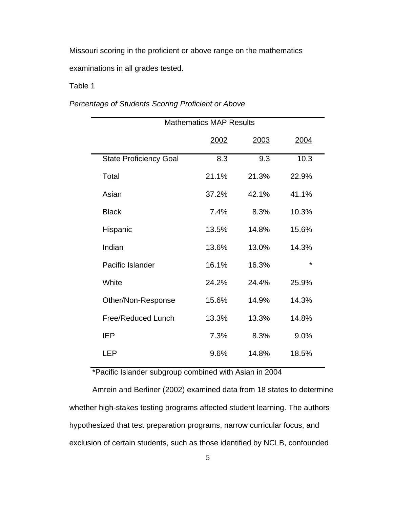Missouri scoring in the proficient or above range on the mathematics examinations in all grades tested.

Table 1

*Percentage of Students Scoring Proficient or Above* 

| <b>Mathematics MAP Results</b> |       |       |             |  |
|--------------------------------|-------|-------|-------------|--|
|                                | 2002  | 2003  | <u>2004</u> |  |
| <b>State Proficiency Goal</b>  | 8.3   | 9.3   | 10.3        |  |
| Total                          | 21.1% | 21.3% | 22.9%       |  |
| Asian                          | 37.2% | 42.1% | 41.1%       |  |
| <b>Black</b>                   | 7.4%  | 8.3%  | 10.3%       |  |
| Hispanic                       | 13.5% | 14.8% | 15.6%       |  |
| Indian                         | 13.6% | 13.0% | 14.3%       |  |
| Pacific Islander               | 16.1% | 16.3% | $\star$     |  |
| White                          | 24.2% | 24.4% | 25.9%       |  |
| Other/Non-Response             | 15.6% | 14.9% | 14.3%       |  |
| Free/Reduced Lunch             | 13.3% | 13.3% | 14.8%       |  |
| <b>IEP</b>                     | 7.3%  | 8.3%  | 9.0%        |  |
| LEP                            | 9.6%  | 14.8% | 18.5%       |  |

\*Pacific Islander subgroup combined with Asian in 2004

 Amrein and Berliner (2002) examined data from 18 states to determine whether high-stakes testing programs affected student learning. The authors hypothesized that test preparation programs, narrow curricular focus, and exclusion of certain students, such as those identified by NCLB, confounded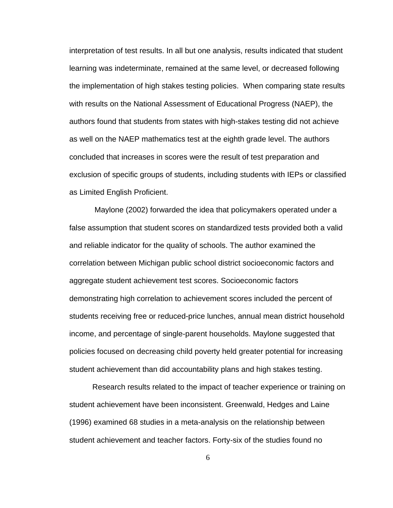interpretation of test results. In all but one analysis, results indicated that student learning was indeterminate, remained at the same level, or decreased following the implementation of high stakes testing policies. When comparing state results with results on the National Assessment of Educational Progress (NAEP), the authors found that students from states with high-stakes testing did not achieve as well on the NAEP mathematics test at the eighth grade level. The authors concluded that increases in scores were the result of test preparation and exclusion of specific groups of students, including students with IEPs or classified as Limited English Proficient.

 Maylone (2002) forwarded the idea that policymakers operated under a false assumption that student scores on standardized tests provided both a valid and reliable indicator for the quality of schools. The author examined the correlation between Michigan public school district socioeconomic factors and aggregate student achievement test scores. Socioeconomic factors demonstrating high correlation to achievement scores included the percent of students receiving free or reduced-price lunches, annual mean district household income, and percentage of single-parent households. Maylone suggested that policies focused on decreasing child poverty held greater potential for increasing student achievement than did accountability plans and high stakes testing.

 Research results related to the impact of teacher experience or training on student achievement have been inconsistent. Greenwald, Hedges and Laine (1996) examined 68 studies in a meta-analysis on the relationship between student achievement and teacher factors. Forty-six of the studies found no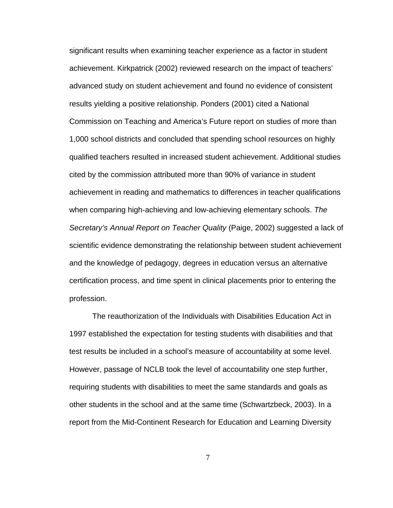significant results when examining teacher experience as a factor in student achievement. Kirkpatrick (2002) reviewed research on the impact of teachers' advanced study on student achievement and found no evidence of consistent results yielding a positive relationship. Ponders (2001) cited a National Commission on Teaching and America's Future report on studies of more than 1,000 school districts and concluded that spending school resources on highly qualified teachers resulted in increased student achievement. Additional studies cited by the commission attributed more than 90% of variance in student achievement in reading and mathematics to differences in teacher qualifications when comparing high-achieving and low-achieving elementary schools. *The Secretary's Annual Report on Teacher Quality* (Paige, 2002) suggested a lack of scientific evidence demonstrating the relationship between student achievement and the knowledge of pedagogy, degrees in education versus an alternative certification process, and time spent in clinical placements prior to entering the profession.

The reauthorization of the Individuals with Disabilities Education Act in 1997 established the expectation for testing students with disabilities and that test results be included in a school's measure of accountability at some level. However, passage of NCLB took the level of accountability one step further, requiring students with disabilities to meet the same standards and goals as other students in the school and at the same time (Schwartzbeck, 2003). In a report from the Mid-Continent Research for Education and Learning Diversity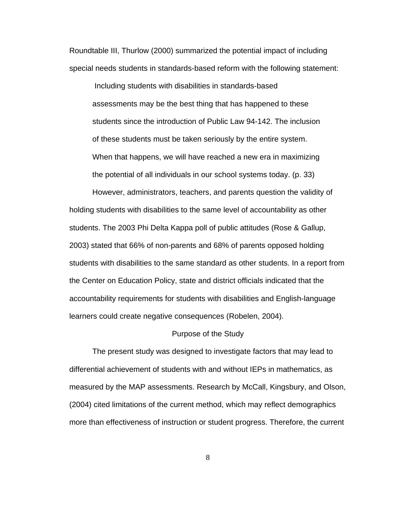Roundtable III, Thurlow (2000) summarized the potential impact of including special needs students in standards-based reform with the following statement:

 Including students with disabilities in standards-based assessments may be the best thing that has happened to these students since the introduction of Public Law 94-142. The inclusion of these students must be taken seriously by the entire system. When that happens, we will have reached a new era in maximizing the potential of all individuals in our school systems today. (p. 33)

However, administrators, teachers, and parents question the validity of holding students with disabilities to the same level of accountability as other students. The 2003 Phi Delta Kappa poll of public attitudes (Rose & Gallup, 2003) stated that 66% of non-parents and 68% of parents opposed holding students with disabilities to the same standard as other students. In a report from the Center on Education Policy, state and district officials indicated that the accountability requirements for students with disabilities and English-language learners could create negative consequences (Robelen, 2004).

### Purpose of the Study

 The present study was designed to investigate factors that may lead to differential achievement of students with and without IEPs in mathematics, as measured by the MAP assessments. Research by McCall, Kingsbury, and Olson, (2004) cited limitations of the current method, which may reflect demographics more than effectiveness of instruction or student progress. Therefore, the current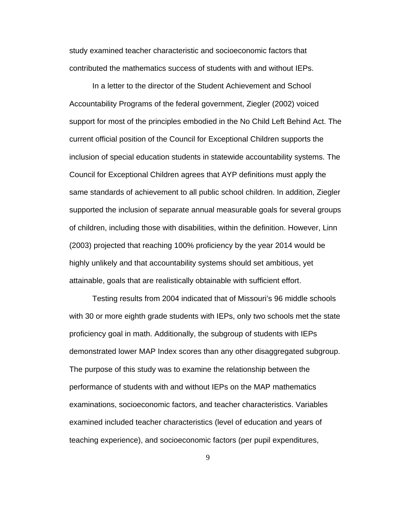study examined teacher characteristic and socioeconomic factors that contributed the mathematics success of students with and without IEPs.

In a letter to the director of the Student Achievement and School Accountability Programs of the federal government, Ziegler (2002) voiced support for most of the principles embodied in the No Child Left Behind Act. The current official position of the Council for Exceptional Children supports the inclusion of special education students in statewide accountability systems. The Council for Exceptional Children agrees that AYP definitions must apply the same standards of achievement to all public school children. In addition, Ziegler supported the inclusion of separate annual measurable goals for several groups of children, including those with disabilities, within the definition. However, Linn (2003) projected that reaching 100% proficiency by the year 2014 would be highly unlikely and that accountability systems should set ambitious, yet attainable, goals that are realistically obtainable with sufficient effort.

 Testing results from 2004 indicated that of Missouri's 96 middle schools with 30 or more eighth grade students with IEPs, only two schools met the state proficiency goal in math. Additionally, the subgroup of students with IEPs demonstrated lower MAP Index scores than any other disaggregated subgroup. The purpose of this study was to examine the relationship between the performance of students with and without IEPs on the MAP mathematics examinations, socioeconomic factors, and teacher characteristics. Variables examined included teacher characteristics (level of education and years of teaching experience), and socioeconomic factors (per pupil expenditures,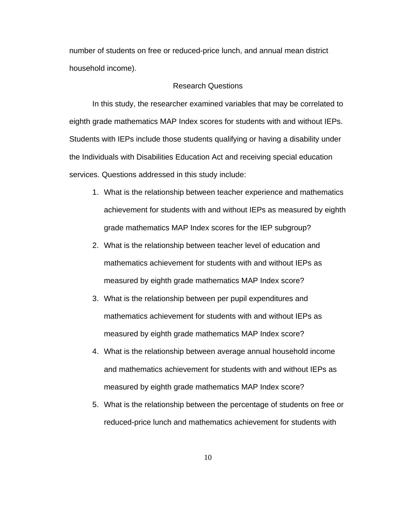number of students on free or reduced-price lunch, and annual mean district household income).

# Research Questions

In this study, the researcher examined variables that may be correlated to eighth grade mathematics MAP Index scores for students with and without IEPs. Students with IEPs include those students qualifying or having a disability under the Individuals with Disabilities Education Act and receiving special education services. Questions addressed in this study include:

- 1. What is the relationship between teacher experience and mathematics achievement for students with and without IEPs as measured by eighth grade mathematics MAP Index scores for the IEP subgroup?
- 2. What is the relationship between teacher level of education and mathematics achievement for students with and without IEPs as measured by eighth grade mathematics MAP Index score?
- 3. What is the relationship between per pupil expenditures and mathematics achievement for students with and without IEPs as measured by eighth grade mathematics MAP Index score?
- 4. What is the relationship between average annual household income and mathematics achievement for students with and without IEPs as measured by eighth grade mathematics MAP Index score?
- 5. What is the relationship between the percentage of students on free or reduced-price lunch and mathematics achievement for students with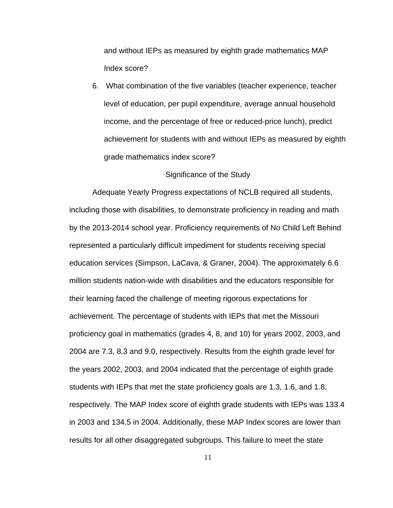and without IEPs as measured by eighth grade mathematics MAP Index score?

6. What combination of the five variables (teacher experience, teacher level of education, per pupil expenditure, average annual household income, and the percentage of free or reduced-price lunch), predict achievement for students with and without IEPs as measured by eighth grade mathematics index score?

## Significance of the Study

 Adequate Yearly Progress expectations of NCLB required all students, including those with disabilities, to demonstrate proficiency in reading and math by the 2013-2014 school year. Proficiency requirements of No Child Left Behind represented a particularly difficult impediment for students receiving special education services (Simpson, LaCava, & Graner, 2004). The approximately 6.6 million students nation-wide with disabilities and the educators responsible for their learning faced the challenge of meeting rigorous expectations for achievement. The percentage of students with IEPs that met the Missouri proficiency goal in mathematics (grades 4, 8, and 10) for years 2002, 2003, and 2004 are 7.3, 8.3 and 9.0, respectively. Results from the eighth grade level for the years 2002, 2003, and 2004 indicated that the percentage of eighth grade students with IEPs that met the state proficiency goals are 1.3, 1.6, and 1.8, respectively. The MAP Index score of eighth grade students with IEPs was 133.4 in 2003 and 134.5 in 2004. Additionally, these MAP Index scores are lower than results for all other disaggregated subgroups. This failure to meet the state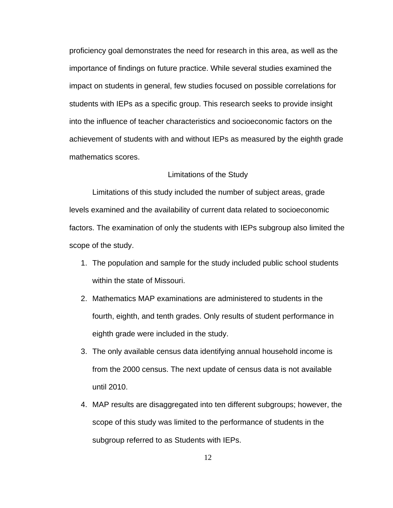proficiency goal demonstrates the need for research in this area, as well as the importance of findings on future practice. While several studies examined the impact on students in general, few studies focused on possible correlations for students with IEPs as a specific group. This research seeks to provide insight into the influence of teacher characteristics and socioeconomic factors on the achievement of students with and without IEPs as measured by the eighth grade mathematics scores.

# Limitations of the Study

 Limitations of this study included the number of subject areas, grade levels examined and the availability of current data related to socioeconomic factors. The examination of only the students with IEPs subgroup also limited the scope of the study.

- 1. The population and sample for the study included public school students within the state of Missouri.
- 2. Mathematics MAP examinations are administered to students in the fourth, eighth, and tenth grades. Only results of student performance in eighth grade were included in the study.
- 3. The only available census data identifying annual household income is from the 2000 census. The next update of census data is not available until 2010.
- 4. MAP results are disaggregated into ten different subgroups; however, the scope of this study was limited to the performance of students in the subgroup referred to as Students with IEPs.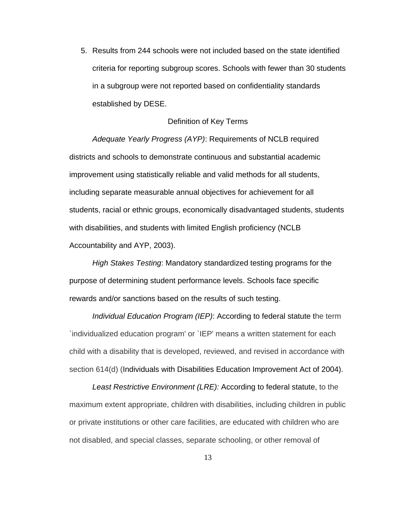5. Results from 244 schools were not included based on the state identified criteria for reporting subgroup scores. Schools with fewer than 30 students in a subgroup were not reported based on confidentiality standards established by DESE.

## Definition of Key Terms

*Adequate Yearly Progress (AYP)*: Requirements of NCLB required districts and schools to demonstrate continuous and substantial academic improvement using statistically reliable and valid methods for all students, including separate measurable annual objectives for achievement for all students, racial or ethnic groups, economically disadvantaged students, students with disabilities, and students with limited English proficiency (NCLB Accountability and AYP, 2003).

*High Stakes Testing*: Mandatory standardized testing programs for the purpose of determining student performance levels. Schools face specific rewards and/or sanctions based on the results of such testing.

*Individual Education Program (IEP)*: According to federal statute the term `individualized education program' or `IEP' means a written statement for each child with a disability that is developed, reviewed, and revised in accordance with section 614(d) (Individuals with Disabilities Education Improvement Act of 2004).

*Least Restrictive Environment (LRE):* According to federal statute, to the maximum extent appropriate, children with disabilities, including children in public or private institutions or other care facilities, are educated with children who are not disabled, and special classes, separate schooling, or other removal of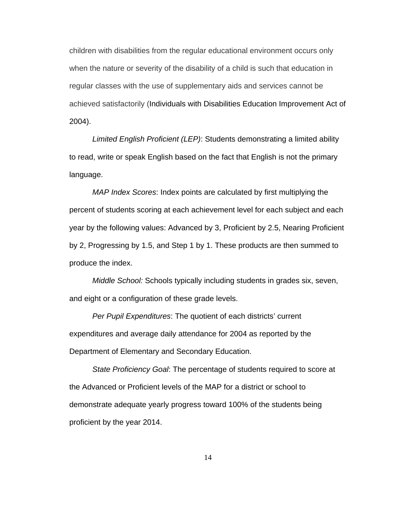children with disabilities from the regular educational environment occurs only when the nature or severity of the disability of a child is such that education in regular classes with the use of supplementary aids and services cannot be achieved satisfactorily (Individuals with Disabilities Education Improvement Act of 2004).

*Limited English Proficient (LEP)*: Students demonstrating a limited ability to read, write or speak English based on the fact that English is not the primary language.

*MAP Index Scores*: Index points are calculated by first multiplying the percent of students scoring at each achievement level for each subject and each year by the following values: Advanced by 3, Proficient by 2.5, Nearing Proficient by 2, Progressing by 1.5, and Step 1 by 1. These products are then summed to produce the index.

*Middle School:* Schools typically including students in grades six, seven, and eight or a configuration of these grade levels.

*Per Pupil Expenditures*: The quotient of each districts' current expenditures and average daily attendance for 2004 as reported by the Department of Elementary and Secondary Education.

*State Proficiency Goal*: The percentage of students required to score at the Advanced or Proficient levels of the MAP for a district or school to demonstrate adequate yearly progress toward 100% of the students being proficient by the year 2014.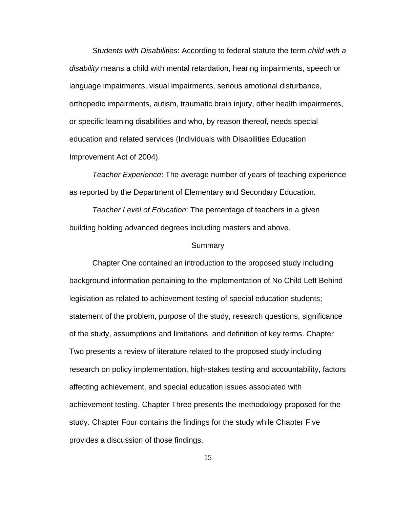*Students with Disabilities*: According to federal statute the term *child with a disability* means a child with mental retardation, hearing impairments, speech or language impairments, visual impairments, serious emotional disturbance, orthopedic impairments, autism, traumatic brain injury, other health impairments, or specific learning disabilities and who, by reason thereof, needs special education and related services (Individuals with Disabilities Education Improvement Act of 2004).

*Teacher Experience*: The average number of years of teaching experience as reported by the Department of Elementary and Secondary Education.

*Teacher Level of Education*: The percentage of teachers in a given building holding advanced degrees including masters and above.

#### Summary

 Chapter One contained an introduction to the proposed study including background information pertaining to the implementation of No Child Left Behind legislation as related to achievement testing of special education students; statement of the problem, purpose of the study, research questions, significance of the study, assumptions and limitations, and definition of key terms. Chapter Two presents a review of literature related to the proposed study including research on policy implementation, high-stakes testing and accountability, factors affecting achievement, and special education issues associated with achievement testing. Chapter Three presents the methodology proposed for the study. Chapter Four contains the findings for the study while Chapter Five provides a discussion of those findings.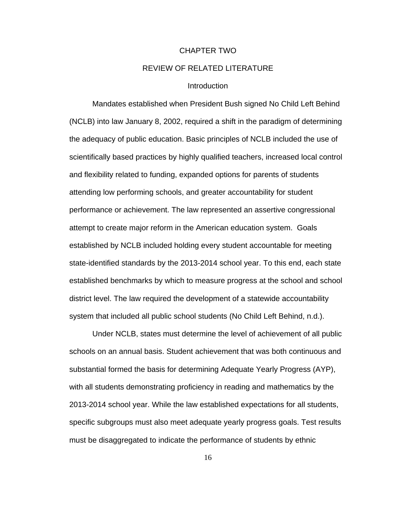#### CHAPTER TWO

# REVIEW OF RELATED LITERATURE

# **Introduction**

Mandates established when President Bush signed No Child Left Behind (NCLB) into law January 8, 2002, required a shift in the paradigm of determining the adequacy of public education. Basic principles of NCLB included the use of scientifically based practices by highly qualified teachers, increased local control and flexibility related to funding, expanded options for parents of students attending low performing schools, and greater accountability for student performance or achievement. The law represented an assertive congressional attempt to create major reform in the American education system. Goals established by NCLB included holding every student accountable for meeting state-identified standards by the 2013-2014 school year. To this end, each state established benchmarks by which to measure progress at the school and school district level. The law required the development of a statewide accountability system that included all public school students (No Child Left Behind, n.d.).

Under NCLB, states must determine the level of achievement of all public schools on an annual basis. Student achievement that was both continuous and substantial formed the basis for determining Adequate Yearly Progress (AYP), with all students demonstrating proficiency in reading and mathematics by the 2013-2014 school year. While the law established expectations for all students, specific subgroups must also meet adequate yearly progress goals. Test results must be disaggregated to indicate the performance of students by ethnic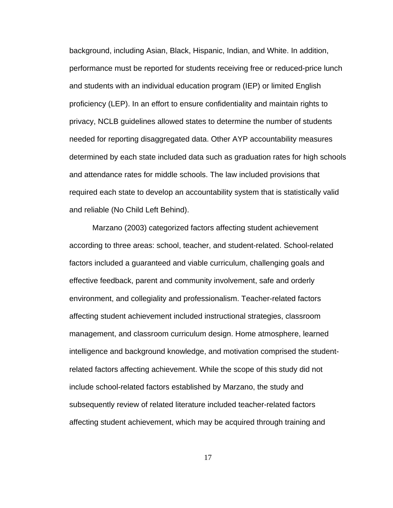background, including Asian, Black, Hispanic, Indian, and White. In addition, performance must be reported for students receiving free or reduced-price lunch and students with an individual education program (IEP) or limited English proficiency (LEP). In an effort to ensure confidentiality and maintain rights to privacy, NCLB guidelines allowed states to determine the number of students needed for reporting disaggregated data. Other AYP accountability measures determined by each state included data such as graduation rates for high schools and attendance rates for middle schools. The law included provisions that required each state to develop an accountability system that is statistically valid and reliable (No Child Left Behind).

 Marzano (2003) categorized factors affecting student achievement according to three areas: school, teacher, and student-related. School-related factors included a guaranteed and viable curriculum, challenging goals and effective feedback, parent and community involvement, safe and orderly environment, and collegiality and professionalism. Teacher-related factors affecting student achievement included instructional strategies, classroom management, and classroom curriculum design. Home atmosphere, learned intelligence and background knowledge, and motivation comprised the studentrelated factors affecting achievement. While the scope of this study did not include school-related factors established by Marzano, the study and subsequently review of related literature included teacher-related factors affecting student achievement, which may be acquired through training and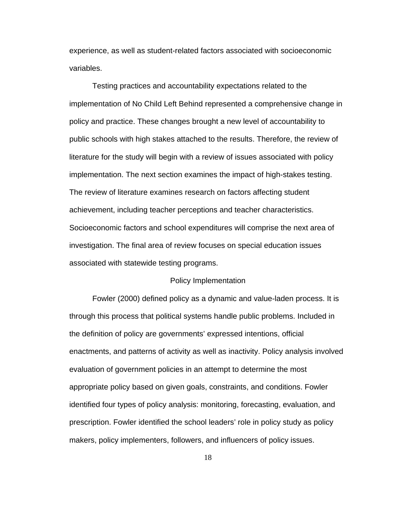experience, as well as student-related factors associated with socioeconomic variables.

 Testing practices and accountability expectations related to the implementation of No Child Left Behind represented a comprehensive change in policy and practice. These changes brought a new level of accountability to public schools with high stakes attached to the results. Therefore, the review of literature for the study will begin with a review of issues associated with policy implementation. The next section examines the impact of high-stakes testing. The review of literature examines research on factors affecting student achievement, including teacher perceptions and teacher characteristics. Socioeconomic factors and school expenditures will comprise the next area of investigation. The final area of review focuses on special education issues associated with statewide testing programs.

#### Policy Implementation

Fowler (2000) defined policy as a dynamic and value-laden process. It is through this process that political systems handle public problems. Included in the definition of policy are governments' expressed intentions, official enactments, and patterns of activity as well as inactivity. Policy analysis involved evaluation of government policies in an attempt to determine the most appropriate policy based on given goals, constraints, and conditions. Fowler identified four types of policy analysis: monitoring, forecasting, evaluation, and prescription. Fowler identified the school leaders' role in policy study as policy makers, policy implementers, followers, and influencers of policy issues.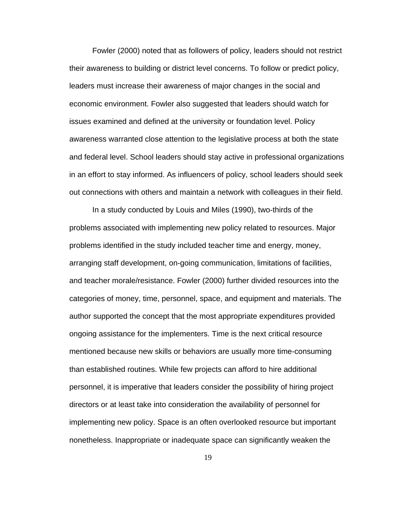Fowler (2000) noted that as followers of policy, leaders should not restrict their awareness to building or district level concerns. To follow or predict policy, leaders must increase their awareness of major changes in the social and economic environment. Fowler also suggested that leaders should watch for issues examined and defined at the university or foundation level. Policy awareness warranted close attention to the legislative process at both the state and federal level. School leaders should stay active in professional organizations in an effort to stay informed. As influencers of policy, school leaders should seek out connections with others and maintain a network with colleagues in their field.

In a study conducted by Louis and Miles (1990), two-thirds of the problems associated with implementing new policy related to resources. Major problems identified in the study included teacher time and energy, money, arranging staff development, on-going communication, limitations of facilities, and teacher morale/resistance. Fowler (2000) further divided resources into the categories of money, time, personnel, space, and equipment and materials. The author supported the concept that the most appropriate expenditures provided ongoing assistance for the implementers. Time is the next critical resource mentioned because new skills or behaviors are usually more time-consuming than established routines. While few projects can afford to hire additional personnel, it is imperative that leaders consider the possibility of hiring project directors or at least take into consideration the availability of personnel for implementing new policy. Space is an often overlooked resource but important nonetheless. Inappropriate or inadequate space can significantly weaken the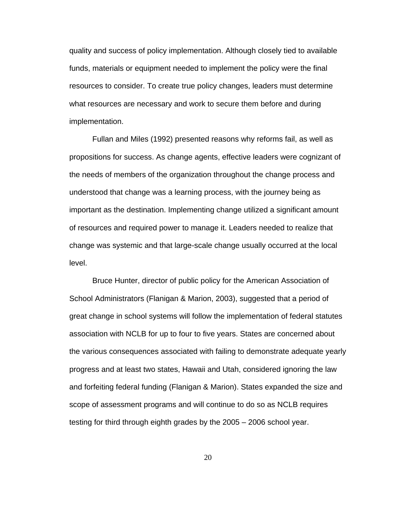quality and success of policy implementation. Although closely tied to available funds, materials or equipment needed to implement the policy were the final resources to consider. To create true policy changes, leaders must determine what resources are necessary and work to secure them before and during implementation.

Fullan and Miles (1992) presented reasons why reforms fail, as well as propositions for success. As change agents, effective leaders were cognizant of the needs of members of the organization throughout the change process and understood that change was a learning process, with the journey being as important as the destination. Implementing change utilized a significant amount of resources and required power to manage it. Leaders needed to realize that change was systemic and that large-scale change usually occurred at the local level.

Bruce Hunter, director of public policy for the American Association of School Administrators (Flanigan & Marion, 2003), suggested that a period of great change in school systems will follow the implementation of federal statutes association with NCLB for up to four to five years. States are concerned about the various consequences associated with failing to demonstrate adequate yearly progress and at least two states, Hawaii and Utah, considered ignoring the law and forfeiting federal funding (Flanigan & Marion). States expanded the size and scope of assessment programs and will continue to do so as NCLB requires testing for third through eighth grades by the 2005 – 2006 school year.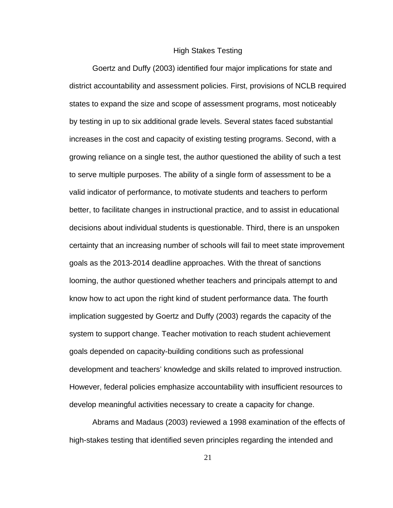## High Stakes Testing

Goertz and Duffy (2003) identified four major implications for state and district accountability and assessment policies. First, provisions of NCLB required states to expand the size and scope of assessment programs, most noticeably by testing in up to six additional grade levels. Several states faced substantial increases in the cost and capacity of existing testing programs. Second, with a growing reliance on a single test, the author questioned the ability of such a test to serve multiple purposes. The ability of a single form of assessment to be a valid indicator of performance, to motivate students and teachers to perform better, to facilitate changes in instructional practice, and to assist in educational decisions about individual students is questionable. Third, there is an unspoken certainty that an increasing number of schools will fail to meet state improvement goals as the 2013-2014 deadline approaches. With the threat of sanctions looming, the author questioned whether teachers and principals attempt to and know how to act upon the right kind of student performance data. The fourth implication suggested by Goertz and Duffy (2003) regards the capacity of the system to support change. Teacher motivation to reach student achievement goals depended on capacity-building conditions such as professional development and teachers' knowledge and skills related to improved instruction. However, federal policies emphasize accountability with insufficient resources to develop meaningful activities necessary to create a capacity for change.

 Abrams and Madaus (2003) reviewed a 1998 examination of the effects of high-stakes testing that identified seven principles regarding the intended and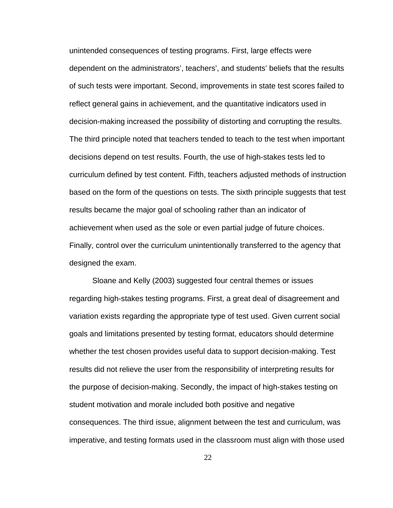unintended consequences of testing programs. First, large effects were dependent on the administrators', teachers', and students' beliefs that the results of such tests were important. Second, improvements in state test scores failed to reflect general gains in achievement, and the quantitative indicators used in decision-making increased the possibility of distorting and corrupting the results. The third principle noted that teachers tended to teach to the test when important decisions depend on test results. Fourth, the use of high-stakes tests led to curriculum defined by test content. Fifth, teachers adjusted methods of instruction based on the form of the questions on tests. The sixth principle suggests that test results became the major goal of schooling rather than an indicator of achievement when used as the sole or even partial judge of future choices. Finally, control over the curriculum unintentionally transferred to the agency that designed the exam.

 Sloane and Kelly (2003) suggested four central themes or issues regarding high-stakes testing programs. First, a great deal of disagreement and variation exists regarding the appropriate type of test used. Given current social goals and limitations presented by testing format, educators should determine whether the test chosen provides useful data to support decision-making. Test results did not relieve the user from the responsibility of interpreting results for the purpose of decision-making. Secondly, the impact of high-stakes testing on student motivation and morale included both positive and negative consequences. The third issue, alignment between the test and curriculum, was imperative, and testing formats used in the classroom must align with those used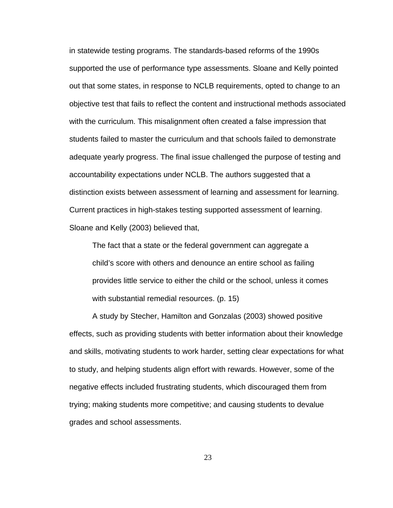in statewide testing programs. The standards-based reforms of the 1990s supported the use of performance type assessments. Sloane and Kelly pointed out that some states, in response to NCLB requirements, opted to change to an objective test that fails to reflect the content and instructional methods associated with the curriculum. This misalignment often created a false impression that students failed to master the curriculum and that schools failed to demonstrate adequate yearly progress. The final issue challenged the purpose of testing and accountability expectations under NCLB. The authors suggested that a distinction exists between assessment of learning and assessment for learning. Current practices in high-stakes testing supported assessment of learning. Sloane and Kelly (2003) believed that,

The fact that a state or the federal government can aggregate a child's score with others and denounce an entire school as failing provides little service to either the child or the school, unless it comes with substantial remedial resources. (p. 15)

A study by Stecher, Hamilton and Gonzalas (2003) showed positive effects, such as providing students with better information about their knowledge and skills, motivating students to work harder, setting clear expectations for what to study, and helping students align effort with rewards. However, some of the negative effects included frustrating students, which discouraged them from trying; making students more competitive; and causing students to devalue grades and school assessments.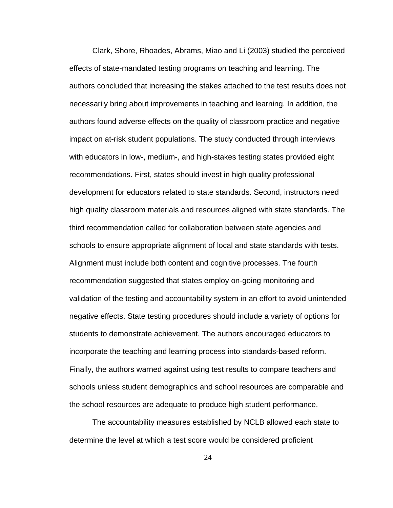Clark, Shore, Rhoades, Abrams, Miao and Li (2003) studied the perceived effects of state-mandated testing programs on teaching and learning. The authors concluded that increasing the stakes attached to the test results does not necessarily bring about improvements in teaching and learning. In addition, the authors found adverse effects on the quality of classroom practice and negative impact on at-risk student populations. The study conducted through interviews with educators in low-, medium-, and high-stakes testing states provided eight recommendations. First, states should invest in high quality professional development for educators related to state standards. Second, instructors need high quality classroom materials and resources aligned with state standards. The third recommendation called for collaboration between state agencies and schools to ensure appropriate alignment of local and state standards with tests. Alignment must include both content and cognitive processes. The fourth recommendation suggested that states employ on-going monitoring and validation of the testing and accountability system in an effort to avoid unintended negative effects. State testing procedures should include a variety of options for students to demonstrate achievement. The authors encouraged educators to incorporate the teaching and learning process into standards-based reform. Finally, the authors warned against using test results to compare teachers and schools unless student demographics and school resources are comparable and the school resources are adequate to produce high student performance.

 The accountability measures established by NCLB allowed each state to determine the level at which a test score would be considered proficient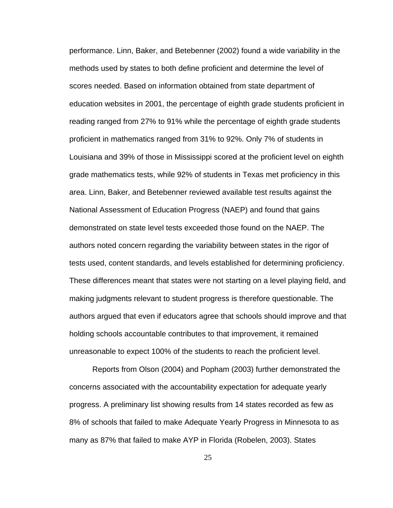performance. Linn, Baker, and Betebenner (2002) found a wide variability in the methods used by states to both define proficient and determine the level of scores needed. Based on information obtained from state department of education websites in 2001, the percentage of eighth grade students proficient in reading ranged from 27% to 91% while the percentage of eighth grade students proficient in mathematics ranged from 31% to 92%. Only 7% of students in Louisiana and 39% of those in Mississippi scored at the proficient level on eighth grade mathematics tests, while 92% of students in Texas met proficiency in this area. Linn, Baker, and Betebenner reviewed available test results against the National Assessment of Education Progress (NAEP) and found that gains demonstrated on state level tests exceeded those found on the NAEP. The authors noted concern regarding the variability between states in the rigor of tests used, content standards, and levels established for determining proficiency. These differences meant that states were not starting on a level playing field, and making judgments relevant to student progress is therefore questionable. The authors argued that even if educators agree that schools should improve and that holding schools accountable contributes to that improvement, it remained unreasonable to expect 100% of the students to reach the proficient level.

 Reports from Olson (2004) and Popham (2003) further demonstrated the concerns associated with the accountability expectation for adequate yearly progress. A preliminary list showing results from 14 states recorded as few as 8% of schools that failed to make Adequate Yearly Progress in Minnesota to as many as 87% that failed to make AYP in Florida (Robelen, 2003). States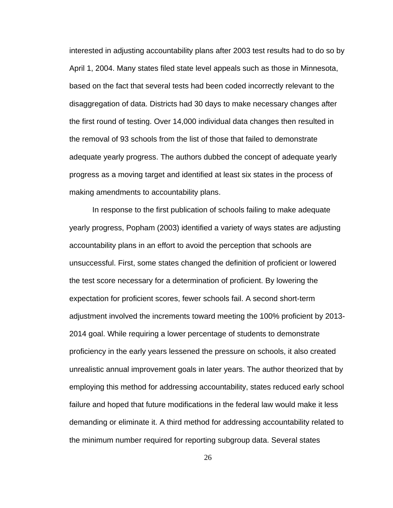interested in adjusting accountability plans after 2003 test results had to do so by April 1, 2004. Many states filed state level appeals such as those in Minnesota, based on the fact that several tests had been coded incorrectly relevant to the disaggregation of data. Districts had 30 days to make necessary changes after the first round of testing. Over 14,000 individual data changes then resulted in the removal of 93 schools from the list of those that failed to demonstrate adequate yearly progress. The authors dubbed the concept of adequate yearly progress as a moving target and identified at least six states in the process of making amendments to accountability plans.

In response to the first publication of schools failing to make adequate yearly progress, Popham (2003) identified a variety of ways states are adjusting accountability plans in an effort to avoid the perception that schools are unsuccessful. First, some states changed the definition of proficient or lowered the test score necessary for a determination of proficient. By lowering the expectation for proficient scores, fewer schools fail. A second short-term adjustment involved the increments toward meeting the 100% proficient by 2013- 2014 goal. While requiring a lower percentage of students to demonstrate proficiency in the early years lessened the pressure on schools, it also created unrealistic annual improvement goals in later years. The author theorized that by employing this method for addressing accountability, states reduced early school failure and hoped that future modifications in the federal law would make it less demanding or eliminate it. A third method for addressing accountability related to the minimum number required for reporting subgroup data. Several states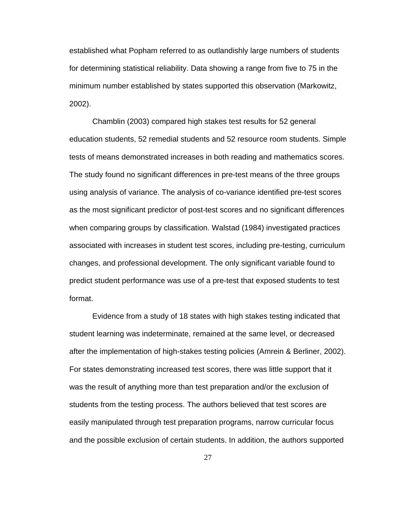established what Popham referred to as outlandishly large numbers of students for determining statistical reliability. Data showing a range from five to 75 in the minimum number established by states supported this observation (Markowitz, 2002).

Chamblin (2003) compared high stakes test results for 52 general education students, 52 remedial students and 52 resource room students. Simple tests of means demonstrated increases in both reading and mathematics scores. The study found no significant differences in pre-test means of the three groups using analysis of variance. The analysis of co-variance identified pre-test scores as the most significant predictor of post-test scores and no significant differences when comparing groups by classification. Walstad (1984) investigated practices associated with increases in student test scores, including pre-testing, curriculum changes, and professional development. The only significant variable found to predict student performance was use of a pre-test that exposed students to test format.

Evidence from a study of 18 states with high stakes testing indicated that student learning was indeterminate, remained at the same level, or decreased after the implementation of high-stakes testing policies (Amrein & Berliner, 2002). For states demonstrating increased test scores, there was little support that it was the result of anything more than test preparation and/or the exclusion of students from the testing process. The authors believed that test scores are easily manipulated through test preparation programs, narrow curricular focus and the possible exclusion of certain students. In addition, the authors supported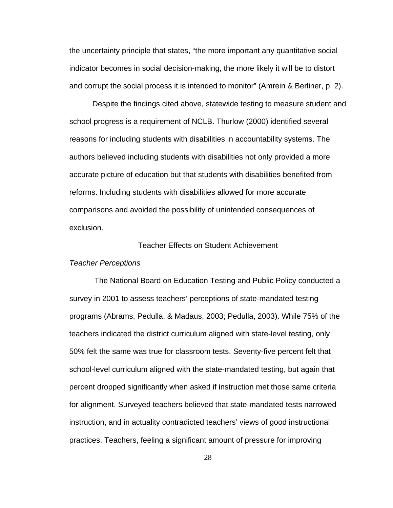the uncertainty principle that states, "the more important any quantitative social indicator becomes in social decision-making, the more likely it will be to distort and corrupt the social process it is intended to monitor" (Amrein & Berliner, p. 2).

Despite the findings cited above, statewide testing to measure student and school progress is a requirement of NCLB. Thurlow (2000) identified several reasons for including students with disabilities in accountability systems. The authors believed including students with disabilities not only provided a more accurate picture of education but that students with disabilities benefited from reforms. Including students with disabilities allowed for more accurate comparisons and avoided the possibility of unintended consequences of exclusion.

# Teacher Effects on Student Achievement

### *Teacher Perceptions*

The National Board on Education Testing and Public Policy conducted a survey in 2001 to assess teachers' perceptions of state-mandated testing programs (Abrams, Pedulla, & Madaus, 2003; Pedulla, 2003). While 75% of the teachers indicated the district curriculum aligned with state-level testing, only 50% felt the same was true for classroom tests. Seventy-five percent felt that school-level curriculum aligned with the state-mandated testing, but again that percent dropped significantly when asked if instruction met those same criteria for alignment. Surveyed teachers believed that state-mandated tests narrowed instruction, and in actuality contradicted teachers' views of good instructional practices. Teachers, feeling a significant amount of pressure for improving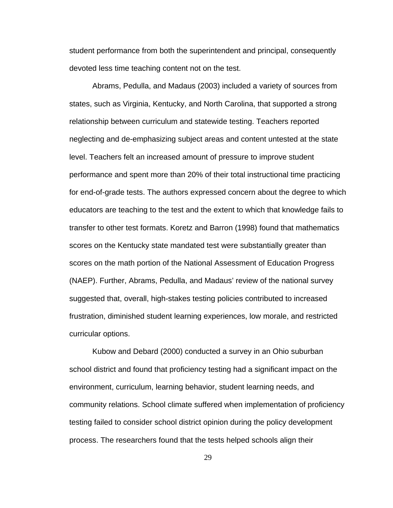student performance from both the superintendent and principal, consequently devoted less time teaching content not on the test.

Abrams, Pedulla, and Madaus (2003) included a variety of sources from states, such as Virginia, Kentucky, and North Carolina, that supported a strong relationship between curriculum and statewide testing. Teachers reported neglecting and de-emphasizing subject areas and content untested at the state level. Teachers felt an increased amount of pressure to improve student performance and spent more than 20% of their total instructional time practicing for end-of-grade tests. The authors expressed concern about the degree to which educators are teaching to the test and the extent to which that knowledge fails to transfer to other test formats. Koretz and Barron (1998) found that mathematics scores on the Kentucky state mandated test were substantially greater than scores on the math portion of the National Assessment of Education Progress (NAEP). Further, Abrams, Pedulla, and Madaus' review of the national survey suggested that, overall, high-stakes testing policies contributed to increased frustration, diminished student learning experiences, low morale, and restricted curricular options.

Kubow and Debard (2000) conducted a survey in an Ohio suburban school district and found that proficiency testing had a significant impact on the environment, curriculum, learning behavior, student learning needs, and community relations. School climate suffered when implementation of proficiency testing failed to consider school district opinion during the policy development process. The researchers found that the tests helped schools align their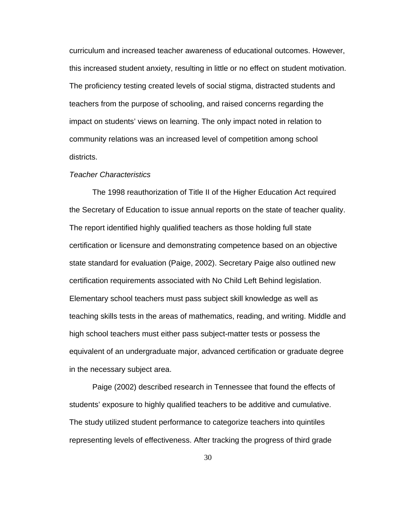curriculum and increased teacher awareness of educational outcomes. However, this increased student anxiety, resulting in little or no effect on student motivation. The proficiency testing created levels of social stigma, distracted students and teachers from the purpose of schooling, and raised concerns regarding the impact on students' views on learning. The only impact noted in relation to community relations was an increased level of competition among school districts.

# *Teacher Characteristics*

The 1998 reauthorization of Title II of the Higher Education Act required the Secretary of Education to issue annual reports on the state of teacher quality. The report identified highly qualified teachers as those holding full state certification or licensure and demonstrating competence based on an objective state standard for evaluation (Paige, 2002). Secretary Paige also outlined new certification requirements associated with No Child Left Behind legislation. Elementary school teachers must pass subject skill knowledge as well as teaching skills tests in the areas of mathematics, reading, and writing. Middle and high school teachers must either pass subject-matter tests or possess the equivalent of an undergraduate major, advanced certification or graduate degree in the necessary subject area.

Paige (2002) described research in Tennessee that found the effects of students' exposure to highly qualified teachers to be additive and cumulative. The study utilized student performance to categorize teachers into quintiles representing levels of effectiveness. After tracking the progress of third grade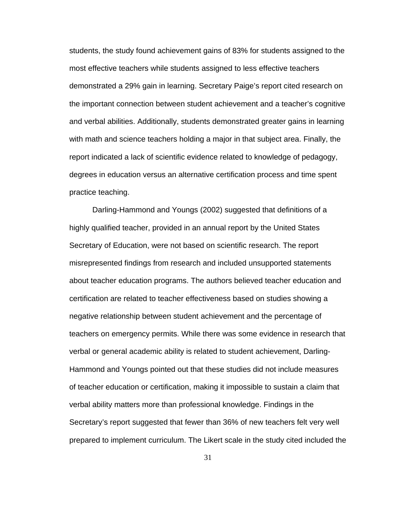students, the study found achievement gains of 83% for students assigned to the most effective teachers while students assigned to less effective teachers demonstrated a 29% gain in learning. Secretary Paige's report cited research on the important connection between student achievement and a teacher's cognitive and verbal abilities. Additionally, students demonstrated greater gains in learning with math and science teachers holding a major in that subject area. Finally, the report indicated a lack of scientific evidence related to knowledge of pedagogy, degrees in education versus an alternative certification process and time spent practice teaching.

Darling-Hammond and Youngs (2002) suggested that definitions of a highly qualified teacher, provided in an annual report by the United States Secretary of Education, were not based on scientific research. The report misrepresented findings from research and included unsupported statements about teacher education programs. The authors believed teacher education and certification are related to teacher effectiveness based on studies showing a negative relationship between student achievement and the percentage of teachers on emergency permits. While there was some evidence in research that verbal or general academic ability is related to student achievement, Darling-Hammond and Youngs pointed out that these studies did not include measures of teacher education or certification, making it impossible to sustain a claim that verbal ability matters more than professional knowledge. Findings in the Secretary's report suggested that fewer than 36% of new teachers felt very well prepared to implement curriculum. The Likert scale in the study cited included the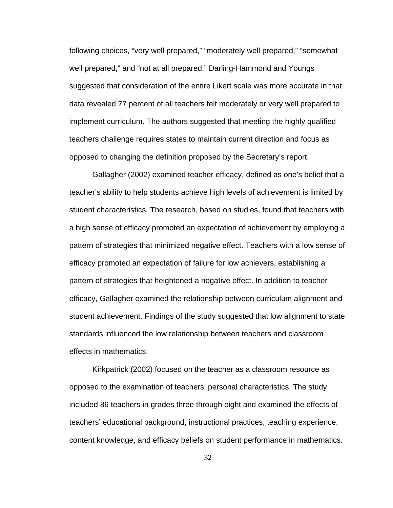following choices, "very well prepared," "moderately well prepared," "somewhat well prepared," and "not at all prepared." Darling-Hammond and Youngs suggested that consideration of the entire Likert scale was more accurate in that data revealed 77 percent of all teachers felt moderately or very well prepared to implement curriculum. The authors suggested that meeting the highly qualified teachers challenge requires states to maintain current direction and focus as opposed to changing the definition proposed by the Secretary's report.

 Gallagher (2002) examined teacher efficacy, defined as one's belief that a teacher's ability to help students achieve high levels of achievement is limited by student characteristics. The research, based on studies, found that teachers with a high sense of efficacy promoted an expectation of achievement by employing a pattern of strategies that minimized negative effect. Teachers with a low sense of efficacy promoted an expectation of failure for low achievers, establishing a pattern of strategies that heightened a negative effect. In addition to teacher efficacy, Gallagher examined the relationship between curriculum alignment and student achievement. Findings of the study suggested that low alignment to state standards influenced the low relationship between teachers and classroom effects in mathematics.

 Kirkpatrick (2002) focused on the teacher as a classroom resource as opposed to the examination of teachers' personal characteristics. The study included 86 teachers in grades three through eight and examined the effects of teachers' educational background, instructional practices, teaching experience, content knowledge, and efficacy beliefs on student performance in mathematics.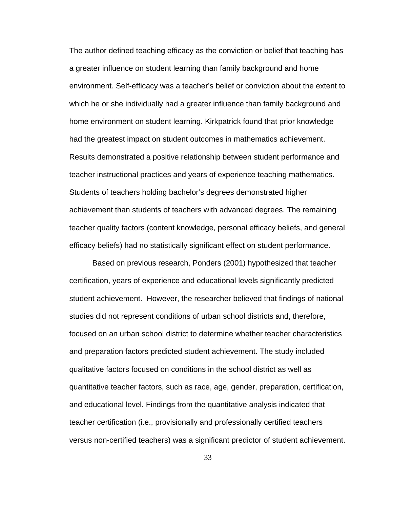The author defined teaching efficacy as the conviction or belief that teaching has a greater influence on student learning than family background and home environment. Self-efficacy was a teacher's belief or conviction about the extent to which he or she individually had a greater influence than family background and home environment on student learning. Kirkpatrick found that prior knowledge had the greatest impact on student outcomes in mathematics achievement. Results demonstrated a positive relationship between student performance and teacher instructional practices and years of experience teaching mathematics. Students of teachers holding bachelor's degrees demonstrated higher achievement than students of teachers with advanced degrees. The remaining teacher quality factors (content knowledge, personal efficacy beliefs, and general efficacy beliefs) had no statistically significant effect on student performance.

 Based on previous research, Ponders (2001) hypothesized that teacher certification, years of experience and educational levels significantly predicted student achievement. However, the researcher believed that findings of national studies did not represent conditions of urban school districts and, therefore, focused on an urban school district to determine whether teacher characteristics and preparation factors predicted student achievement. The study included qualitative factors focused on conditions in the school district as well as quantitative teacher factors, such as race, age, gender, preparation, certification, and educational level. Findings from the quantitative analysis indicated that teacher certification (i.e., provisionally and professionally certified teachers versus non-certified teachers) was a significant predictor of student achievement.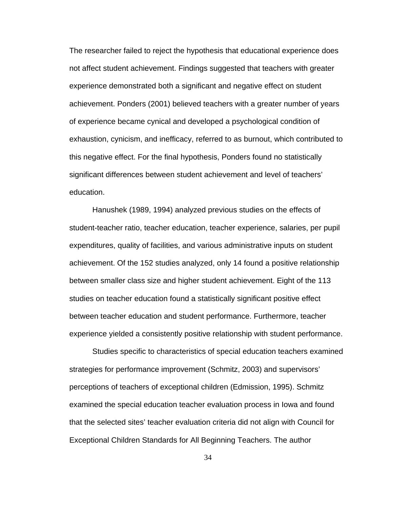The researcher failed to reject the hypothesis that educational experience does not affect student achievement. Findings suggested that teachers with greater experience demonstrated both a significant and negative effect on student achievement. Ponders (2001) believed teachers with a greater number of years of experience became cynical and developed a psychological condition of exhaustion, cynicism, and inefficacy, referred to as burnout, which contributed to this negative effect. For the final hypothesis, Ponders found no statistically significant differences between student achievement and level of teachers' education.

Hanushek (1989, 1994) analyzed previous studies on the effects of student-teacher ratio, teacher education, teacher experience, salaries, per pupil expenditures, quality of facilities, and various administrative inputs on student achievement. Of the 152 studies analyzed, only 14 found a positive relationship between smaller class size and higher student achievement. Eight of the 113 studies on teacher education found a statistically significant positive effect between teacher education and student performance. Furthermore, teacher experience yielded a consistently positive relationship with student performance.

Studies specific to characteristics of special education teachers examined strategies for performance improvement (Schmitz, 2003) and supervisors' perceptions of teachers of exceptional children (Edmission, 1995). Schmitz examined the special education teacher evaluation process in Iowa and found that the selected sites' teacher evaluation criteria did not align with Council for Exceptional Children Standards for All Beginning Teachers. The author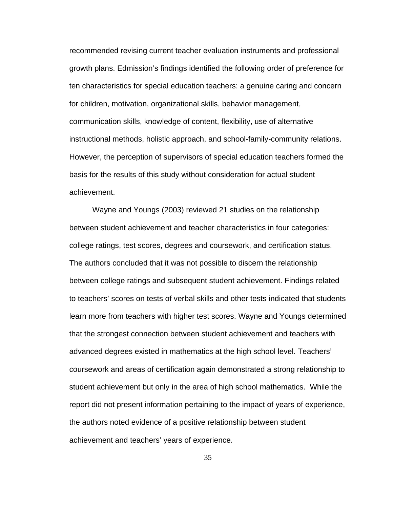recommended revising current teacher evaluation instruments and professional growth plans. Edmission's findings identified the following order of preference for ten characteristics for special education teachers: a genuine caring and concern for children, motivation, organizational skills, behavior management, communication skills, knowledge of content, flexibility, use of alternative instructional methods, holistic approach, and school-family-community relations. However, the perception of supervisors of special education teachers formed the basis for the results of this study without consideration for actual student achievement.

Wayne and Youngs (2003) reviewed 21 studies on the relationship between student achievement and teacher characteristics in four categories: college ratings, test scores, degrees and coursework, and certification status. The authors concluded that it was not possible to discern the relationship between college ratings and subsequent student achievement. Findings related to teachers' scores on tests of verbal skills and other tests indicated that students learn more from teachers with higher test scores. Wayne and Youngs determined that the strongest connection between student achievement and teachers with advanced degrees existed in mathematics at the high school level. Teachers' coursework and areas of certification again demonstrated a strong relationship to student achievement but only in the area of high school mathematics. While the report did not present information pertaining to the impact of years of experience, the authors noted evidence of a positive relationship between student achievement and teachers' years of experience.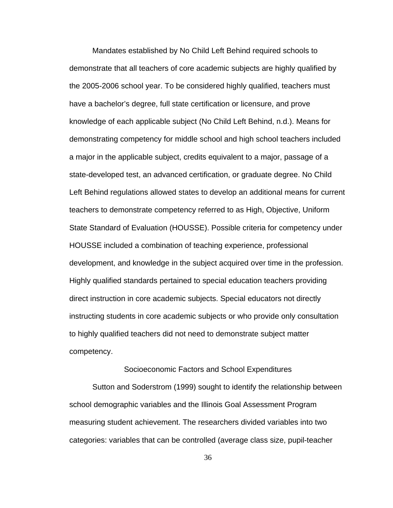Mandates established by No Child Left Behind required schools to demonstrate that all teachers of core academic subjects are highly qualified by the 2005-2006 school year. To be considered highly qualified, teachers must have a bachelor's degree, full state certification or licensure, and prove knowledge of each applicable subject (No Child Left Behind, n.d.). Means for demonstrating competency for middle school and high school teachers included a major in the applicable subject, credits equivalent to a major, passage of a state-developed test, an advanced certification, or graduate degree. No Child Left Behind regulations allowed states to develop an additional means for current teachers to demonstrate competency referred to as High, Objective, Uniform State Standard of Evaluation (HOUSSE). Possible criteria for competency under HOUSSE included a combination of teaching experience, professional development, and knowledge in the subject acquired over time in the profession. Highly qualified standards pertained to special education teachers providing direct instruction in core academic subjects. Special educators not directly instructing students in core academic subjects or who provide only consultation to highly qualified teachers did not need to demonstrate subject matter competency.

Socioeconomic Factors and School Expenditures

Sutton and Soderstrom (1999) sought to identify the relationship between school demographic variables and the Illinois Goal Assessment Program measuring student achievement. The researchers divided variables into two categories: variables that can be controlled (average class size, pupil-teacher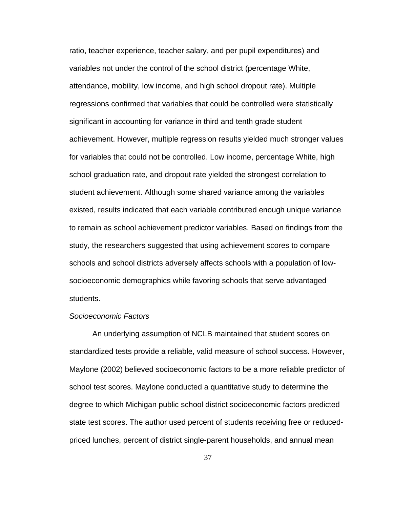ratio, teacher experience, teacher salary, and per pupil expenditures) and variables not under the control of the school district (percentage White, attendance, mobility, low income, and high school dropout rate). Multiple regressions confirmed that variables that could be controlled were statistically significant in accounting for variance in third and tenth grade student achievement. However, multiple regression results yielded much stronger values for variables that could not be controlled. Low income, percentage White, high school graduation rate, and dropout rate yielded the strongest correlation to student achievement. Although some shared variance among the variables existed, results indicated that each variable contributed enough unique variance to remain as school achievement predictor variables. Based on findings from the study, the researchers suggested that using achievement scores to compare schools and school districts adversely affects schools with a population of lowsocioeconomic demographics while favoring schools that serve advantaged students.

# *Socioeconomic Factors*

An underlying assumption of NCLB maintained that student scores on standardized tests provide a reliable, valid measure of school success. However, Maylone (2002) believed socioeconomic factors to be a more reliable predictor of school test scores. Maylone conducted a quantitative study to determine the degree to which Michigan public school district socioeconomic factors predicted state test scores. The author used percent of students receiving free or reducedpriced lunches, percent of district single-parent households, and annual mean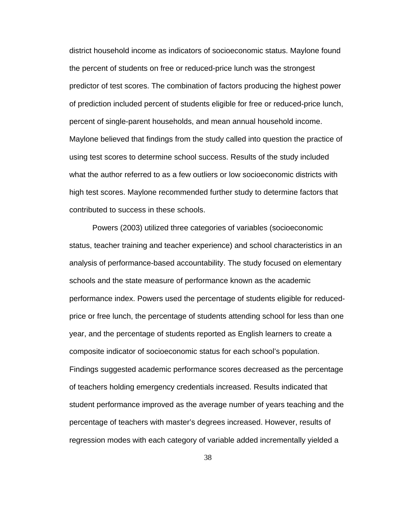district household income as indicators of socioeconomic status. Maylone found the percent of students on free or reduced-price lunch was the strongest predictor of test scores. The combination of factors producing the highest power of prediction included percent of students eligible for free or reduced-price lunch, percent of single-parent households, and mean annual household income. Maylone believed that findings from the study called into question the practice of using test scores to determine school success. Results of the study included what the author referred to as a few outliers or low socioeconomic districts with high test scores. Maylone recommended further study to determine factors that contributed to success in these schools.

Powers (2003) utilized three categories of variables (socioeconomic status, teacher training and teacher experience) and school characteristics in an analysis of performance-based accountability. The study focused on elementary schools and the state measure of performance known as the academic performance index. Powers used the percentage of students eligible for reducedprice or free lunch, the percentage of students attending school for less than one year, and the percentage of students reported as English learners to create a composite indicator of socioeconomic status for each school's population. Findings suggested academic performance scores decreased as the percentage of teachers holding emergency credentials increased. Results indicated that student performance improved as the average number of years teaching and the percentage of teachers with master's degrees increased. However, results of regression modes with each category of variable added incrementally yielded a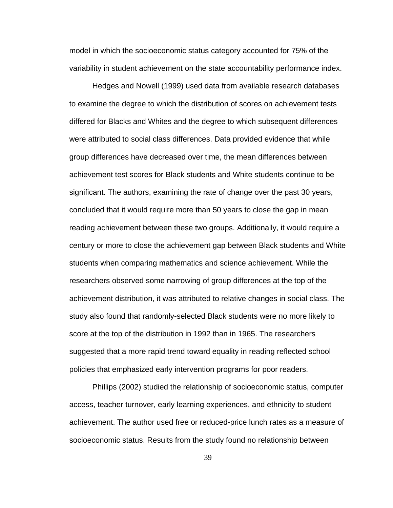model in which the socioeconomic status category accounted for 75% of the variability in student achievement on the state accountability performance index.

 Hedges and Nowell (1999) used data from available research databases to examine the degree to which the distribution of scores on achievement tests differed for Blacks and Whites and the degree to which subsequent differences were attributed to social class differences. Data provided evidence that while group differences have decreased over time, the mean differences between achievement test scores for Black students and White students continue to be significant. The authors, examining the rate of change over the past 30 years, concluded that it would require more than 50 years to close the gap in mean reading achievement between these two groups. Additionally, it would require a century or more to close the achievement gap between Black students and White students when comparing mathematics and science achievement. While the researchers observed some narrowing of group differences at the top of the achievement distribution, it was attributed to relative changes in social class. The study also found that randomly-selected Black students were no more likely to score at the top of the distribution in 1992 than in 1965. The researchers suggested that a more rapid trend toward equality in reading reflected school policies that emphasized early intervention programs for poor readers.

Phillips (2002) studied the relationship of socioeconomic status, computer access, teacher turnover, early learning experiences, and ethnicity to student achievement. The author used free or reduced-price lunch rates as a measure of socioeconomic status. Results from the study found no relationship between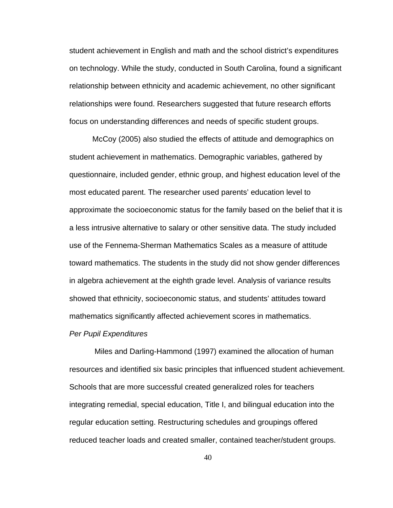student achievement in English and math and the school district's expenditures on technology. While the study, conducted in South Carolina, found a significant relationship between ethnicity and academic achievement, no other significant relationships were found. Researchers suggested that future research efforts focus on understanding differences and needs of specific student groups.

McCoy (2005) also studied the effects of attitude and demographics on student achievement in mathematics. Demographic variables, gathered by questionnaire, included gender, ethnic group, and highest education level of the most educated parent. The researcher used parents' education level to approximate the socioeconomic status for the family based on the belief that it is a less intrusive alternative to salary or other sensitive data. The study included use of the Fennema-Sherman Mathematics Scales as a measure of attitude toward mathematics. The students in the study did not show gender differences in algebra achievement at the eighth grade level. Analysis of variance results showed that ethnicity, socioeconomic status, and students' attitudes toward mathematics significantly affected achievement scores in mathematics.

#### *Per Pupil Expenditures*

Miles and Darling-Hammond (1997) examined the allocation of human resources and identified six basic principles that influenced student achievement. Schools that are more successful created generalized roles for teachers integrating remedial, special education, Title I, and bilingual education into the regular education setting. Restructuring schedules and groupings offered reduced teacher loads and created smaller, contained teacher/student groups.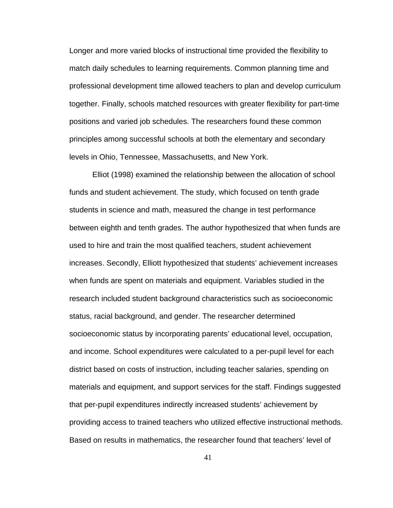Longer and more varied blocks of instructional time provided the flexibility to match daily schedules to learning requirements. Common planning time and professional development time allowed teachers to plan and develop curriculum together. Finally, schools matched resources with greater flexibility for part-time positions and varied job schedules. The researchers found these common principles among successful schools at both the elementary and secondary levels in Ohio, Tennessee, Massachusetts, and New York.

Elliot (1998) examined the relationship between the allocation of school funds and student achievement. The study, which focused on tenth grade students in science and math, measured the change in test performance between eighth and tenth grades. The author hypothesized that when funds are used to hire and train the most qualified teachers, student achievement increases. Secondly, Elliott hypothesized that students' achievement increases when funds are spent on materials and equipment. Variables studied in the research included student background characteristics such as socioeconomic status, racial background, and gender. The researcher determined socioeconomic status by incorporating parents' educational level, occupation, and income. School expenditures were calculated to a per-pupil level for each district based on costs of instruction, including teacher salaries, spending on materials and equipment, and support services for the staff. Findings suggested that per-pupil expenditures indirectly increased students' achievement by providing access to trained teachers who utilized effective instructional methods. Based on results in mathematics, the researcher found that teachers' level of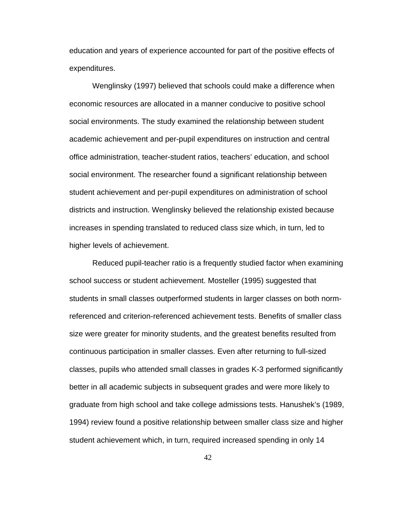education and years of experience accounted for part of the positive effects of expenditures.

Wenglinsky (1997) believed that schools could make a difference when economic resources are allocated in a manner conducive to positive school social environments. The study examined the relationship between student academic achievement and per-pupil expenditures on instruction and central office administration, teacher-student ratios, teachers' education, and school social environment. The researcher found a significant relationship between student achievement and per-pupil expenditures on administration of school districts and instruction. Wenglinsky believed the relationship existed because increases in spending translated to reduced class size which, in turn, led to higher levels of achievement.

Reduced pupil-teacher ratio is a frequently studied factor when examining school success or student achievement. Mosteller (1995) suggested that students in small classes outperformed students in larger classes on both normreferenced and criterion-referenced achievement tests. Benefits of smaller class size were greater for minority students, and the greatest benefits resulted from continuous participation in smaller classes. Even after returning to full-sized classes, pupils who attended small classes in grades K-3 performed significantly better in all academic subjects in subsequent grades and were more likely to graduate from high school and take college admissions tests. Hanushek's (1989, 1994) review found a positive relationship between smaller class size and higher student achievement which, in turn, required increased spending in only 14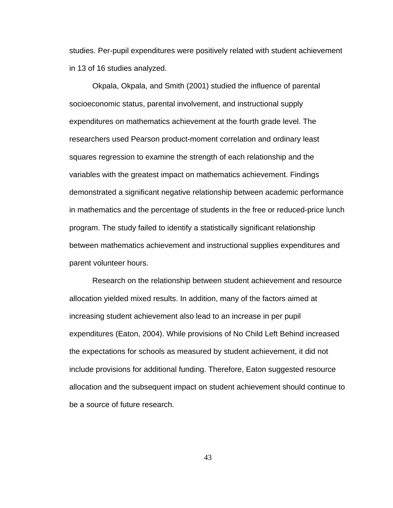studies. Per-pupil expenditures were positively related with student achievement in 13 of 16 studies analyzed.

Okpala, Okpala, and Smith (2001) studied the influence of parental socioeconomic status, parental involvement, and instructional supply expenditures on mathematics achievement at the fourth grade level. The researchers used Pearson product-moment correlation and ordinary least squares regression to examine the strength of each relationship and the variables with the greatest impact on mathematics achievement. Findings demonstrated a significant negative relationship between academic performance in mathematics and the percentage of students in the free or reduced-price lunch program. The study failed to identify a statistically significant relationship between mathematics achievement and instructional supplies expenditures and parent volunteer hours.

Research on the relationship between student achievement and resource allocation yielded mixed results. In addition, many of the factors aimed at increasing student achievement also lead to an increase in per pupil expenditures (Eaton, 2004). While provisions of No Child Left Behind increased the expectations for schools as measured by student achievement, it did not include provisions for additional funding. Therefore, Eaton suggested resource allocation and the subsequent impact on student achievement should continue to be a source of future research.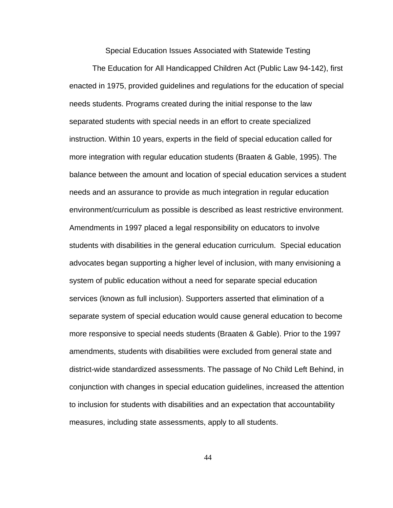Special Education Issues Associated with Statewide Testing

The Education for All Handicapped Children Act (Public Law 94-142), first enacted in 1975, provided guidelines and regulations for the education of special needs students. Programs created during the initial response to the law separated students with special needs in an effort to create specialized instruction. Within 10 years, experts in the field of special education called for more integration with regular education students (Braaten & Gable, 1995). The balance between the amount and location of special education services a student needs and an assurance to provide as much integration in regular education environment/curriculum as possible is described as least restrictive environment. Amendments in 1997 placed a legal responsibility on educators to involve students with disabilities in the general education curriculum. Special education advocates began supporting a higher level of inclusion, with many envisioning a system of public education without a need for separate special education services (known as full inclusion). Supporters asserted that elimination of a separate system of special education would cause general education to become more responsive to special needs students (Braaten & Gable). Prior to the 1997 amendments, students with disabilities were excluded from general state and district-wide standardized assessments. The passage of No Child Left Behind, in conjunction with changes in special education guidelines, increased the attention to inclusion for students with disabilities and an expectation that accountability measures, including state assessments, apply to all students.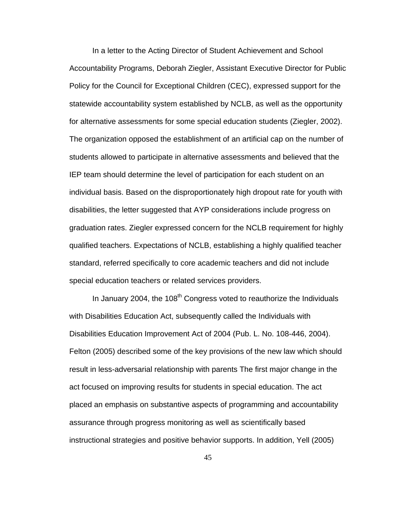In a letter to the Acting Director of Student Achievement and School Accountability Programs, Deborah Ziegler, Assistant Executive Director for Public Policy for the Council for Exceptional Children (CEC), expressed support for the statewide accountability system established by NCLB, as well as the opportunity for alternative assessments for some special education students (Ziegler, 2002). The organization opposed the establishment of an artificial cap on the number of students allowed to participate in alternative assessments and believed that the IEP team should determine the level of participation for each student on an individual basis. Based on the disproportionately high dropout rate for youth with disabilities, the letter suggested that AYP considerations include progress on graduation rates. Ziegler expressed concern for the NCLB requirement for highly qualified teachers. Expectations of NCLB, establishing a highly qualified teacher standard, referred specifically to core academic teachers and did not include special education teachers or related services providers.

In January 2004, the  $108<sup>th</sup>$  Congress voted to reauthorize the Individuals with Disabilities Education Act, subsequently called the Individuals with Disabilities Education Improvement Act of 2004 (Pub. L. No. 108-446, 2004). Felton (2005) described some of the key provisions of the new law which should result in less-adversarial relationship with parents The first major change in the act focused on improving results for students in special education. The act placed an emphasis on substantive aspects of programming and accountability assurance through progress monitoring as well as scientifically based instructional strategies and positive behavior supports. In addition, Yell (2005)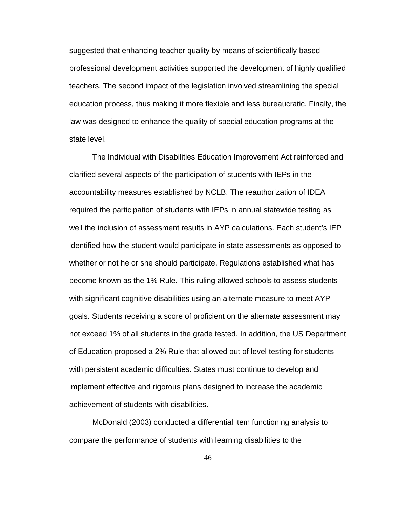suggested that enhancing teacher quality by means of scientifically based professional development activities supported the development of highly qualified teachers. The second impact of the legislation involved streamlining the special education process, thus making it more flexible and less bureaucratic. Finally, the law was designed to enhance the quality of special education programs at the state level.

The Individual with Disabilities Education Improvement Act reinforced and clarified several aspects of the participation of students with IEPs in the accountability measures established by NCLB. The reauthorization of IDEA required the participation of students with IEPs in annual statewide testing as well the inclusion of assessment results in AYP calculations. Each student's IEP identified how the student would participate in state assessments as opposed to whether or not he or she should participate. Regulations established what has become known as the 1% Rule. This ruling allowed schools to assess students with significant cognitive disabilities using an alternate measure to meet AYP goals. Students receiving a score of proficient on the alternate assessment may not exceed 1% of all students in the grade tested. In addition, the US Department of Education proposed a 2% Rule that allowed out of level testing for students with persistent academic difficulties. States must continue to develop and implement effective and rigorous plans designed to increase the academic achievement of students with disabilities.

McDonald (2003) conducted a differential item functioning analysis to compare the performance of students with learning disabilities to the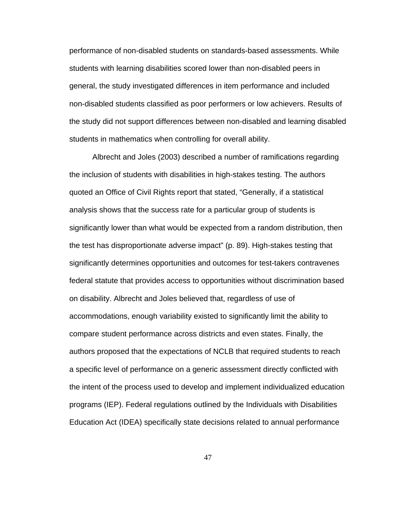performance of non-disabled students on standards-based assessments. While students with learning disabilities scored lower than non-disabled peers in general, the study investigated differences in item performance and included non-disabled students classified as poor performers or low achievers. Results of the study did not support differences between non-disabled and learning disabled students in mathematics when controlling for overall ability.

 Albrecht and Joles (2003) described a number of ramifications regarding the inclusion of students with disabilities in high-stakes testing. The authors quoted an Office of Civil Rights report that stated, "Generally, if a statistical analysis shows that the success rate for a particular group of students is significantly lower than what would be expected from a random distribution, then the test has disproportionate adverse impact" (p. 89). High-stakes testing that significantly determines opportunities and outcomes for test-takers contravenes federal statute that provides access to opportunities without discrimination based on disability. Albrecht and Joles believed that, regardless of use of accommodations, enough variability existed to significantly limit the ability to compare student performance across districts and even states. Finally, the authors proposed that the expectations of NCLB that required students to reach a specific level of performance on a generic assessment directly conflicted with the intent of the process used to develop and implement individualized education programs (IEP). Federal regulations outlined by the Individuals with Disabilities Education Act (IDEA) specifically state decisions related to annual performance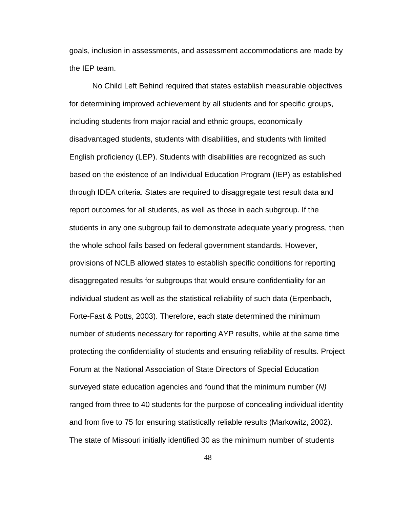goals, inclusion in assessments, and assessment accommodations are made by the IEP team.

No Child Left Behind required that states establish measurable objectives for determining improved achievement by all students and for specific groups, including students from major racial and ethnic groups, economically disadvantaged students, students with disabilities, and students with limited English proficiency (LEP). Students with disabilities are recognized as such based on the existence of an Individual Education Program (IEP) as established through IDEA criteria. States are required to disaggregate test result data and report outcomes for all students, as well as those in each subgroup. If the students in any one subgroup fail to demonstrate adequate yearly progress, then the whole school fails based on federal government standards. However, provisions of NCLB allowed states to establish specific conditions for reporting disaggregated results for subgroups that would ensure confidentiality for an individual student as well as the statistical reliability of such data (Erpenbach, Forte-Fast & Potts, 2003). Therefore, each state determined the minimum number of students necessary for reporting AYP results, while at the same time protecting the confidentiality of students and ensuring reliability of results. Project Forum at the National Association of State Directors of Special Education surveyed state education agencies and found that the minimum number (*N)* ranged from three to 40 students for the purpose of concealing individual identity and from five to 75 for ensuring statistically reliable results (Markowitz, 2002). The state of Missouri initially identified 30 as the minimum number of students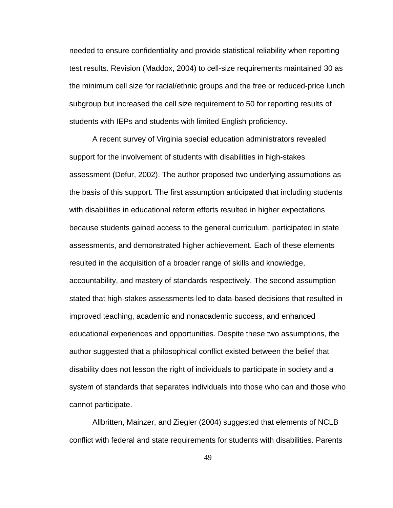needed to ensure confidentiality and provide statistical reliability when reporting test results. Revision (Maddox, 2004) to cell-size requirements maintained 30 as the minimum cell size for racial/ethnic groups and the free or reduced-price lunch subgroup but increased the cell size requirement to 50 for reporting results of students with IEPs and students with limited English proficiency.

 A recent survey of Virginia special education administrators revealed support for the involvement of students with disabilities in high-stakes assessment (Defur, 2002). The author proposed two underlying assumptions as the basis of this support. The first assumption anticipated that including students with disabilities in educational reform efforts resulted in higher expectations because students gained access to the general curriculum, participated in state assessments, and demonstrated higher achievement. Each of these elements resulted in the acquisition of a broader range of skills and knowledge, accountability, and mastery of standards respectively. The second assumption stated that high-stakes assessments led to data-based decisions that resulted in improved teaching, academic and nonacademic success, and enhanced educational experiences and opportunities. Despite these two assumptions, the author suggested that a philosophical conflict existed between the belief that disability does not lesson the right of individuals to participate in society and a system of standards that separates individuals into those who can and those who cannot participate.

 Allbritten, Mainzer, and Ziegler (2004) suggested that elements of NCLB conflict with federal and state requirements for students with disabilities. Parents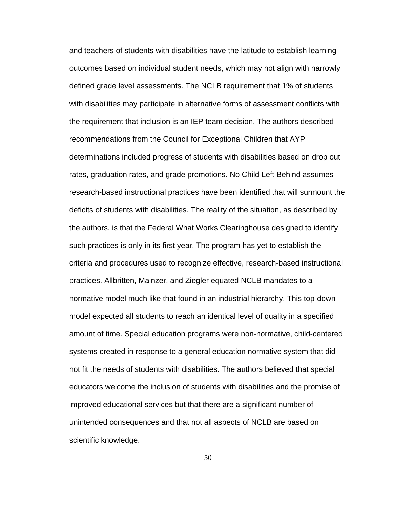and teachers of students with disabilities have the latitude to establish learning outcomes based on individual student needs, which may not align with narrowly defined grade level assessments. The NCLB requirement that 1% of students with disabilities may participate in alternative forms of assessment conflicts with the requirement that inclusion is an IEP team decision. The authors described recommendations from the Council for Exceptional Children that AYP determinations included progress of students with disabilities based on drop out rates, graduation rates, and grade promotions. No Child Left Behind assumes research-based instructional practices have been identified that will surmount the deficits of students with disabilities. The reality of the situation, as described by the authors, is that the Federal What Works Clearinghouse designed to identify such practices is only in its first year. The program has yet to establish the criteria and procedures used to recognize effective, research-based instructional practices. Allbritten, Mainzer, and Ziegler equated NCLB mandates to a normative model much like that found in an industrial hierarchy. This top-down model expected all students to reach an identical level of quality in a specified amount of time. Special education programs were non-normative, child-centered systems created in response to a general education normative system that did not fit the needs of students with disabilities. The authors believed that special educators welcome the inclusion of students with disabilities and the promise of improved educational services but that there are a significant number of unintended consequences and that not all aspects of NCLB are based on scientific knowledge.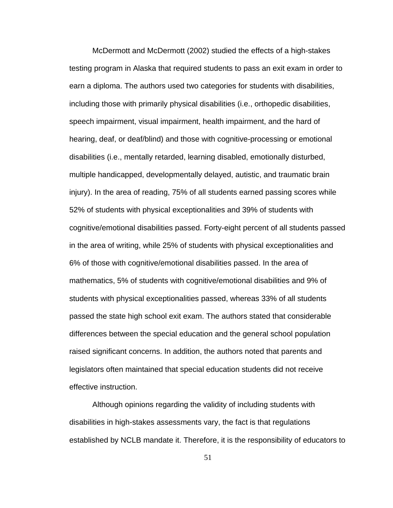McDermott and McDermott (2002) studied the effects of a high-stakes testing program in Alaska that required students to pass an exit exam in order to earn a diploma. The authors used two categories for students with disabilities, including those with primarily physical disabilities (i.e., orthopedic disabilities, speech impairment, visual impairment, health impairment, and the hard of hearing, deaf, or deaf/blind) and those with cognitive-processing or emotional disabilities (i.e., mentally retarded, learning disabled, emotionally disturbed, multiple handicapped, developmentally delayed, autistic, and traumatic brain injury). In the area of reading, 75% of all students earned passing scores while 52% of students with physical exceptionalities and 39% of students with cognitive/emotional disabilities passed. Forty-eight percent of all students passed in the area of writing, while 25% of students with physical exceptionalities and 6% of those with cognitive/emotional disabilities passed. In the area of mathematics, 5% of students with cognitive/emotional disabilities and 9% of students with physical exceptionalities passed, whereas 33% of all students passed the state high school exit exam. The authors stated that considerable differences between the special education and the general school population raised significant concerns. In addition, the authors noted that parents and legislators often maintained that special education students did not receive effective instruction.

 Although opinions regarding the validity of including students with disabilities in high-stakes assessments vary, the fact is that regulations established by NCLB mandate it. Therefore, it is the responsibility of educators to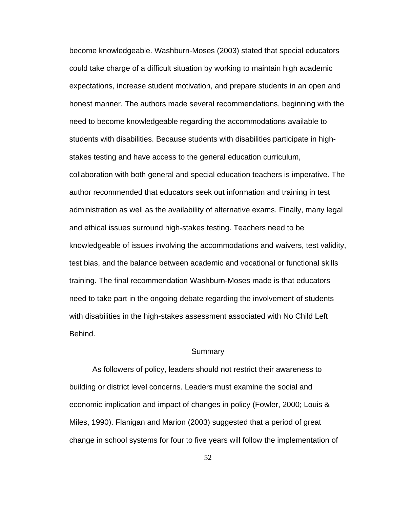become knowledgeable. Washburn-Moses (2003) stated that special educators could take charge of a difficult situation by working to maintain high academic expectations, increase student motivation, and prepare students in an open and honest manner. The authors made several recommendations, beginning with the need to become knowledgeable regarding the accommodations available to students with disabilities. Because students with disabilities participate in highstakes testing and have access to the general education curriculum, collaboration with both general and special education teachers is imperative. The author recommended that educators seek out information and training in test administration as well as the availability of alternative exams. Finally, many legal and ethical issues surround high-stakes testing. Teachers need to be knowledgeable of issues involving the accommodations and waivers, test validity, test bias, and the balance between academic and vocational or functional skills training. The final recommendation Washburn-Moses made is that educators need to take part in the ongoing debate regarding the involvement of students with disabilities in the high-stakes assessment associated with No Child Left Behind.

### **Summary**

As followers of policy, leaders should not restrict their awareness to building or district level concerns. Leaders must examine the social and economic implication and impact of changes in policy (Fowler, 2000; Louis & Miles, 1990). Flanigan and Marion (2003) suggested that a period of great change in school systems for four to five years will follow the implementation of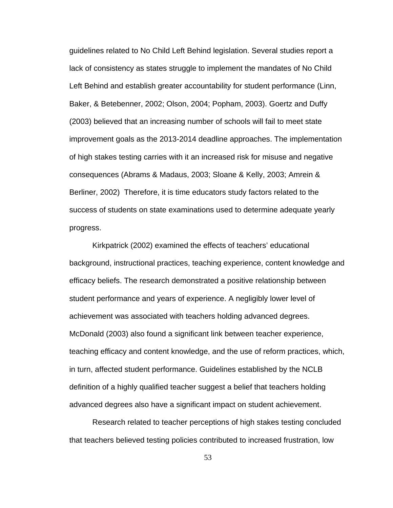guidelines related to No Child Left Behind legislation. Several studies report a lack of consistency as states struggle to implement the mandates of No Child Left Behind and establish greater accountability for student performance (Linn, Baker, & Betebenner, 2002; Olson, 2004; Popham, 2003). Goertz and Duffy (2003) believed that an increasing number of schools will fail to meet state improvement goals as the 2013-2014 deadline approaches. The implementation of high stakes testing carries with it an increased risk for misuse and negative consequences (Abrams & Madaus, 2003; Sloane & Kelly, 2003; Amrein & Berliner, 2002) Therefore, it is time educators study factors related to the success of students on state examinations used to determine adequate yearly progress.

Kirkpatrick (2002) examined the effects of teachers' educational background, instructional practices, teaching experience, content knowledge and efficacy beliefs. The research demonstrated a positive relationship between student performance and years of experience. A negligibly lower level of achievement was associated with teachers holding advanced degrees. McDonald (2003) also found a significant link between teacher experience, teaching efficacy and content knowledge, and the use of reform practices, which, in turn, affected student performance. Guidelines established by the NCLB definition of a highly qualified teacher suggest a belief that teachers holding advanced degrees also have a significant impact on student achievement.

 Research related to teacher perceptions of high stakes testing concluded that teachers believed testing policies contributed to increased frustration, low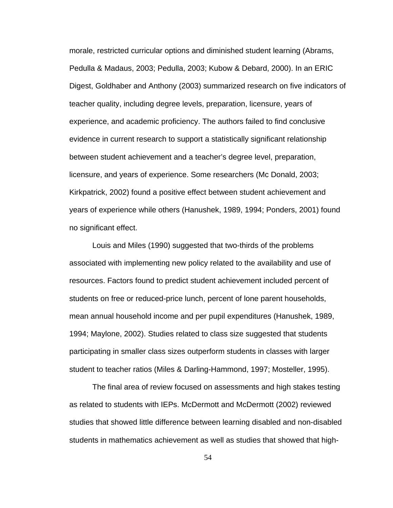morale, restricted curricular options and diminished student learning (Abrams, Pedulla & Madaus, 2003; Pedulla, 2003; Kubow & Debard, 2000). In an ERIC Digest, Goldhaber and Anthony (2003) summarized research on five indicators of teacher quality, including degree levels, preparation, licensure, years of experience, and academic proficiency. The authors failed to find conclusive evidence in current research to support a statistically significant relationship between student achievement and a teacher's degree level, preparation, licensure, and years of experience. Some researchers (Mc Donald, 2003; Kirkpatrick, 2002) found a positive effect between student achievement and years of experience while others (Hanushek, 1989, 1994; Ponders, 2001) found no significant effect.

Louis and Miles (1990) suggested that two-thirds of the problems associated with implementing new policy related to the availability and use of resources. Factors found to predict student achievement included percent of students on free or reduced-price lunch, percent of lone parent households, mean annual household income and per pupil expenditures (Hanushek, 1989, 1994; Maylone, 2002). Studies related to class size suggested that students participating in smaller class sizes outperform students in classes with larger student to teacher ratios (Miles & Darling-Hammond, 1997; Mosteller, 1995).

 The final area of review focused on assessments and high stakes testing as related to students with IEPs. McDermott and McDermott (2002) reviewed studies that showed little difference between learning disabled and non-disabled students in mathematics achievement as well as studies that showed that high-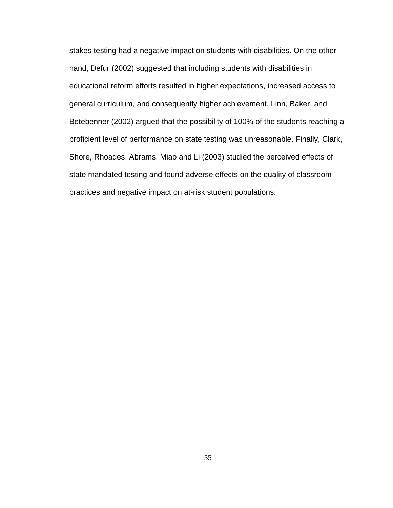stakes testing had a negative impact on students with disabilities. On the other hand, Defur (2002) suggested that including students with disabilities in educational reform efforts resulted in higher expectations, increased access to general curriculum, and consequently higher achievement. Linn, Baker, and Betebenner (2002) argued that the possibility of 100% of the students reaching a proficient level of performance on state testing was unreasonable. Finally, Clark, Shore, Rhoades, Abrams, Miao and Li (2003) studied the perceived effects of state mandated testing and found adverse effects on the quality of classroom practices and negative impact on at-risk student populations.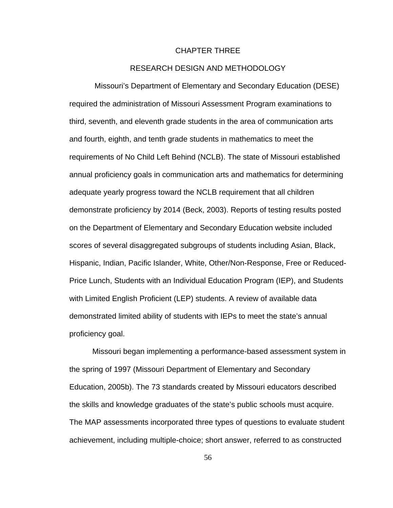# CHAPTER THREE

# RESEARCH DESIGN AND METHODOLOGY

 Missouri's Department of Elementary and Secondary Education (DESE) required the administration of Missouri Assessment Program examinations to third, seventh, and eleventh grade students in the area of communication arts and fourth, eighth, and tenth grade students in mathematics to meet the requirements of No Child Left Behind (NCLB). The state of Missouri established annual proficiency goals in communication arts and mathematics for determining adequate yearly progress toward the NCLB requirement that all children demonstrate proficiency by 2014 (Beck, 2003). Reports of testing results posted on the Department of Elementary and Secondary Education website included scores of several disaggregated subgroups of students including Asian, Black, Hispanic, Indian, Pacific Islander, White, Other/Non-Response, Free or Reduced-Price Lunch, Students with an Individual Education Program (IEP), and Students with Limited English Proficient (LEP) students. A review of available data demonstrated limited ability of students with IEPs to meet the state's annual proficiency goal.

Missouri began implementing a performance-based assessment system in the spring of 1997 (Missouri Department of Elementary and Secondary Education, 2005b). The 73 standards created by Missouri educators described the skills and knowledge graduates of the state's public schools must acquire. The MAP assessments incorporated three types of questions to evaluate student achievement, including multiple-choice; short answer, referred to as constructed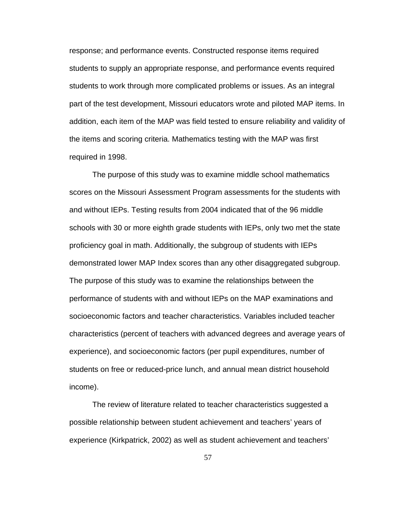response; and performance events. Constructed response items required students to supply an appropriate response, and performance events required students to work through more complicated problems or issues. As an integral part of the test development, Missouri educators wrote and piloted MAP items. In addition, each item of the MAP was field tested to ensure reliability and validity of the items and scoring criteria. Mathematics testing with the MAP was first required in 1998.

The purpose of this study was to examine middle school mathematics scores on the Missouri Assessment Program assessments for the students with and without IEPs. Testing results from 2004 indicated that of the 96 middle schools with 30 or more eighth grade students with IEPs, only two met the state proficiency goal in math. Additionally, the subgroup of students with IEPs demonstrated lower MAP Index scores than any other disaggregated subgroup. The purpose of this study was to examine the relationships between the performance of students with and without IEPs on the MAP examinations and socioeconomic factors and teacher characteristics. Variables included teacher characteristics (percent of teachers with advanced degrees and average years of experience), and socioeconomic factors (per pupil expenditures, number of students on free or reduced-price lunch, and annual mean district household income).

The review of literature related to teacher characteristics suggested a possible relationship between student achievement and teachers' years of experience (Kirkpatrick, 2002) as well as student achievement and teachers'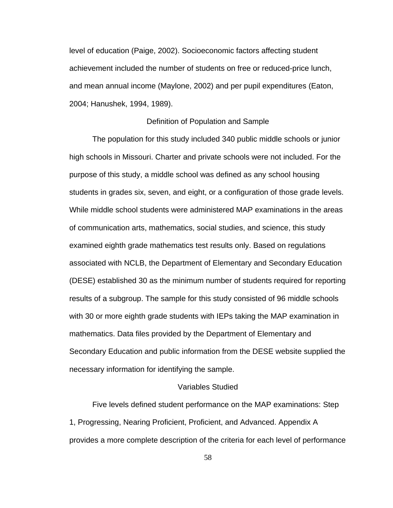level of education (Paige, 2002). Socioeconomic factors affecting student achievement included the number of students on free or reduced-price lunch, and mean annual income (Maylone, 2002) and per pupil expenditures (Eaton, 2004; Hanushek, 1994, 1989).

# Definition of Population and Sample

 The population for this study included 340 public middle schools or junior high schools in Missouri. Charter and private schools were not included. For the purpose of this study, a middle school was defined as any school housing students in grades six, seven, and eight, or a configuration of those grade levels. While middle school students were administered MAP examinations in the areas of communication arts, mathematics, social studies, and science, this study examined eighth grade mathematics test results only. Based on regulations associated with NCLB, the Department of Elementary and Secondary Education (DESE) established 30 as the minimum number of students required for reporting results of a subgroup. The sample for this study consisted of 96 middle schools with 30 or more eighth grade students with IEPs taking the MAP examination in mathematics. Data files provided by the Department of Elementary and Secondary Education and public information from the DESE website supplied the necessary information for identifying the sample.

# Variables Studied

Five levels defined student performance on the MAP examinations: Step 1, Progressing, Nearing Proficient, Proficient, and Advanced. Appendix A provides a more complete description of the criteria for each level of performance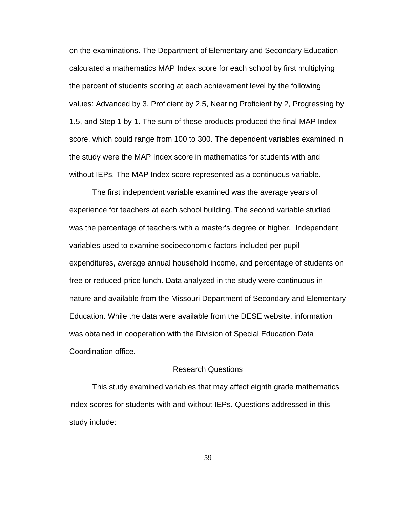on the examinations. The Department of Elementary and Secondary Education calculated a mathematics MAP Index score for each school by first multiplying the percent of students scoring at each achievement level by the following values: Advanced by 3, Proficient by 2.5, Nearing Proficient by 2, Progressing by 1.5, and Step 1 by 1. The sum of these products produced the final MAP Index score, which could range from 100 to 300. The dependent variables examined in the study were the MAP Index score in mathematics for students with and without IEPs. The MAP Index score represented as a continuous variable.

 The first independent variable examined was the average years of experience for teachers at each school building. The second variable studied was the percentage of teachers with a master's degree or higher. Independent variables used to examine socioeconomic factors included per pupil expenditures, average annual household income, and percentage of students on free or reduced-price lunch. Data analyzed in the study were continuous in nature and available from the Missouri Department of Secondary and Elementary Education. While the data were available from the DESE website, information was obtained in cooperation with the Division of Special Education Data Coordination office.

# Research Questions

This study examined variables that may affect eighth grade mathematics index scores for students with and without IEPs. Questions addressed in this study include: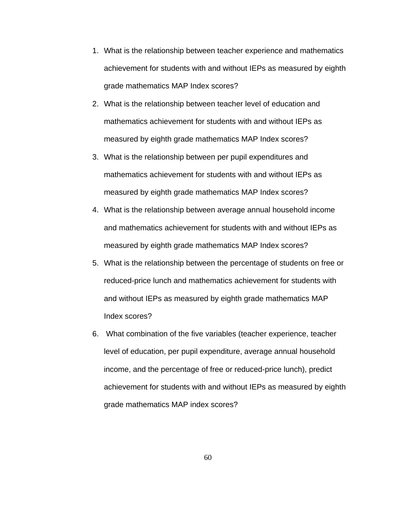- 1. What is the relationship between teacher experience and mathematics achievement for students with and without IEPs as measured by eighth grade mathematics MAP Index scores?
- 2. What is the relationship between teacher level of education and mathematics achievement for students with and without IEPs as measured by eighth grade mathematics MAP Index scores?
- 3. What is the relationship between per pupil expenditures and mathematics achievement for students with and without IEPs as measured by eighth grade mathematics MAP Index scores?
- 4. What is the relationship between average annual household income and mathematics achievement for students with and without IEPs as measured by eighth grade mathematics MAP Index scores?
- 5. What is the relationship between the percentage of students on free or reduced-price lunch and mathematics achievement for students with and without IEPs as measured by eighth grade mathematics MAP Index scores?
- 6. What combination of the five variables (teacher experience, teacher level of education, per pupil expenditure, average annual household income, and the percentage of free or reduced-price lunch), predict achievement for students with and without IEPs as measured by eighth grade mathematics MAP index scores?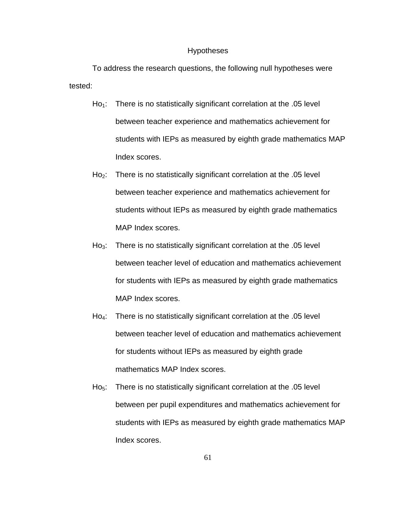# Hypotheses

To address the research questions, the following null hypotheses were tested:

- $Ho_1$ : There is no statistically significant correlation at the .05 level between teacher experience and mathematics achievement for students with IEPs as measured by eighth grade mathematics MAP Index scores.
- Ho<sub>2</sub>: There is no statistically significant correlation at the .05 level between teacher experience and mathematics achievement for students without IEPs as measured by eighth grade mathematics MAP Index scores.
- Ho<sub>3</sub>: There is no statistically significant correlation at the  $.05$  level between teacher level of education and mathematics achievement for students with IEPs as measured by eighth grade mathematics MAP Index scores.
- Ho<sub>4</sub>: There is no statistically significant correlation at the .05 level between teacher level of education and mathematics achievement for students without IEPs as measured by eighth grade mathematics MAP Index scores.
- Ho<sub>5</sub>: There is no statistically significant correlation at the  $.05$  level between per pupil expenditures and mathematics achievement for students with IEPs as measured by eighth grade mathematics MAP Index scores.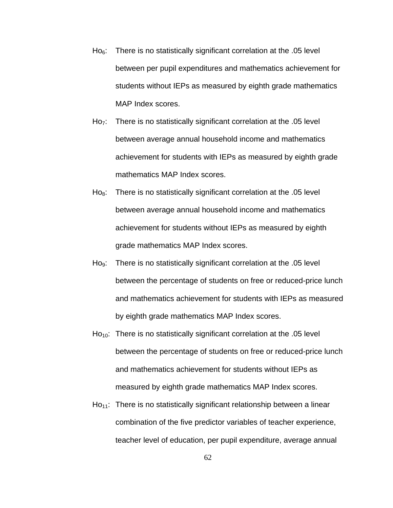- $Ho<sub>6</sub>$ : There is no statistically significant correlation at the .05 level between per pupil expenditures and mathematics achievement for students without IEPs as measured by eighth grade mathematics MAP Index scores.
- $Ho<sub>7</sub>:$  There is no statistically significant correlation at the .05 level between average annual household income and mathematics achievement for students with IEPs as measured by eighth grade mathematics MAP Index scores.
- $Ho<sub>8</sub>$ : There is no statistically significant correlation at the  $.05$  level between average annual household income and mathematics achievement for students without IEPs as measured by eighth grade mathematics MAP Index scores.
- Ho<sub>9</sub>: There is no statistically significant correlation at the .05 level between the percentage of students on free or reduced-price lunch and mathematics achievement for students with IEPs as measured by eighth grade mathematics MAP Index scores.
- $Ho_{10}$ : There is no statistically significant correlation at the .05 level between the percentage of students on free or reduced-price lunch and mathematics achievement for students without IEPs as measured by eighth grade mathematics MAP Index scores.
- $Ho<sub>11</sub>:$  There is no statistically significant relationship between a linear combination of the five predictor variables of teacher experience, teacher level of education, per pupil expenditure, average annual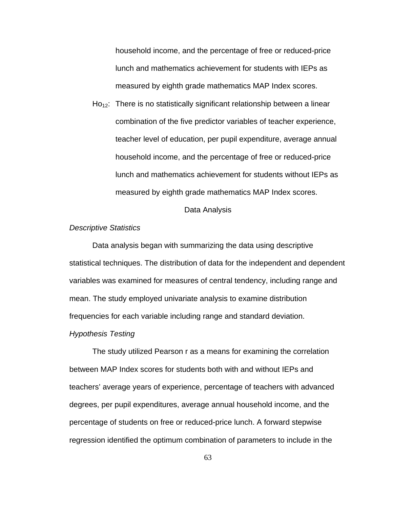household income, and the percentage of free or reduced-price lunch and mathematics achievement for students with IEPs as measured by eighth grade mathematics MAP Index scores.

 $Ho_{12}$ : There is no statistically significant relationship between a linear combination of the five predictor variables of teacher experience, teacher level of education, per pupil expenditure, average annual household income, and the percentage of free or reduced-price lunch and mathematics achievement for students without IEPs as measured by eighth grade mathematics MAP Index scores.

#### Data Analysis

#### *Descriptive Statistics*

 Data analysis began with summarizing the data using descriptive statistical techniques. The distribution of data for the independent and dependent variables was examined for measures of central tendency, including range and mean. The study employed univariate analysis to examine distribution frequencies for each variable including range and standard deviation.

#### *Hypothesis Testing*

The study utilized Pearson r as a means for examining the correlation between MAP Index scores for students both with and without IEPs and teachers' average years of experience, percentage of teachers with advanced degrees, per pupil expenditures, average annual household income, and the percentage of students on free or reduced-price lunch. A forward stepwise regression identified the optimum combination of parameters to include in the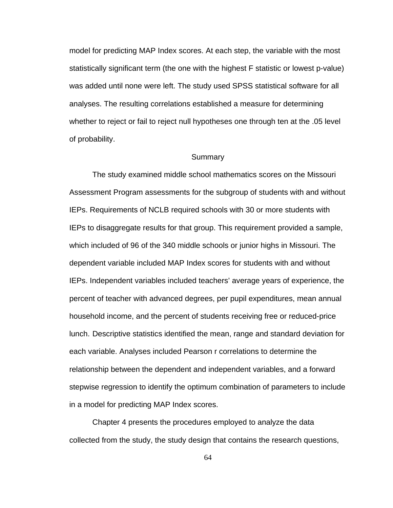model for predicting MAP Index scores. At each step, the variable with the most statistically significant term (the one with the highest F statistic or lowest p-value) was added until none were left. The study used SPSS statistical software for all analyses. The resulting correlations established a measure for determining whether to reject or fail to reject null hypotheses one through ten at the .05 level of probability.

#### Summary

 The study examined middle school mathematics scores on the Missouri Assessment Program assessments for the subgroup of students with and without IEPs. Requirements of NCLB required schools with 30 or more students with IEPs to disaggregate results for that group. This requirement provided a sample, which included of 96 of the 340 middle schools or junior highs in Missouri. The dependent variable included MAP Index scores for students with and without IEPs. Independent variables included teachers' average years of experience, the percent of teacher with advanced degrees, per pupil expenditures, mean annual household income, and the percent of students receiving free or reduced-price lunch. Descriptive statistics identified the mean, range and standard deviation for each variable. Analyses included Pearson r correlations to determine the relationship between the dependent and independent variables, and a forward stepwise regression to identify the optimum combination of parameters to include in a model for predicting MAP Index scores.

 Chapter 4 presents the procedures employed to analyze the data collected from the study, the study design that contains the research questions,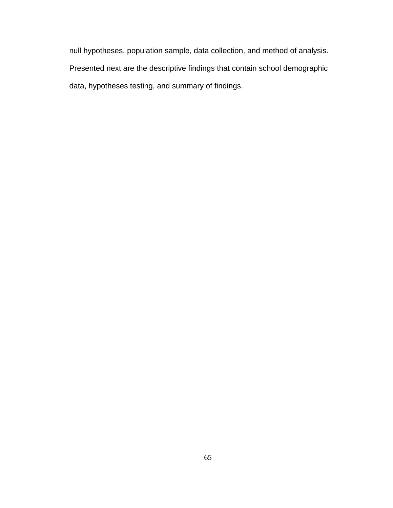null hypotheses, population sample, data collection, and method of analysis. Presented next are the descriptive findings that contain school demographic data, hypotheses testing, and summary of findings.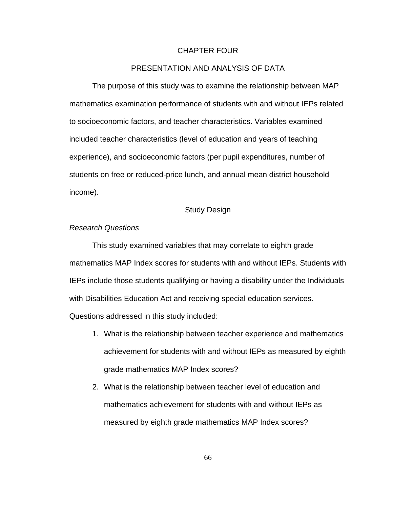#### CHAPTER FOUR

## PRESENTATION AND ANALYSIS OF DATA

The purpose of this study was to examine the relationship between MAP mathematics examination performance of students with and without IEPs related to socioeconomic factors, and teacher characteristics. Variables examined included teacher characteristics (level of education and years of teaching experience), and socioeconomic factors (per pupil expenditures, number of students on free or reduced-price lunch, and annual mean district household income).

## Study Design

## *Research Questions*

This study examined variables that may correlate to eighth grade mathematics MAP Index scores for students with and without IEPs. Students with IEPs include those students qualifying or having a disability under the Individuals with Disabilities Education Act and receiving special education services.

Questions addressed in this study included:

- 1. What is the relationship between teacher experience and mathematics achievement for students with and without IEPs as measured by eighth grade mathematics MAP Index scores?
- 2. What is the relationship between teacher level of education and mathematics achievement for students with and without IEPs as measured by eighth grade mathematics MAP Index scores?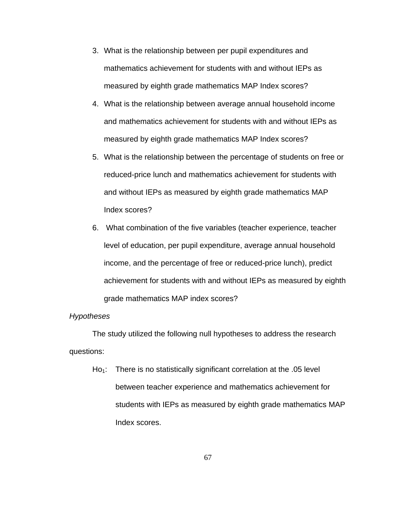- 3. What is the relationship between per pupil expenditures and mathematics achievement for students with and without IEPs as measured by eighth grade mathematics MAP Index scores?
- 4. What is the relationship between average annual household income and mathematics achievement for students with and without IEPs as measured by eighth grade mathematics MAP Index scores?
- 5. What is the relationship between the percentage of students on free or reduced-price lunch and mathematics achievement for students with and without IEPs as measured by eighth grade mathematics MAP Index scores?
- 6. What combination of the five variables (teacher experience, teacher level of education, per pupil expenditure, average annual household income, and the percentage of free or reduced-price lunch), predict achievement for students with and without IEPs as measured by eighth grade mathematics MAP index scores?

## *Hypotheses*

The study utilized the following null hypotheses to address the research questions:

 $Ho_1$ : There is no statistically significant correlation at the .05 level between teacher experience and mathematics achievement for students with IEPs as measured by eighth grade mathematics MAP Index scores.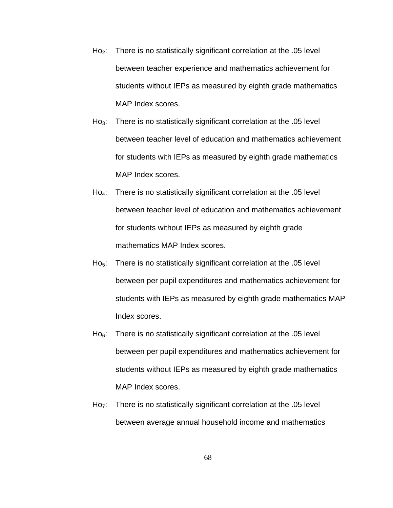- $Ho<sub>2</sub>:$  There is no statistically significant correlation at the .05 level between teacher experience and mathematics achievement for students without IEPs as measured by eighth grade mathematics MAP Index scores.
- Ho<sub>3</sub>: There is no statistically significant correlation at the  $.05$  level between teacher level of education and mathematics achievement for students with IEPs as measured by eighth grade mathematics MAP Index scores.
- Ho<sub>4</sub>: There is no statistically significant correlation at the .05 level between teacher level of education and mathematics achievement for students without IEPs as measured by eighth grade mathematics MAP Index scores.
- Ho<sub>5</sub>: There is no statistically significant correlation at the .05 level between per pupil expenditures and mathematics achievement for students with IEPs as measured by eighth grade mathematics MAP Index scores.
- $Ho<sub>6</sub>:$  There is no statistically significant correlation at the .05 level between per pupil expenditures and mathematics achievement for students without IEPs as measured by eighth grade mathematics MAP Index scores.
- Ho<sub>7</sub>: There is no statistically significant correlation at the .05 level between average annual household income and mathematics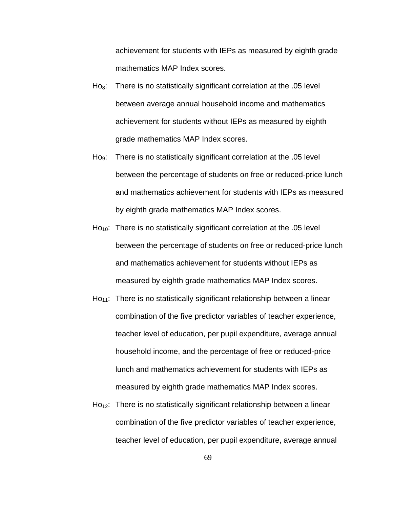achievement for students with IEPs as measured by eighth grade mathematics MAP Index scores.

- $H<sub>08</sub>$ : There is no statistically significant correlation at the .05 level between average annual household income and mathematics achievement for students without IEPs as measured by eighth grade mathematics MAP Index scores.
- Ho<sub>9</sub>: There is no statistically significant correlation at the  $.05$  level between the percentage of students on free or reduced-price lunch and mathematics achievement for students with IEPs as measured by eighth grade mathematics MAP Index scores.
- $Ho_{10}$ : There is no statistically significant correlation at the .05 level between the percentage of students on free or reduced-price lunch and mathematics achievement for students without IEPs as measured by eighth grade mathematics MAP Index scores.
- $Ho_{11}$ : There is no statistically significant relationship between a linear combination of the five predictor variables of teacher experience, teacher level of education, per pupil expenditure, average annual household income, and the percentage of free or reduced-price lunch and mathematics achievement for students with IEPs as measured by eighth grade mathematics MAP Index scores.
- $Ho_{12}$ : There is no statistically significant relationship between a linear combination of the five predictor variables of teacher experience, teacher level of education, per pupil expenditure, average annual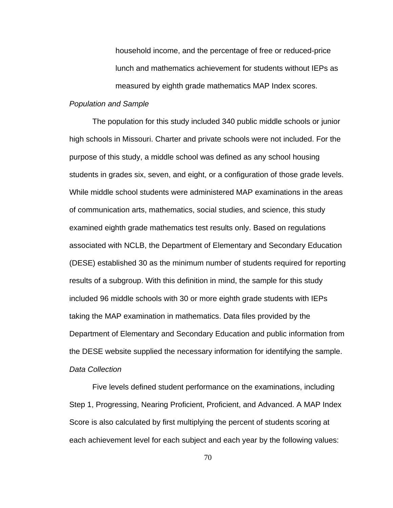household income, and the percentage of free or reduced-price lunch and mathematics achievement for students without IEPs as measured by eighth grade mathematics MAP Index scores.

## *Population and Sample*

 The population for this study included 340 public middle schools or junior high schools in Missouri. Charter and private schools were not included. For the purpose of this study, a middle school was defined as any school housing students in grades six, seven, and eight, or a configuration of those grade levels. While middle school students were administered MAP examinations in the areas of communication arts, mathematics, social studies, and science, this study examined eighth grade mathematics test results only. Based on regulations associated with NCLB, the Department of Elementary and Secondary Education (DESE) established 30 as the minimum number of students required for reporting results of a subgroup. With this definition in mind, the sample for this study included 96 middle schools with 30 or more eighth grade students with IEPs taking the MAP examination in mathematics. Data files provided by the Department of Elementary and Secondary Education and public information from the DESE website supplied the necessary information for identifying the sample. *Data Collection*

 Five levels defined student performance on the examinations, including Step 1, Progressing, Nearing Proficient, Proficient, and Advanced. A MAP Index Score is also calculated by first multiplying the percent of students scoring at each achievement level for each subject and each year by the following values: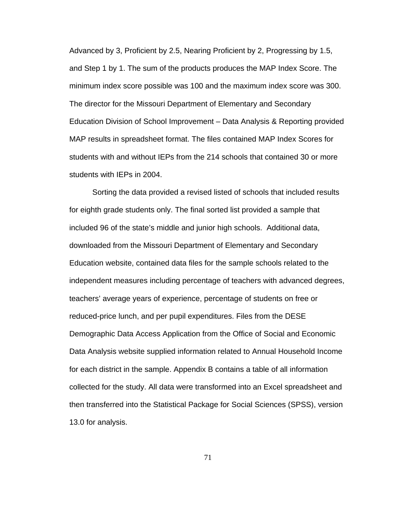Advanced by 3, Proficient by 2.5, Nearing Proficient by 2, Progressing by 1.5, and Step 1 by 1. The sum of the products produces the MAP Index Score. The minimum index score possible was 100 and the maximum index score was 300. The director for the Missouri Department of Elementary and Secondary Education Division of School Improvement – Data Analysis & Reporting provided MAP results in spreadsheet format. The files contained MAP Index Scores for students with and without IEPs from the 214 schools that contained 30 or more students with IEPs in 2004.

Sorting the data provided a revised listed of schools that included results for eighth grade students only. The final sorted list provided a sample that included 96 of the state's middle and junior high schools. Additional data, downloaded from the Missouri Department of Elementary and Secondary Education website, contained data files for the sample schools related to the independent measures including percentage of teachers with advanced degrees, teachers' average years of experience, percentage of students on free or reduced-price lunch, and per pupil expenditures. Files from the DESE Demographic Data Access Application from the Office of Social and Economic Data Analysis website supplied information related to Annual Household Income for each district in the sample. Appendix B contains a table of all information collected for the study. All data were transformed into an Excel spreadsheet and then transferred into the Statistical Package for Social Sciences (SPSS), version 13.0 for analysis.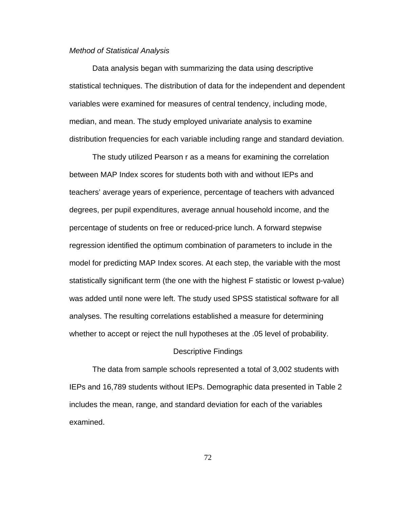## *Method of Statistical Analysis*

 Data analysis began with summarizing the data using descriptive statistical techniques. The distribution of data for the independent and dependent variables were examined for measures of central tendency, including mode, median, and mean. The study employed univariate analysis to examine distribution frequencies for each variable including range and standard deviation.

The study utilized Pearson r as a means for examining the correlation between MAP Index scores for students both with and without IEPs and teachers' average years of experience, percentage of teachers with advanced degrees, per pupil expenditures, average annual household income, and the percentage of students on free or reduced-price lunch. A forward stepwise regression identified the optimum combination of parameters to include in the model for predicting MAP Index scores. At each step, the variable with the most statistically significant term (the one with the highest F statistic or lowest p-value) was added until none were left. The study used SPSS statistical software for all analyses. The resulting correlations established a measure for determining whether to accept or reject the null hypotheses at the .05 level of probability.

#### Descriptive Findings

 The data from sample schools represented a total of 3,002 students with IEPs and 16,789 students without IEPs. Demographic data presented in Table 2 includes the mean, range, and standard deviation for each of the variables examined.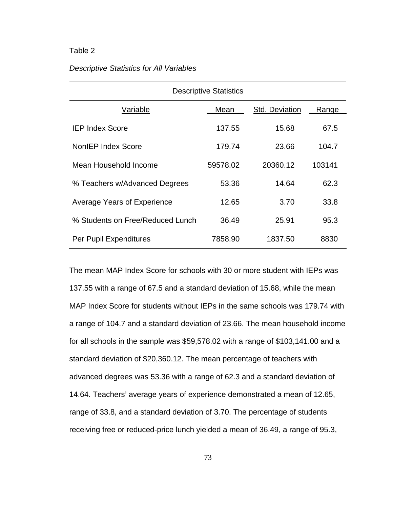## Table 2

## *Descriptive Statistics for All Variables*

| <b>Descriptive Statistics</b>    |          |                |        |  |  |  |  |
|----------------------------------|----------|----------------|--------|--|--|--|--|
| Variable                         | Mean     | Std. Deviation | Range  |  |  |  |  |
| <b>IEP Index Score</b>           | 137.55   | 15.68          | 67.5   |  |  |  |  |
| <b>NonIEP Index Score</b>        | 179.74   | 23.66          | 104.7  |  |  |  |  |
| Mean Household Income            | 59578.02 | 20360.12       | 103141 |  |  |  |  |
| % Teachers w/Advanced Degrees    | 53.36    | 14.64          | 62.3   |  |  |  |  |
| Average Years of Experience      | 12.65    | 3.70           | 33.8   |  |  |  |  |
| % Students on Free/Reduced Lunch | 36.49    | 25.91          | 95.3   |  |  |  |  |
| Per Pupil Expenditures           | 7858.90  | 1837.50        | 8830   |  |  |  |  |

The mean MAP Index Score for schools with 30 or more student with IEPs was 137.55 with a range of 67.5 and a standard deviation of 15.68, while the mean MAP Index Score for students without IEPs in the same schools was 179.74 with a range of 104.7 and a standard deviation of 23.66. The mean household income for all schools in the sample was \$59,578.02 with a range of \$103,141.00 and a standard deviation of \$20,360.12. The mean percentage of teachers with advanced degrees was 53.36 with a range of 62.3 and a standard deviation of 14.64. Teachers' average years of experience demonstrated a mean of 12.65, range of 33.8, and a standard deviation of 3.70. The percentage of students receiving free or reduced-price lunch yielded a mean of 36.49, a range of 95.3,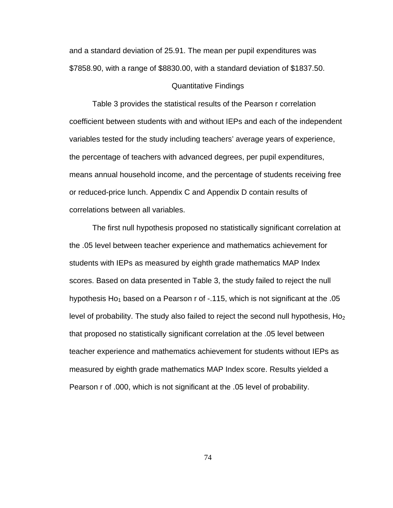and a standard deviation of 25.91. The mean per pupil expenditures was \$7858.90, with a range of \$8830.00, with a standard deviation of \$1837.50.

## Quantitative Findings

Table 3 provides the statistical results of the Pearson r correlation coefficient between students with and without IEPs and each of the independent variables tested for the study including teachers' average years of experience, the percentage of teachers with advanced degrees, per pupil expenditures, means annual household income, and the percentage of students receiving free or reduced-price lunch. Appendix C and Appendix D contain results of correlations between all variables.

The first null hypothesis proposed no statistically significant correlation at the .05 level between teacher experience and mathematics achievement for students with IEPs as measured by eighth grade mathematics MAP Index scores. Based on data presented in Table 3, the study failed to reject the null hypothesis Ho<sub>1</sub> based on a Pearson r of  $-115$ , which is not significant at the .05 level of probability. The study also failed to reject the second null hypothesis,  $Ho<sub>2</sub>$ that proposed no statistically significant correlation at the .05 level between teacher experience and mathematics achievement for students without IEPs as measured by eighth grade mathematics MAP Index score. Results yielded a Pearson r of .000, which is not significant at the .05 level of probability.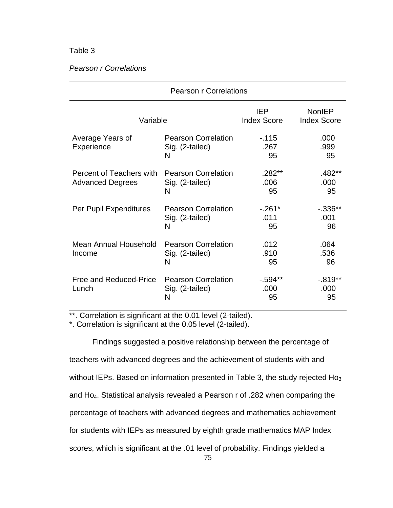# Table 3

## *Pearson r Correlations*

|                                                     | <b>Pearson r Correlations</b>                      |                                  |                                     |  |  |  |  |
|-----------------------------------------------------|----------------------------------------------------|----------------------------------|-------------------------------------|--|--|--|--|
| <b>Variable</b>                                     |                                                    | <b>IEP</b><br><b>Index Score</b> | <b>NonIEP</b><br><b>Index Score</b> |  |  |  |  |
| Average Years of<br>Experience                      | <b>Pearson Correlation</b><br>Sig. (2-tailed)<br>N | $-115$<br>.267<br>95             | .000<br>.999<br>95                  |  |  |  |  |
| Percent of Teachers with<br><b>Advanced Degrees</b> | <b>Pearson Correlation</b><br>Sig. (2-tailed)<br>N | $.282**$<br>.006<br>95           | .482**<br>.000<br>95                |  |  |  |  |
| Per Pupil Expenditures                              | <b>Pearson Correlation</b><br>Sig. (2-tailed)<br>N | $-.261*$<br>.011<br>95           | $-0.336**$<br>.001<br>96            |  |  |  |  |
| Mean Annual Household<br>Income                     | <b>Pearson Correlation</b><br>Sig. (2-tailed)<br>N | .012<br>.910<br>95               | .064<br>.536<br>96                  |  |  |  |  |
| Free and Reduced-Price<br>Lunch                     | <b>Pearson Correlation</b><br>Sig. (2-tailed)<br>N | $-594**$<br>.000<br>95           | $-.819**$<br>.000<br>95             |  |  |  |  |

\*\*. Correlation is significant at the 0.01 level (2-tailed).

\*. Correlation is significant at the 0.05 level (2-tailed).

Findings suggested a positive relationship between the percentage of teachers with advanced degrees and the achievement of students with and without IEPs. Based on information presented in Table 3, the study rejected  $H_0$ <sub>3</sub> and Ho4. Statistical analysis revealed a Pearson r of .282 when comparing the percentage of teachers with advanced degrees and mathematics achievement for students with IEPs as measured by eighth grade mathematics MAP Index scores, which is significant at the .01 level of probability. Findings yielded a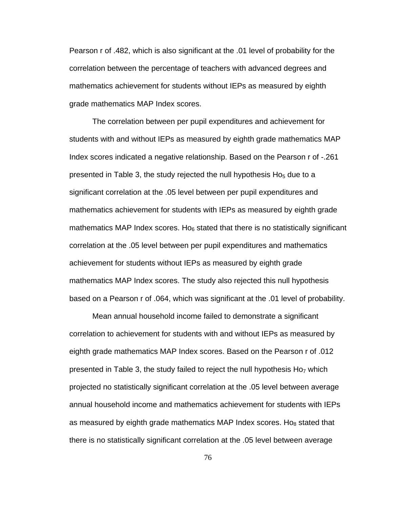Pearson r of .482, which is also significant at the .01 level of probability for the correlation between the percentage of teachers with advanced degrees and mathematics achievement for students without IEPs as measured by eighth grade mathematics MAP Index scores.

The correlation between per pupil expenditures and achievement for students with and without IEPs as measured by eighth grade mathematics MAP Index scores indicated a negative relationship. Based on the Pearson r of -.261 presented in Table 3, the study rejected the null hypothesis  $Ho<sub>5</sub>$  due to a significant correlation at the .05 level between per pupil expenditures and mathematics achievement for students with IEPs as measured by eighth grade mathematics MAP Index scores. Ho $<sub>6</sub>$  stated that there is no statistically significant</sub> correlation at the .05 level between per pupil expenditures and mathematics achievement for students without IEPs as measured by eighth grade mathematics MAP Index scores. The study also rejected this null hypothesis based on a Pearson r of .064, which was significant at the .01 level of probability.

Mean annual household income failed to demonstrate a significant correlation to achievement for students with and without IEPs as measured by eighth grade mathematics MAP Index scores. Based on the Pearson r of .012 presented in Table 3, the study failed to reject the null hypothesis  $Ho<sub>7</sub>$  which projected no statistically significant correlation at the .05 level between average annual household income and mathematics achievement for students with IEPs as measured by eighth grade mathematics MAP Index scores. Ho $_8$  stated that there is no statistically significant correlation at the .05 level between average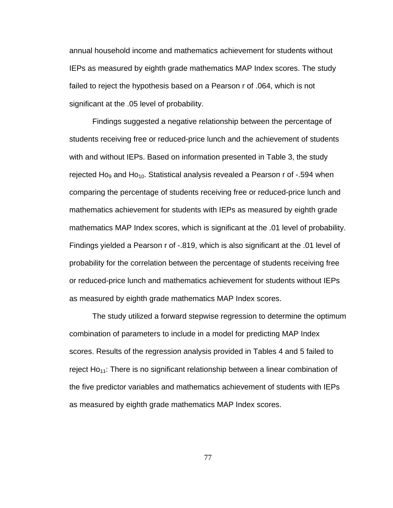annual household income and mathematics achievement for students without IEPs as measured by eighth grade mathematics MAP Index scores. The study failed to reject the hypothesis based on a Pearson r of .064, which is not significant at the .05 level of probability.

Findings suggested a negative relationship between the percentage of students receiving free or reduced-price lunch and the achievement of students with and without IEPs. Based on information presented in Table 3, the study rejected Ho<sub>9</sub> and Ho<sub>10</sub>. Statistical analysis revealed a Pearson r of -.594 when comparing the percentage of students receiving free or reduced-price lunch and mathematics achievement for students with IEPs as measured by eighth grade mathematics MAP Index scores, which is significant at the .01 level of probability. Findings yielded a Pearson r of -.819, which is also significant at the .01 level of probability for the correlation between the percentage of students receiving free or reduced-price lunch and mathematics achievement for students without IEPs as measured by eighth grade mathematics MAP Index scores.

The study utilized a forward stepwise regression to determine the optimum combination of parameters to include in a model for predicting MAP Index scores. Results of the regression analysis provided in Tables 4 and 5 failed to reject  $Ho_{11}$ : There is no significant relationship between a linear combination of the five predictor variables and mathematics achievement of students with IEPs as measured by eighth grade mathematics MAP Index scores.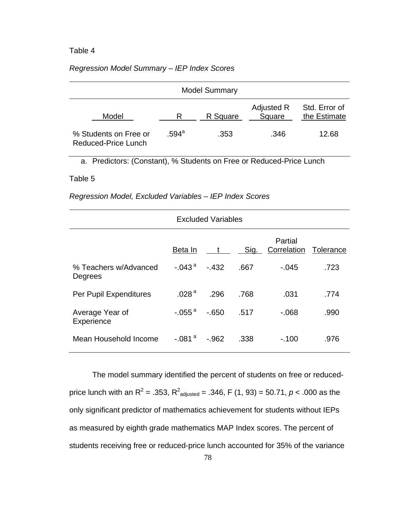## Table 4

## *Regression Model Summary – IEP Index Scores*

|                                              |       | <b>Model Summary</b> |                      |                               |
|----------------------------------------------|-------|----------------------|----------------------|-------------------------------|
| Model                                        |       | R Square             | Adjusted R<br>Square | Std. Error of<br>the Estimate |
| % Students on Free or<br>Reduced-Price Lunch | .594ª | .353                 | .346                 | 12.68                         |

a. Predictors: (Constant), % Students on Free or Reduced-Price Lunch

### Table 5

*Regression Model, Excluded Variables – IEP Index Scores* 

| <b>Excluded Variables</b>        |                   |         |      |                                  |      |  |
|----------------------------------|-------------------|---------|------|----------------------------------|------|--|
|                                  | Beta In           | $t_{-}$ | Sig. | Partial<br>Correlation Tolerance |      |  |
| % Teachers w/Advanced<br>Degrees | $-.043a$          | $-432$  | .667 | $-.045$                          | .723 |  |
| Per Pupil Expenditures           | .028 <sup>a</sup> | .296    | .768 | .031                             | .774 |  |
| Average Year of<br>Experience    | $-.055a$          | $-650$  | .517 | $-068$                           | .990 |  |
| Mean Household Income            | $-.081a$          | $-.962$ | .338 | $-100$                           | .976 |  |

The model summary identified the percent of students on free or reducedprice lunch with an R<sup>2</sup> = .353, R<sup>2</sup><sub>adjusted</sub> = .346, F (1, 93) = 50.71, *p* < .000 as the only significant predictor of mathematics achievement for students without IEPs as measured by eighth grade mathematics MAP Index scores. The percent of students receiving free or reduced-price lunch accounted for 35% of the variance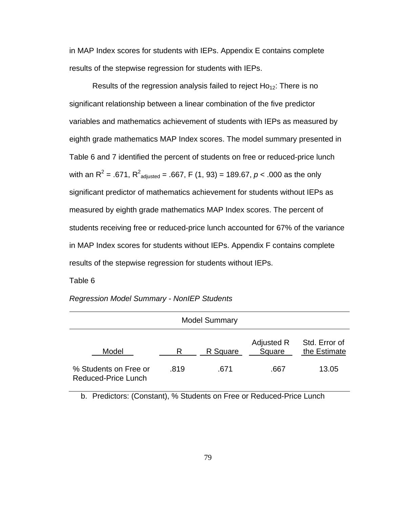in MAP Index scores for students with IEPs. Appendix E contains complete results of the stepwise regression for students with IEPs.

Results of the regression analysis failed to reject  $Ho_{12}$ : There is no significant relationship between a linear combination of the five predictor variables and mathematics achievement of students with IEPs as measured by eighth grade mathematics MAP Index scores. The model summary presented in Table 6 and 7 identified the percent of students on free or reduced-price lunch with an R<sup>2</sup> = .671, R<sup>2</sup><sub>adjusted</sub> = .667, F (1, 93) = 189.67, *p* < .000 as the only significant predictor of mathematics achievement for students without IEPs as measured by eighth grade mathematics MAP Index scores. The percent of students receiving free or reduced-price lunch accounted for 67% of the variance in MAP Index scores for students without IEPs. Appendix F contains complete results of the stepwise regression for students without IEPs.

Table 6

| <b>Regression Model Summary - NonIEP Students</b> |  |  |  |  |
|---------------------------------------------------|--|--|--|--|
|---------------------------------------------------|--|--|--|--|

|                                                     |      | <b>Model Summary</b> |                      |                               |
|-----------------------------------------------------|------|----------------------|----------------------|-------------------------------|
| Model                                               | R    | R Square             | Adjusted R<br>Square | Std. Error of<br>the Estimate |
| % Students on Free or<br><b>Reduced-Price Lunch</b> | .819 | .671                 | .667                 | 13.05                         |

b. Predictors: (Constant), % Students on Free or Reduced-Price Lunch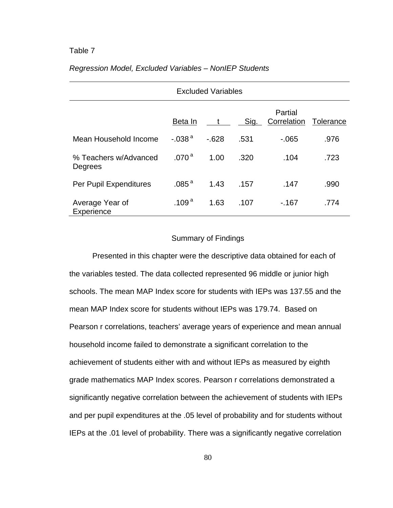## Table 7

|                                  | <b>Excluded Variables</b> |        |      |                        |           |  |  |
|----------------------------------|---------------------------|--------|------|------------------------|-----------|--|--|
|                                  | Beta In                   | t      | Sig. | Partial<br>Correlation | Tolerance |  |  |
| Mean Household Income            | $-0.038$ <sup>a</sup>     | $-628$ | .531 | $-065$                 | .976      |  |  |
| % Teachers w/Advanced<br>Degrees | .070 <sup>a</sup>         | 1.00   | .320 | .104                   | .723      |  |  |
| Per Pupil Expenditures           | .085 <sup>a</sup>         | 1.43   | .157 | .147                   | .990      |  |  |
| Average Year of<br>Experience    | .109 $^{\rm a}$           | 1.63   | .107 | $-167$                 | .774      |  |  |

# *Regression Model, Excluded Variables – NonIEP Students*

### Summary of Findings

Presented in this chapter were the descriptive data obtained for each of the variables tested. The data collected represented 96 middle or junior high schools. The mean MAP Index score for students with IEPs was 137.55 and the mean MAP Index score for students without IEPs was 179.74. Based on Pearson r correlations, teachers' average years of experience and mean annual household income failed to demonstrate a significant correlation to the achievement of students either with and without IEPs as measured by eighth grade mathematics MAP Index scores. Pearson r correlations demonstrated a significantly negative correlation between the achievement of students with IEPs and per pupil expenditures at the .05 level of probability and for students without IEPs at the .01 level of probability. There was a significantly negative correlation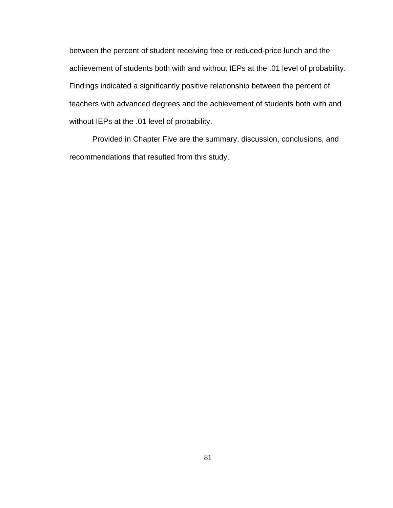between the percent of student receiving free or reduced-price lunch and the achievement of students both with and without IEPs at the .01 level of probability. Findings indicated a significantly positive relationship between the percent of teachers with advanced degrees and the achievement of students both with and without IEPs at the .01 level of probability.

Provided in Chapter Five are the summary, discussion, conclusions, and recommendations that resulted from this study.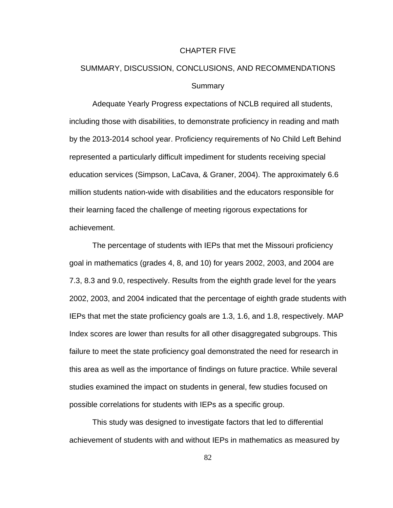#### CHAPTER FIVE

# SUMMARY, DISCUSSION, CONCLUSIONS, AND RECOMMENDATIONS **Summary**

Adequate Yearly Progress expectations of NCLB required all students, including those with disabilities, to demonstrate proficiency in reading and math by the 2013-2014 school year. Proficiency requirements of No Child Left Behind represented a particularly difficult impediment for students receiving special education services (Simpson, LaCava, & Graner, 2004). The approximately 6.6 million students nation-wide with disabilities and the educators responsible for their learning faced the challenge of meeting rigorous expectations for achievement.

The percentage of students with IEPs that met the Missouri proficiency goal in mathematics (grades 4, 8, and 10) for years 2002, 2003, and 2004 are 7.3, 8.3 and 9.0, respectively. Results from the eighth grade level for the years 2002, 2003, and 2004 indicated that the percentage of eighth grade students with IEPs that met the state proficiency goals are 1.3, 1.6, and 1.8, respectively. MAP Index scores are lower than results for all other disaggregated subgroups. This failure to meet the state proficiency goal demonstrated the need for research in this area as well as the importance of findings on future practice. While several studies examined the impact on students in general, few studies focused on possible correlations for students with IEPs as a specific group.

This study was designed to investigate factors that led to differential achievement of students with and without IEPs in mathematics as measured by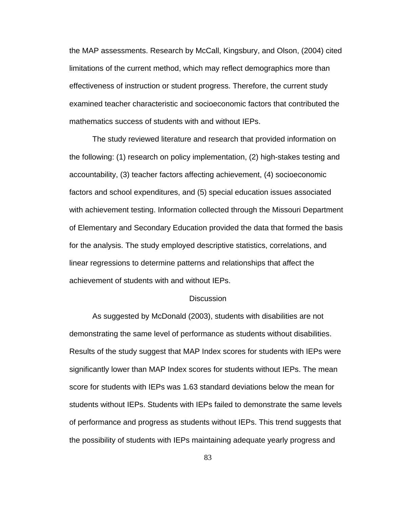the MAP assessments. Research by McCall, Kingsbury, and Olson, (2004) cited limitations of the current method, which may reflect demographics more than effectiveness of instruction or student progress. Therefore, the current study examined teacher characteristic and socioeconomic factors that contributed the mathematics success of students with and without IEPs.

The study reviewed literature and research that provided information on the following: (1) research on policy implementation, (2) high-stakes testing and accountability, (3) teacher factors affecting achievement, (4) socioeconomic factors and school expenditures, and (5) special education issues associated with achievement testing. Information collected through the Missouri Department of Elementary and Secondary Education provided the data that formed the basis for the analysis. The study employed descriptive statistics, correlations, and linear regressions to determine patterns and relationships that affect the achievement of students with and without IEPs.

### **Discussion**

As suggested by McDonald (2003), students with disabilities are not demonstrating the same level of performance as students without disabilities. Results of the study suggest that MAP Index scores for students with IEPs were significantly lower than MAP Index scores for students without IEPs. The mean score for students with IEPs was 1.63 standard deviations below the mean for students without IEPs. Students with IEPs failed to demonstrate the same levels of performance and progress as students without IEPs. This trend suggests that the possibility of students with IEPs maintaining adequate yearly progress and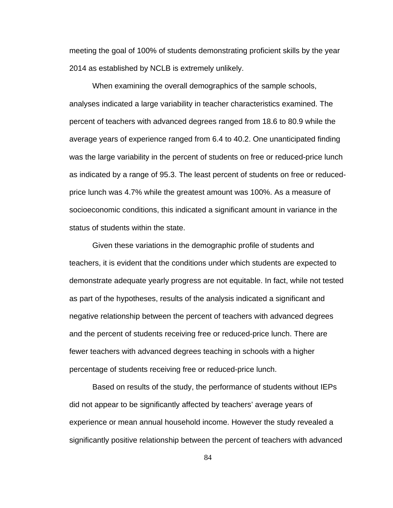meeting the goal of 100% of students demonstrating proficient skills by the year 2014 as established by NCLB is extremely unlikely.

When examining the overall demographics of the sample schools, analyses indicated a large variability in teacher characteristics examined. The percent of teachers with advanced degrees ranged from 18.6 to 80.9 while the average years of experience ranged from 6.4 to 40.2. One unanticipated finding was the large variability in the percent of students on free or reduced-price lunch as indicated by a range of 95.3. The least percent of students on free or reducedprice lunch was 4.7% while the greatest amount was 100%. As a measure of socioeconomic conditions, this indicated a significant amount in variance in the status of students within the state.

Given these variations in the demographic profile of students and teachers, it is evident that the conditions under which students are expected to demonstrate adequate yearly progress are not equitable. In fact, while not tested as part of the hypotheses, results of the analysis indicated a significant and negative relationship between the percent of teachers with advanced degrees and the percent of students receiving free or reduced-price lunch. There are fewer teachers with advanced degrees teaching in schools with a higher percentage of students receiving free or reduced-price lunch.

 Based on results of the study, the performance of students without IEPs did not appear to be significantly affected by teachers' average years of experience or mean annual household income. However the study revealed a significantly positive relationship between the percent of teachers with advanced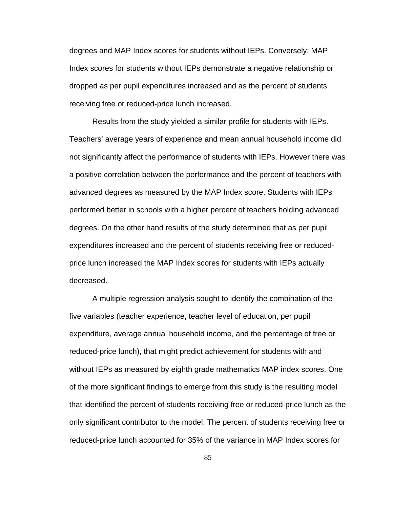degrees and MAP Index scores for students without IEPs. Conversely, MAP Index scores for students without IEPs demonstrate a negative relationship or dropped as per pupil expenditures increased and as the percent of students receiving free or reduced-price lunch increased.

 Results from the study yielded a similar profile for students with IEPs. Teachers' average years of experience and mean annual household income did not significantly affect the performance of students with IEPs. However there was a positive correlation between the performance and the percent of teachers with advanced degrees as measured by the MAP Index score. Students with IEPs performed better in schools with a higher percent of teachers holding advanced degrees. On the other hand results of the study determined that as per pupil expenditures increased and the percent of students receiving free or reducedprice lunch increased the MAP Index scores for students with IEPs actually decreased.

A multiple regression analysis sought to identify the combination of the five variables (teacher experience, teacher level of education, per pupil expenditure, average annual household income, and the percentage of free or reduced-price lunch), that might predict achievement for students with and without IEPs as measured by eighth grade mathematics MAP index scores. One of the more significant findings to emerge from this study is the resulting model that identified the percent of students receiving free or reduced-price lunch as the only significant contributor to the model. The percent of students receiving free or reduced-price lunch accounted for 35% of the variance in MAP Index scores for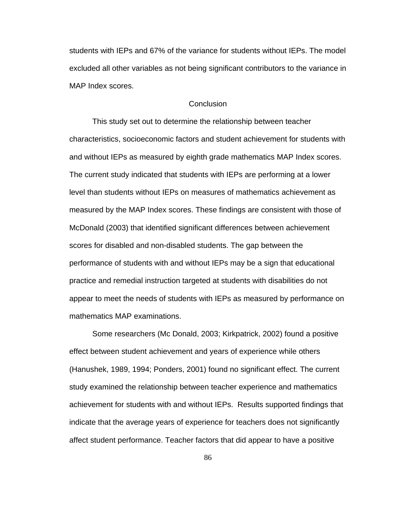students with IEPs and 67% of the variance for students without IEPs. The model excluded all other variables as not being significant contributors to the variance in MAP Index scores.

## **Conclusion**

This study set out to determine the relationship between teacher characteristics, socioeconomic factors and student achievement for students with and without IEPs as measured by eighth grade mathematics MAP Index scores. The current study indicated that students with IEPs are performing at a lower level than students without IEPs on measures of mathematics achievement as measured by the MAP Index scores. These findings are consistent with those of McDonald (2003) that identified significant differences between achievement scores for disabled and non-disabled students. The gap between the performance of students with and without IEPs may be a sign that educational practice and remedial instruction targeted at students with disabilities do not appear to meet the needs of students with IEPs as measured by performance on mathematics MAP examinations.

Some researchers (Mc Donald, 2003; Kirkpatrick, 2002) found a positive effect between student achievement and years of experience while others (Hanushek, 1989, 1994; Ponders, 2001) found no significant effect. The current study examined the relationship between teacher experience and mathematics achievement for students with and without IEPs. Results supported findings that indicate that the average years of experience for teachers does not significantly affect student performance. Teacher factors that did appear to have a positive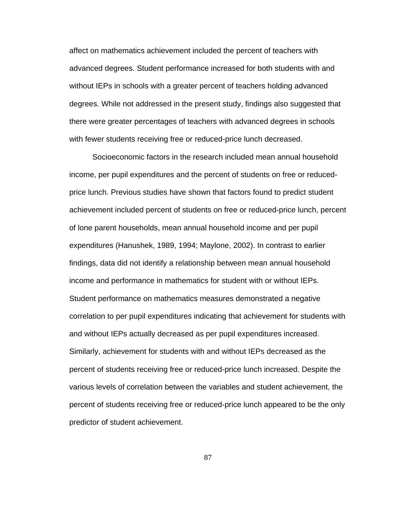affect on mathematics achievement included the percent of teachers with advanced degrees. Student performance increased for both students with and without IEPs in schools with a greater percent of teachers holding advanced degrees. While not addressed in the present study, findings also suggested that there were greater percentages of teachers with advanced degrees in schools with fewer students receiving free or reduced-price lunch decreased.

Socioeconomic factors in the research included mean annual household income, per pupil expenditures and the percent of students on free or reducedprice lunch. Previous studies have shown that factors found to predict student achievement included percent of students on free or reduced-price lunch, percent of lone parent households, mean annual household income and per pupil expenditures (Hanushek, 1989, 1994; Maylone, 2002). In contrast to earlier findings, data did not identify a relationship between mean annual household income and performance in mathematics for student with or without IEPs. Student performance on mathematics measures demonstrated a negative correlation to per pupil expenditures indicating that achievement for students with and without IEPs actually decreased as per pupil expenditures increased. Similarly, achievement for students with and without IEPs decreased as the percent of students receiving free or reduced-price lunch increased. Despite the various levels of correlation between the variables and student achievement, the percent of students receiving free or reduced-price lunch appeared to be the only predictor of student achievement.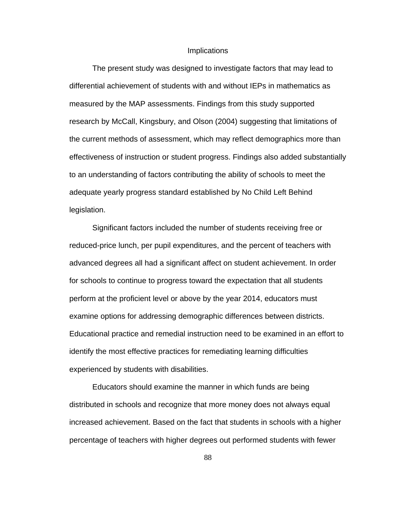### **Implications**

 The present study was designed to investigate factors that may lead to differential achievement of students with and without IEPs in mathematics as measured by the MAP assessments. Findings from this study supported research by McCall, Kingsbury, and Olson (2004) suggesting that limitations of the current methods of assessment, which may reflect demographics more than effectiveness of instruction or student progress. Findings also added substantially to an understanding of factors contributing the ability of schools to meet the adequate yearly progress standard established by No Child Left Behind legislation.

Significant factors included the number of students receiving free or reduced-price lunch, per pupil expenditures, and the percent of teachers with advanced degrees all had a significant affect on student achievement. In order for schools to continue to progress toward the expectation that all students perform at the proficient level or above by the year 2014, educators must examine options for addressing demographic differences between districts. Educational practice and remedial instruction need to be examined in an effort to identify the most effective practices for remediating learning difficulties experienced by students with disabilities.

Educators should examine the manner in which funds are being distributed in schools and recognize that more money does not always equal increased achievement. Based on the fact that students in schools with a higher percentage of teachers with higher degrees out performed students with fewer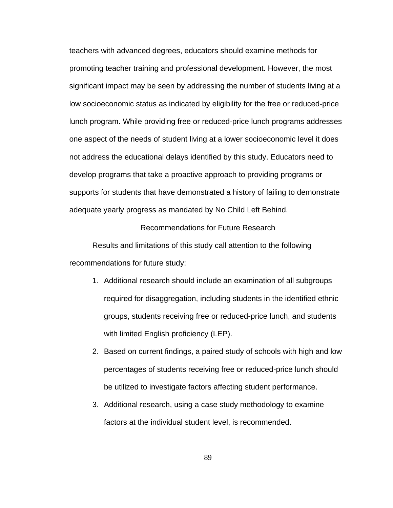teachers with advanced degrees, educators should examine methods for promoting teacher training and professional development. However, the most significant impact may be seen by addressing the number of students living at a low socioeconomic status as indicated by eligibility for the free or reduced-price lunch program. While providing free or reduced-price lunch programs addresses one aspect of the needs of student living at a lower socioeconomic level it does not address the educational delays identified by this study. Educators need to develop programs that take a proactive approach to providing programs or supports for students that have demonstrated a history of failing to demonstrate adequate yearly progress as mandated by No Child Left Behind.

## Recommendations for Future Research

 Results and limitations of this study call attention to the following recommendations for future study:

- 1. Additional research should include an examination of all subgroups required for disaggregation, including students in the identified ethnic groups, students receiving free or reduced-price lunch, and students with limited English proficiency (LEP).
- 2. Based on current findings, a paired study of schools with high and low percentages of students receiving free or reduced-price lunch should be utilized to investigate factors affecting student performance.
- 3. Additional research, using a case study methodology to examine factors at the individual student level, is recommended.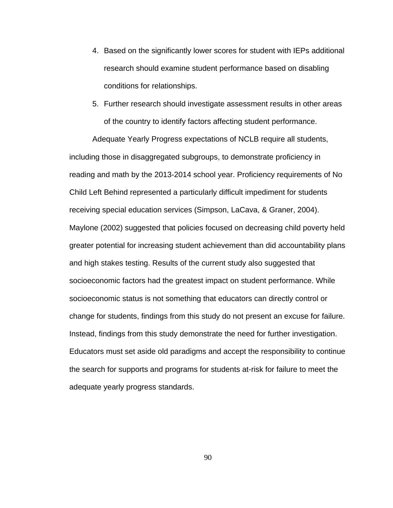- 4. Based on the significantly lower scores for student with IEPs additional research should examine student performance based on disabling conditions for relationships.
- 5. Further research should investigate assessment results in other areas of the country to identify factors affecting student performance.

 Adequate Yearly Progress expectations of NCLB require all students, including those in disaggregated subgroups, to demonstrate proficiency in reading and math by the 2013-2014 school year. Proficiency requirements of No Child Left Behind represented a particularly difficult impediment for students receiving special education services (Simpson, LaCava, & Graner, 2004). Maylone (2002) suggested that policies focused on decreasing child poverty held greater potential for increasing student achievement than did accountability plans and high stakes testing. Results of the current study also suggested that socioeconomic factors had the greatest impact on student performance. While socioeconomic status is not something that educators can directly control or change for students, findings from this study do not present an excuse for failure. Instead, findings from this study demonstrate the need for further investigation. Educators must set aside old paradigms and accept the responsibility to continue the search for supports and programs for students at-risk for failure to meet the adequate yearly progress standards.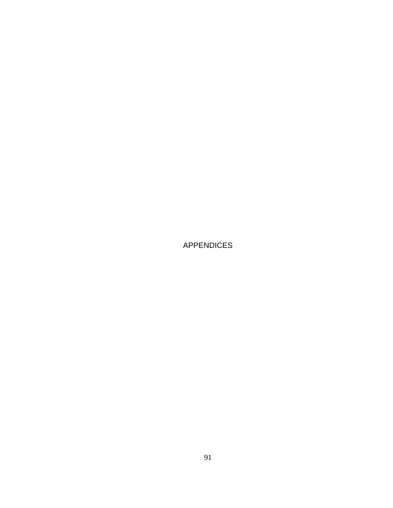APPENDICES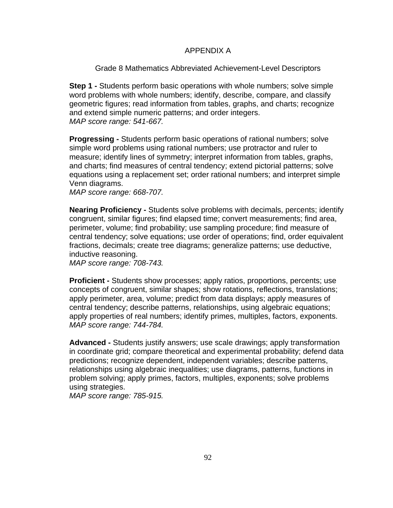# APPENDIX A

Grade 8 Mathematics Abbreviated Achievement-Level Descriptors

**Step 1 -** Students perform basic operations with whole numbers; solve simple word problems with whole numbers; identify, describe, compare, and classify geometric figures; read information from tables, graphs, and charts; recognize and extend simple numeric patterns; and order integers. *MAP score range: 541-667.*

**Progressing -** Students perform basic operations of rational numbers; solve simple word problems using rational numbers; use protractor and ruler to measure; identify lines of symmetry; interpret information from tables, graphs, and charts; find measures of central tendency; extend pictorial patterns; solve equations using a replacement set; order rational numbers; and interpret simple Venn diagrams.

*MAP score range: 668-707.* 

**Nearing Proficiency -** Students solve problems with decimals, percents; identify congruent, similar figures; find elapsed time; convert measurements; find area, perimeter, volume; find probability; use sampling procedure; find measure of central tendency; solve equations; use order of operations; find, order equivalent fractions, decimals; create tree diagrams; generalize patterns; use deductive, inductive reasoning.

*MAP score range: 708-743.* 

**Proficient -** Students show processes; apply ratios, proportions, percents; use concepts of congruent, similar shapes; show rotations, reflections, translations; apply perimeter, area, volume; predict from data displays; apply measures of central tendency; describe patterns, relationships, using algebraic equations; apply properties of real numbers; identify primes, multiples, factors, exponents. *MAP score range: 744-784.* 

**Advanced -** Students justify answers; use scale drawings; apply transformation in coordinate grid; compare theoretical and experimental probability; defend data predictions; recognize dependent, independent variables; describe patterns, relationships using algebraic inequalities; use diagrams, patterns, functions in problem solving; apply primes, factors, multiples, exponents; solve problems using strategies.

*MAP score range: 785-915.*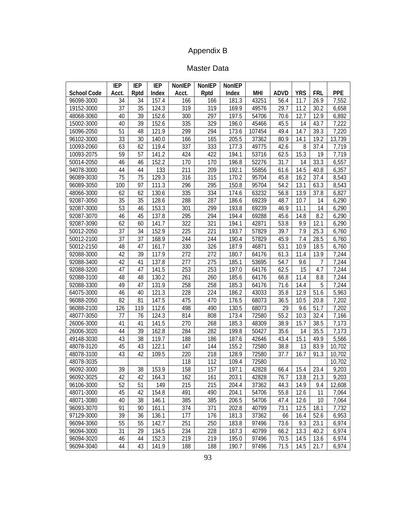# Appendix B

# Master Data

|                    | IEP   | IEP  | IEP                | <b>NonIEP</b> | NonIEP | <b>NonIEP</b> |            |             |            |            |            |
|--------------------|-------|------|--------------------|---------------|--------|---------------|------------|-------------|------------|------------|------------|
| <b>School Code</b> | Acct. | Rptd | Index              | Acct.         | Rptd   | Index         | <b>MHI</b> | <b>ADVD</b> | <b>YRS</b> | <b>FRL</b> | <b>PPE</b> |
| 96098-3000         | 34    | 34   | 157.4              | 166           | 166    | 181.3         | 43251      | 56.4        | 11.7       | 26.9       | 7,552      |
| 19152-3000         | 37    | 35   | 124.3              | 319           | 319    | 169.9         | 49576      | 29.7        | 11.2       | 30.2       | 6,658      |
| 48068-3060         | 40    | 39   | 152.6              | 300           | 297    | 197.5         | 54706      | 70.6        | 12.7       | 12.9       | 6,892      |
| 15002-3000         | 40    | 39   | 152.6              | 335           | 329    | 196.0         | 45466      | 45.5        | 14         | 43.7       | 7,222      |
| 16096-2050         | 51    | 48   | 121.9              | 299           | 294    | 173.6         | 107454     | 49.4        | 14.7       | 39.3       | 7,220      |
| 96102-3000         | 33    | 30   | 140.0              | 166           | 165    | 205.5         | 37362      | 80.9        | 14.1       | 19.2       | 13,739     |
| 10093-2060         | 63    | 62   | 119.4              | 337           | 333    | 177.3         | 49775      | 42.6        | 8          | 37.4       | 7,719      |
| 10093-2075         | 59    | 57   | 141.2              | 424           | 422    | 194.1         | 53716      | 62.5        | 15.3       | 19         | 7,719      |
| 50014-2050         | 46    | 46   | 152.2              | 170           | 170    | 196.8         | 52276      | 31.7        | 14         | 33.3       | 6,557      |
| 94078-3000         | 44    | 44   | 133                | 211           | 209    | 192.1         | 55856      | 61.6        | 14.5       | 40.8       | 6,357      |
| 96089-3030         | 75    | 75   | 129.3              | 316           | 315    | 170.2         | 95704      | 45.8        | 16.2       | 37.4       | 8,543      |
| 96089-3050         | 100   | 97   | 111.3              | 296           | 295    | 150.8         | 95704      | 54.2        | 13.1       | 63.3       | 8,543      |
| 48066-3000         | 62    | 62   | 130.6              | 335           | 334    | 174.6         | 63232      | 56.8        | 13.9       | 37.8       | 6,827      |
| 92087-3050         | 35    | 35   | 128.6              | 288           | 287    | 186.6         | 69239      | 48.7        | 10.7       | 14         | 6,290      |
| 92087-3000         | 53    | 46   | 153.3              | 301           | 299    | 193.8         | 69239      | 46.9        | 11.1       | 14         | 6,290      |
| 92087-3070         | 46    | 45   | 137.8              | 295           | 294    | 194.4         | 69288      | 45.6        | 14.8       | 8.2        | 6,290      |
| 92087-3090         | 62    | 60   | 141.7              | 322           | 321    | 194.1         | 42871      | 53.8        | 9.9        | 12.1       | 6,290      |
| 50012-2050         | 37    | 34   | 152.9              | 225           | 221    | 193.7         | 57829      | 39.7        | 7.9        | 25.3       | 6,760      |
| 50012-2100         | 37    | 37   | 168.9              | 244           | 244    | 190.4         | 57829      | 45.9        | 7.4        | 28.5       | 6,760      |
| 50012-2150         | 48    | 47   | 161.7              | 330           | 326    | 187.9         | 46871      | 53.1        | 10.9       | 18.5       | 6,760      |
| 92088-3000         | 42    | 39   | 117.9              | 272           | 272    | 180.7         | 64176      | 61.3        | 11.4       | 13.9       | 7,244      |
| 92088-3400         | 42    | 41   | 137.8              | 277           | 275    | 185.1         | 53695      | 54.7        | 9.6        | 7          | 7,244      |
| 92088-3200         | 47    | 47   | 141.5              | 253           | 253    | 197.0         | 64176      | 62.5        | 15         | 4.7        | 7,244      |
| 92088-3100         | 48    | 48   | 130.2              | 261           | 260    | 185.6         | 64176      | 66.8        | 11.4       | 8.8        | 7,244      |
| 92088-3300         | 49    | 47   | 131.9              | 258           | 258    | 185.3         | 64176      | 71.6        | 14.4       | 5          | 7,244      |
| 64075-3000         | 46    | 40   | 121.3              | 228           | 224    | 186.2         | 43033      | 35.8        | 12.9       | 51.6       | 5,963      |
| 96088-2050         | 82    | 81   | 147.5              | 475           | 470    | 176.5         | 68073      | 36.5        | 10.5       | 20.8       | 7,202      |
| 96088-2100         | 126   | 119  | 112.6              | 498           | 490    | 130.5         | 68073      | 29          | 9.6        | 51.7       | 7,202      |
| 48077-3050         | 77    | 76   | 124.3              | 814           | 808    | 173.4         | 72580      | 55.2        | 10.3       | 32.4       | 7,166      |
| 26006-3000         | 41    | 41   | 141.5              | 270           | 268    | 185.3         | 48309      | 38.9        | 15.7       | 38.5       | 7,173      |
| 26006-3020         | 44    | 39   | 162.8              | 284           | 282    | 199.8         | 50427      | 35.6        | 14         | 35.5       | 7,173      |
| 49148-3030         | 43    | 38   | 119.7              | 188           | 186    | 187.6         | 42646      | 43.4        | 15.1       | 49.9       | 5,566      |
| 48078-3120         | 45    | 43   | 122.1              | 147           | 144    | 155.2         | 72580      | 38.8        | 13         | 83.9       | 10,702     |
| 48078-3100         | 43    | 42   | 109.5              | 220           | 218    | 128.9         | 72580      | 37.7        | 16.7       | 91.3       | 10,702     |
| 48078-3035         |       |      |                    | 118           | 112    | 109.4         | 72580      |             |            |            | 10,702     |
| 96092-3000         | 39    | 38   | 153.9              | 158           | 157    | 197.1         | 42828      | 66.4        | 15.4       | 23.4       | 9,203      |
| 96092-3025         | 42    | 42   | 164.3              | 162           | 161    | 203.1         | 42828      | 76.7        | 13.8       | 21.3       | 9,203      |
| 96106-3000         | 52    | 51   | 149                | 215           | 215    | 204.4         | 37362      | 44.3        | 14.9       | 9.4        | 12,608     |
| 48071-3000         | 45    | 42   | 154.8              | 491           | 490    | 204.1         | 54706      | 55.8        | 12.6       | 11         | 7,064      |
| 48071-3080         | 40    | 38   | 146.1              | 385           | 385    | 206.5         | 54706      | 47.4        | 12.6       | 10         | 7,064      |
| 96093-3070         | 91    | 90   | $\overline{1}61.1$ | 374           | 371    | 202.8         | 40799      | 73.1        | 12.5       | 18.1       | 7,732      |
| 97129-3000         | 39    | 36   | 136.1              | 177           | 176    | 181.3         | 37362      | 66          | 16.4       | 52.6       | 6,953      |
| 96094-3060         | 55    | 55   | 142.7              | 251           | 250    | 183.8         | 97496      | 73.6        | 9.3        | 23.1       | 6,974      |
| 96094-3000         | 31    | 29   | 134.5              | 234           | 228    | 167.3         | 40799      | 66.2        | 13.3       | 40.2       | 6,974      |
| 96094-3020         | 46    | 44   | 152.3              | 219           | 219    | 195.0         | 97496      | 70.5        | 14.5       | 13.6       | 6,974      |
| 96094-3040         | 44    | 43   | 141.9              | 188           | 188    | 190.7         | 97496      | 71.5        | 14.5       | 21.7       | 6,974      |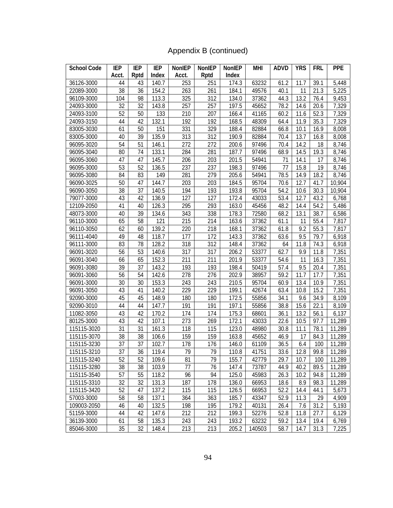# Appendix B (continued)

| <b>School Code</b> | IEP             | IEP             | <b>IEP</b> | <b>NonIEP</b> | NonIEP | NonIEP | MHI    | <b>ADVD</b> | <b>YRS</b> | FRL  | <b>PPE</b> |
|--------------------|-----------------|-----------------|------------|---------------|--------|--------|--------|-------------|------------|------|------------|
|                    | Acct.           | Rptd            | Index      | Acct.         | Rptd   | Index  |        |             |            |      |            |
| 36126-3000         | 44              | 43              | 140.7      | 253           | 251    | 174.3  | 63232  | 61.2        | 11.7       | 39.1 | 5,448      |
| 22089-3000         | 38              | 36              | 154.2      | 263           | 261    | 184.1  | 49576  | 40.1        | 11         | 21.3 | 5,225      |
| 96109-3000         | 104             | 98              | 113.3      | 325           | 312    | 134.0  | 37362  | 44.3        | 13.2       | 76.4 | 9,453      |
| 24093-3000         | 32              | 32              | 143.8      | 257           | 257    | 197.5  | 45652  | 78.2        | 14.6       | 20.6 | 7,329      |
| 24093-3100         | 52              | 50              | 133        | 210           | 207    | 166.4  | 41165  | 60.2        | 11.6       | 52.3 | 7,329      |
| 24093-3150         | 44              | 42              | 132.1      | 192           | 192    | 168.5  | 48309  | 64.4        | 11.9       | 35.3 | 7,329      |
| 83005-3030         | 61              | 50              | 151        | 331           | 329    | 188.4  | 82884  | 66.8        | 10.1       | 16.9 | 8,008      |
| 83005-3000         | 40              | 39              | 135.9      | 313           | 312    | 190.9  | 82884  | 70.4        | 13.7       | 16.8 | 8,008      |
| 96095-3020         | 54              | 51              | 146.1      | 272           | 272    | 200.6  | 97496  | 70.4        | 14.2       | 18   | 8,746      |
| 96095-3040         | 80              | 74              | 133.1      | 284           | 281    | 187.7  | 97496  | 68.9        | 14.5       | 19.3 | 8,746      |
| 96095-3060         | 47              | 47              | 145.7      | 206           | 203    | 201.5  | 54941  | 71          | 14.1       | 17   | 8,746      |
| 96095-3000         | 53              | 52              | 136.5      | 237           | 237    | 198.3  | 97496  | 77          | 15.8       | 19   | 8,746      |
| 96095-3080         | 84              | 83              | 149        | 281           | 279    | 205.6  | 54941  | 78.5        | 14.9       | 18.2 | 8,746      |
| 96090-3025         | 50              | 47              | 144.7      | 203           | 203    | 184.5  | 95704  | 70.6        | 12.7       | 41.7 | 10,904     |
| 96090-3050         | 38              | 37              | 140.5      | 194           | 193    | 193.8  | 95704  | 54.2        | 10.6       | 30.3 | 10,904     |
| 79077-3000         | 43              | 42              | 136.9      | 127           | 127    | 172.4  | 43033  | 53.4        | 12.7       | 43.2 | 6,768      |
| 12109-2050         | 41              | 40              | 126.3      | 295           | 293    | 163.0  | 45456  | 48.2        | 14.4       | 54.2 | 5,486      |
| 48073-3000         | 40              | 39              | 134.6      | 343           | 338    | 178.3  | 72580  | 68.2        | 13.1       | 38.7 | 6,586      |
| 96110-3000         | 65              | 58              | 121        | 215           | 214    | 163.6  | 37362  | 61.1        | 11         | 55.4 | 7,817      |
| 96110-3050         | 62              | 60              | 139.2      | 220           | 218    | 168.1  | 37362  | 61.8        | 9.2        | 55.3 | 7,817      |
| 96111-4040         | 49              | 48              | 118.7      | 177           | 172    | 143.3  | 37362  | 63.6        | 9.5        | 79.7 | 6,918      |
| 96111-3000         | 83              | 78              | 128.2      | 318           | 312    | 148.4  | 37362  | 64          | 11.8       | 74.3 | 6,918      |
| 96091-3020         | 56              | 53              | 140.6      | 317           | 317    | 206.2  | 53377  | 62.7        | 9.9        | 11.8 | 7,351      |
| 96091-3040         | 66              | 65              | 152.3      | 211           | 211    | 201.9  | 53377  | 54.6        | 11         | 16.3 | 7,351      |
| 96091-3080         | 39              | 37              | 143.2      | 193           | 193    | 198.4  | 50419  | 57.4        | 9.5        | 20.4 | 7,351      |
| 96091-3060         | 56              | 54              | 142.6      | 278           | 276    | 202.9  | 38957  | 59.2        | 11.7       | 17.7 | 7,351      |
| 96091-3000         | 30              | 30              | 153.3      | 243           | 243    | 210.5  | 95704  | 60.9        | 13.4       | 10.9 | 7,351      |
| 96091-3050         | 43              | 41              | 140.2      | 229           | 229    | 199.1  | 42674  | 63.4        | 10.8       | 15.2 | 7,351      |
| 92090-3000         | 45              | 45              | 148.9      | 180           | 180    | 172.5  | 55856  | 34.1        | 9.6        | 34.9 | 8,109      |
| 92090-3010         | 44              | 44              | 147.7      | 191           | 191    | 197.1  | 55856  | 38.8        | 15.6       | 22.1 | 8,109      |
| 11082-3050         | 43              | 42              | 170.2      | 174           | 174    | 175.3  | 68601  | 36.1        | 13.2       | 56.1 | 6,137      |
| 80125-3000         | 43              | 42              | 107.1      | 273           | 269    | 172.1  | 43033  | 22.6        | 10.5       | 97.7 | 11,289     |
| 115115-3020        | 31              | 31              | 161.3      | 118           | 115    | 123.0  | 48980  | 30.8        | 11.1       | 78.1 | 11,289     |
| 115115-3070        | 38              | 38              | 106.6      | 159           | 159    | 163.8  | 45652  | 46.9        | 17         | 84.3 | 11,289     |
| 115115-3230        | 37              | 37              | 102.7      | 178           | 176    | 146.0  | 61109  | 36.5        | 6.4        | 100  | 11,289     |
| 115115-3210        | $\overline{37}$ | $\overline{36}$ | 119.4      | 79            | 79     | 110.8  | 41751  | 33.6        | 12.8       | 99.8 | 11,289     |
| 115115-3240        | 52              | 52              | 109.6      | 81            | 79     | 155.7  | 42779  | 29.7        | 10.7       | 100  | 11,289     |
| 115115-3280        | 38              | 38              | 103.9      | 77            | 76     | 147.4  | 73787  | 44.9        | 40.2       | 89.5 | 11,289     |
| 115115-3540        | 57              | 55              | 118.2      | 96            | 94     | 125.0  | 45983  | 26.3        | 10.2       | 94.8 | 11,289     |
| 115115-3310        | 32              | 32              | 131.3      | 187           | 178    | 136.0  | 66953  | 18.6        | 8.9        | 98.3 | 11,289     |
| 115115-3420        | 52              | 47              | 137.2      | 115           | 115    | 126.5  | 66953  | 52.2        | 14.4       | 44.1 | 5,673      |
| 57003-3000         | 58              | 58              | 137.1      | 364           | 363    | 185.7  | 43347  | 52.9        | 11.3       | 29   | 4,909      |
| 109003-2050        | 46              | 40              | 132.5      | 198           | 195    | 179.2  | 40131  | 26.4        | 7.6        | 31.2 | 5,193      |
| 51159-3000         | 44              | 42              | 147.6      | 212           | 212    | 199.3  | 52276  | 52.8        | 11.8       | 27.7 | 6,129      |
| 36139-3000         | 61              | 58              | 135.3      | 243           | 243    | 193.2  | 63232  | 59.2        | 13.4       | 19.4 | 6,769      |
| 85046-3000         | 35              | 32              | 148.4      | 213           | 213    | 205.2  | 140503 | 58.7        | 14.7       | 31.3 | 7,225      |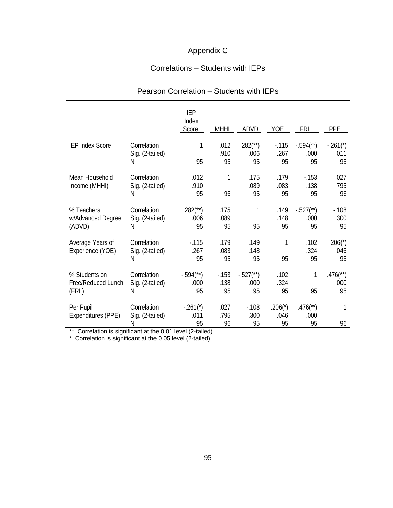# Appendix C

# Correlations – Students with IEPs

|                                              | Pearson Correlation - Students with IEPs |                                         |                      |                                         |                         |                                         |                                      |
|----------------------------------------------|------------------------------------------|-----------------------------------------|----------------------|-----------------------------------------|-------------------------|-----------------------------------------|--------------------------------------|
|                                              |                                          | <b>IEP</b><br>Index<br>Score            | <b>MHHI</b>          | ADVD                                    | <b>YOE</b>              | <b>FRL</b>                              | <b>PPE</b>                           |
| <b>IEP Index Score</b>                       | Correlation<br>Sig. (2-tailed)<br>N      | 1<br>95                                 | .012<br>.910<br>95   | $.282$ (**)<br>.006<br>95               | $-115$<br>.267<br>95    | $-.594$ <sup>(**)</sup> )<br>.000<br>95 | $-.261*$<br>.011<br>95               |
| Mean Household<br>Income (MHHI)              | Correlation<br>Sig. (2-tailed)<br>N      | .012<br>.910<br>95                      | 1<br>96              | .175<br>.089<br>95                      | .179<br>.083<br>95      | $-153$<br>.138<br>95                    | .027<br>.795<br>96                   |
| % Teachers<br>w/Advanced Degree<br>(ADVD)    | Correlation<br>Sig. (2-tailed)<br>N      | $.282$ <sup>**</sup> )<br>.006<br>95    | .175<br>.089<br>95   | 1<br>95                                 | .149<br>.148<br>95      | $-.527$ (**)<br>.000<br>95              | $-0.108$<br>.300<br>95               |
| Average Years of<br>Experience (YOE)         | Correlation<br>Sig. (2-tailed)<br>N      | $-0.115$<br>.267<br>95                  | .179<br>.083<br>95   | .149<br>.148<br>95                      | 1<br>95                 | .102<br>.324<br>95                      | $.206(*)$<br>.046<br>95              |
| % Students on<br>Free/Reduced Lunch<br>(FRL) | Correlation<br>Sig. (2-tailed)<br>Ν      | $-.594$ <sup>(**)</sup> )<br>.000<br>95 | $-153$<br>.138<br>95 | $-.527$ <sup>(**)</sup> )<br>.000<br>95 | .102<br>.324<br>95      | 1<br>95                                 | $.476$ <sup>**</sup> )<br>.000<br>95 |
| Per Pupil<br>Expenditures (PPE)              | Correlation<br>Sig. (2-tailed)<br>N      | $-.261(*)$<br>.011<br>95                | .027<br>.795<br>96   | $-0.108$<br>.300<br>95                  | $.206(*)$<br>.046<br>95 | $.476$ <sup>**</sup> )<br>.000<br>95    | 1<br>96                              |

\*\* Correlation is significant at the 0.01 level (2-tailed).

\* Correlation is significant at the 0.05 level (2-tailed).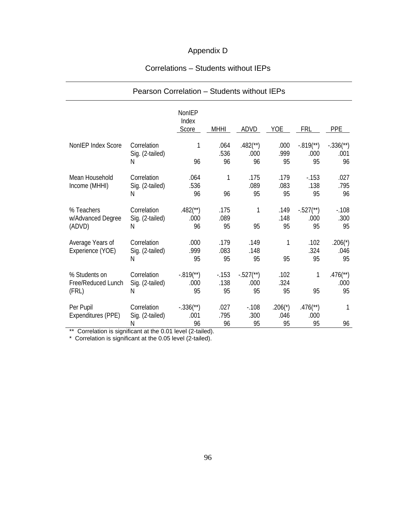# Appendix D

# Correlations – Students without IEPs

|                                              | Pearson Correlation - Students without IEPs |                                        |                      |                                       |                         |                                       |                                      |
|----------------------------------------------|---------------------------------------------|----------------------------------------|----------------------|---------------------------------------|-------------------------|---------------------------------------|--------------------------------------|
|                                              |                                             | NonIEP<br>Index<br>Score               | <b>MHHI</b>          | ADVD                                  | <b>YOE</b>              | <b>FRL</b>                            | <b>PPE</b>                           |
| NonIEP Index Score                           | Correlation<br>Sig. (2-tailed)<br>N         | 1<br>96                                | .064<br>.536<br>96   | $.482$ <sup>**</sup> )<br>.000<br>96  | .000<br>.999<br>95      | $-.819$ <sup>**</sup> )<br>.000<br>95 | $-.336$ (**)<br>.001<br>96           |
| Mean Household<br>Income (MHHI)              | Correlation<br>Sig. (2-tailed)<br>N         | .064<br>.536<br>96                     | 1<br>96              | .175<br>.089<br>95                    | .179<br>.083<br>95      | $-153$<br>.138<br>95                  | .027<br>.795<br>96                   |
| % Teachers<br>w/Advanced Degree<br>(ADVD)    | Correlation<br>Sig. (2-tailed)<br>N         | $.482$ <sup>**</sup> )<br>.000<br>96   | .175<br>.089<br>95   | 1<br>95                               | .149<br>.148<br>95      | $-.527$ <sup>**</sup> )<br>.000<br>95 | $-0.108$<br>.300<br>95               |
| Average Years of<br>Experience (YOE)         | Correlation<br>Sig. (2-tailed)<br>N         | .000<br>.999<br>95                     | .179<br>.083<br>95   | .149<br>.148<br>95                    | 1<br>95                 | .102<br>.324<br>95                    | $.206(*)$<br>.046<br>95              |
| % Students on<br>Free/Reduced Lunch<br>(FRL) | Correlation<br>Sig. (2-tailed)<br>N         | $-.819$ <sup>**</sup> )<br>.000<br>95  | $-153$<br>.138<br>95 | $-.527$ <sup>**</sup> )<br>.000<br>95 | .102<br>.324<br>95      | 1<br>95                               | $.476$ <sup>**</sup> )<br>.000<br>95 |
| Per Pupil<br>Expenditures (PPE)              | Correlation<br>Sig. (2-tailed)<br>N         | $-.336$ <sup>(**</sup> )<br>.001<br>96 | .027<br>.795<br>96   | $-108$<br>.300<br>95                  | $.206(*)$<br>.046<br>95 | $.476$ <sup>**</sup> )<br>.000<br>95  | 1<br>96                              |

\*\* Correlation is significant at the 0.01 level (2-tailed).

\* Correlation is significant at the 0.05 level (2-tailed).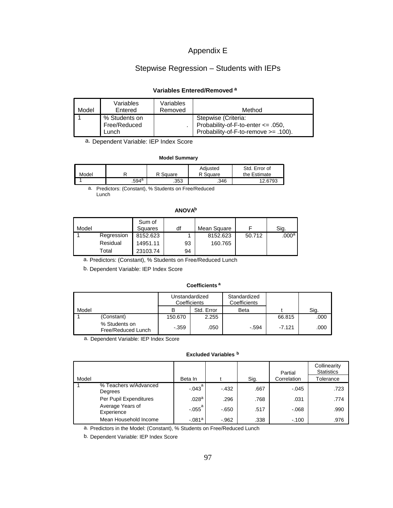# Appendix E

# Stepwise Regression – Students with IEPs

# **Variables Entered/Removed <sup>a</sup>**

| Model | Variables<br>Entered                   | Variables<br>Removed | Method                                                                                                   |
|-------|----------------------------------------|----------------------|----------------------------------------------------------------------------------------------------------|
|       | % Students on<br>Free/Reduced<br>Lunch |                      | Stepwise (Criteria:<br>Probability-of-F-to-enter $\leq$ .050,<br>Probability-of-F-to-remove $>= .100$ ). |

a. Dependent Variable: IEP Index Score

#### **Model Summary**

| Model |       | R Square | Adiusted<br>R Square | Std. Error of<br>the Estimate |
|-------|-------|----------|----------------------|-------------------------------|
|       | .594ª | .353     | .346                 | 12.6793                       |

a. Predictors: (Constant), % Students on Free/Reduced Lunch

# **ANOVAb**

| Model |            | Sum of<br>Squares | df | Mean Square |        | Sig.              |
|-------|------------|-------------------|----|-------------|--------|-------------------|
|       | Regression | 8152.623          |    | 8152.623    | 50.712 | .000 <sup>a</sup> |
|       | Residual   | 14951.11          | 93 | 160.765     |        |                   |
|       | Total      | 23103.74          | 94 |             |        |                   |

a. Predictors: (Constant), % Students on Free/Reduced Lunch

b. Dependent Variable: IEP Index Score

#### **Coefficients <sup>a</sup>**

|       |                                     | Unstandardized<br>Coefficients |            | Standardized<br>Coefficients |          |      |
|-------|-------------------------------------|--------------------------------|------------|------------------------------|----------|------|
| Model |                                     |                                | Std. Error | <b>Beta</b>                  |          | Sig. |
|       | (Constant)                          | 150.670                        | 2.255      |                              | 66.815   | .000 |
|       | % Students on<br>Free/Reduced Lunch | $-.359$                        | .050       | $-.594$                      | $-7.121$ | .000 |

a. Dependent Variable: IEP Index Score

**Excluded Variables <sup>b</sup>**

|       |                                  |             |         |      | Partial     | Collinearity<br><b>Statistics</b> |
|-------|----------------------------------|-------------|---------|------|-------------|-----------------------------------|
| Model |                                  | Beta In     |         | Sig. | Correlation | Tolerance                         |
|       | % Teachers w/Advanced<br>Degrees | $-.043^{a}$ | $-432$  | .667 | $-.045$     | .723                              |
|       | Per Pupil Expenditures           | .028a       | .296    | .768 | .031        | .774                              |
|       | Average Years of<br>Experience   | $-.055^{a}$ | $-650$  | .517 | $-068$      | .990                              |
|       | Mean Household Income            | $-.081a$    | $-.962$ | .338 | $-.100$     | .976                              |

a. Predictors in the Model: (Constant), % Students on Free/Reduced Lunch

b. Dependent Variable: IEP Index Score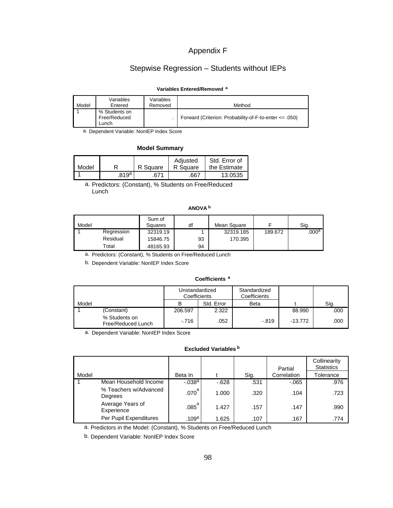# Appendix F

# Stepwise Regression – Students without IEPs

## **Variables Entered/Removed <sup>a</sup>**

| Model | Variables<br>Entered                   | Variables<br>Removed | Method                                                     |
|-------|----------------------------------------|----------------------|------------------------------------------------------------|
|       | % Students on<br>Free/Reduced<br>Lunch |                      | Forward (Criterion: Probability-of-F-to-enter $\leq$ .050) |

a. Dependent Variable: NonIEP Index Score

## **Model Summary**

|       |       |          | Adiusted | Std. Error of |
|-------|-------|----------|----------|---------------|
| Model |       | R Square | R Square | the Estimate  |
|       | .819ª | 671      | .667     | 13.0535       |

a. Predictors: (Constant), % Students on Free/Reduced Lunch

## **ANOVA <sup>b</sup>**

| Model |            | Sum of<br>Squares | df | Mean Square |         | Sig.    |
|-------|------------|-------------------|----|-------------|---------|---------|
|       | Regression | 32319.19          |    | 32319.185   | 189.672 | $000^a$ |
|       | Residual   | 15846.75          | 93 | 170.395     |         |         |
|       | Total      | 48165.93          | 94 |             |         |         |

a. Predictors: (Constant), % Students on Free/Reduced Lunch

b. Dependent Variable: NonIEP Index Score

#### **Coefficients <sup>a</sup>**

|       |                                     |         | Unstandardized<br>Coefficients | Standardized<br>Coefficients |           |      |
|-------|-------------------------------------|---------|--------------------------------|------------------------------|-----------|------|
| Model |                                     | в       | Std. Error                     | Beta                         |           | Sig. |
|       | (Constant)                          | 206.597 | 2.322                          |                              | 88.990    | .000 |
|       | % Students on<br>Free/Reduced Lunch | $-716$  | .052                           | $-819$                       | $-13.772$ | .000 |

a. Dependent Variable: NonIEP Index Score

### **Excluded Variables <sup>b</sup>**

|       |                                  |                     |        |      | Partial     | Collinearity<br><b>Statistics</b> |
|-------|----------------------------------|---------------------|--------|------|-------------|-----------------------------------|
| Model |                                  | Beta In             |        | Sig. | Correlation | Tolerance                         |
|       | Mean Household Income            | $-.038a$            | $-628$ | .531 | $-065$      | .976                              |
|       | % Teachers w/Advanced<br>Degrees | .070 <sup>a</sup>   | 1.000  | .320 | .104        | .723                              |
|       | Average Years of<br>Experience   | $.085$ <sup>a</sup> | 1.427  | .157 | .147        | .990                              |
|       | Per Pupil Expenditures           | .109a               | 1.625  | .107 | .167        | .774                              |

a. Predictors in the Model: (Constant), % Students on Free/Reduced Lunch

b. Dependent Variable: NonIEP Index Score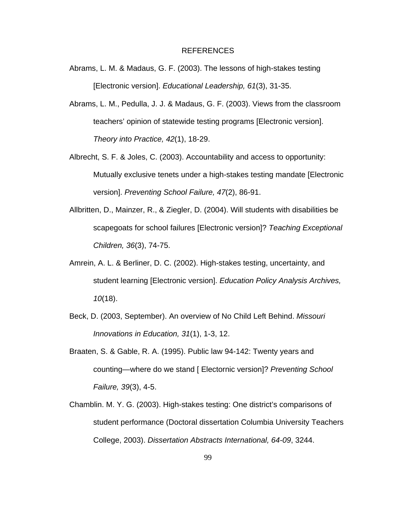#### REFERENCES

- Abrams, L. M. & Madaus, G. F. (2003). The lessons of high-stakes testing [Electronic version]. *Educational Leadership, 61*(3), 31-35.
- Abrams, L. M., Pedulla, J. J. & Madaus, G. F. (2003). Views from the classroom teachers' opinion of statewide testing programs [Electronic version]. *Theory into Practice, 42*(1), 18-29.
- Albrecht, S. F. & Joles, C. (2003). Accountability and access to opportunity: Mutually exclusive tenets under a high-stakes testing mandate [Electronic version]. *Preventing School Failure, 47*(2), 86-91.
- Allbritten, D., Mainzer, R., & Ziegler, D. (2004). Will students with disabilities be scapegoats for school failures [Electronic version]? *Teaching Exceptional Children, 36*(3), 74-75.
- Amrein, A. L. & Berliner, D. C. (2002). High-stakes testing, uncertainty, and student learning [Electronic version]. *Education Policy Analysis Archives, 10*(18).
- Beck, D. (2003, September). An overview of No Child Left Behind. *Missouri Innovations in Education, 31*(1), 1-3, 12.
- Braaten, S. & Gable, R. A. (1995). Public law 94-142: Twenty years and counting—where do we stand [ Electornic version]? *Preventing School Failure, 39*(3), 4-5.
- Chamblin. M. Y. G. (2003). High-stakes testing: One district's comparisons of student performance (Doctoral dissertation Columbia University Teachers College, 2003). *Dissertation Abstracts International, 64-09*, 3244.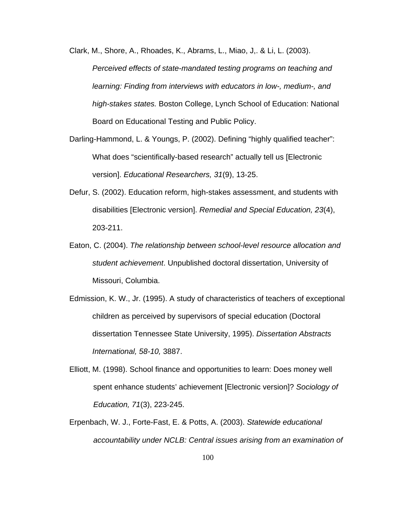Clark, M., Shore, A., Rhoades, K., Abrams, L., Miao, J,. & Li, L. (2003). *Perceived effects of state-mandated testing programs on teaching and learning: Finding from interviews with educators in low-, medium-, and high-stakes states.* Boston College, Lynch School of Education: National Board on Educational Testing and Public Policy.

- Darling-Hammond, L. & Youngs, P. (2002). Defining "highly qualified teacher": What does "scientifically-based research" actually tell us [Electronic version]. *Educational Researchers, 31*(9), 13-25.
- Defur, S. (2002). Education reform, high-stakes assessment, and students with disabilities [Electronic version]. *Remedial and Special Education, 23*(4), 203-211.
- Eaton, C. (2004). *The relationship between school-level resource allocation and student achievement*. Unpublished doctoral dissertation, University of Missouri, Columbia.
- Edmission, K. W., Jr. (1995). A study of characteristics of teachers of exceptional children as perceived by supervisors of special education (Doctoral dissertation Tennessee State University, 1995). *Dissertation Abstracts International, 58-10,* 3887.
- Elliott, M. (1998). School finance and opportunities to learn: Does money well spent enhance students' achievement [Electronic version]? *Sociology of Education, 71*(3), 223-245.
- Erpenbach, W. J., Forte-Fast, E. & Potts, A. (2003). *Statewide educational accountability under NCLB: Central issues arising from an examination of*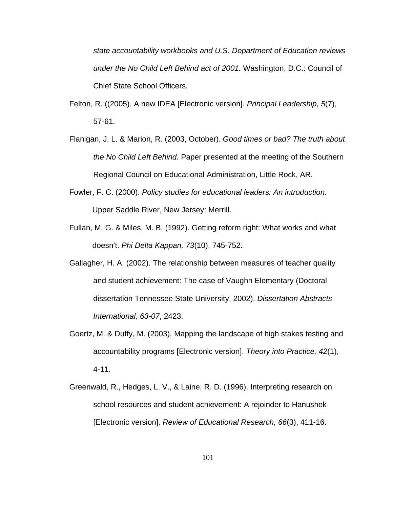*state accountability workbooks and U.S. Department of Education reviews under the No Child Left Behind act of 2001.* Washington, D.C.: Council of Chief State School Officers.

- Felton, R. ((2005). A new IDEA [Electronic version]. *Principal Leadership, 5*(7), 57-61.
- Flanigan, J. L. & Marion, R. (2003, October). *Good times or bad? The truth about the No Child Left Behind.* Paper presented at the meeting of the Southern Regional Council on Educational Administration, Little Rock, AR.
- Fowler, F. C. (2000). *Policy studies for educational leaders: An introduction.* Upper Saddle River, New Jersey: Merrill.
- Fullan, M. G. & Miles, M. B. (1992). Getting reform right: What works and what doesn't. *Phi Delta Kappan, 73*(10), 745-752.
- Gallagher, H. A. (2002). The relationship between measures of teacher quality and student achievement: The case of Vaughn Elementary (Doctoral dissertation Tennessee State University, 2002). *Dissertation Abstracts International, 63-07*, 2423.
- Goertz, M. & Duffy, M. (2003). Mapping the landscape of high stakes testing and accountability programs [Electronic version]. *Theory into Practice, 42*(1), 4-11.
- Greenwald, R., Hedges, L. V., & Laine, R. D. (1996). Interpreting research on school resources and student achievement: A rejoinder to Hanushek [Electronic version]. *Review of Educational Research, 66*(3), 411-16.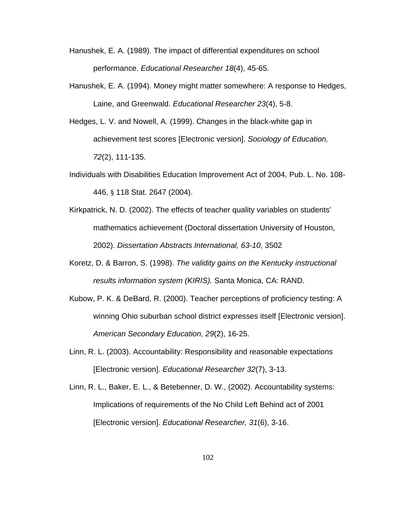- Hanushek, E. A. (1989). The impact of differential expenditures on school performance. *Educational Researcher 18*(4), 45-65.
- Hanushek, E. A. (1994). Money might matter somewhere: A response to Hedges, Laine, and Greenwald. *Educational Researcher 23*(4), 5-8.
- Hedges, L. V. and Nowell, A. (1999). Changes in the black-white gap in achievement test scores [Electronic version]. *Sociology of Education, 72*(2), 111-135.
- Individuals with Disabilities Education Improvement Act of 2004, Pub. L. No. 108- 446, § 118 Stat. 2647 (2004).
- Kirkpatrick, N. D. (2002). The effects of teacher quality variables on students' mathematics achievement (Doctoral dissertation University of Houston, 2002). *Dissertation Abstracts International, 63-10*, 3502
- Koretz, D. & Barron, S. (1998). *The validity gains on the Kentucky instructional results information system (KIRIS).* Santa Monica, CA: RAND.
- Kubow, P. K. & DeBard, R. (2000). Teacher perceptions of proficiency testing: A winning Ohio suburban school district expresses itself [Electronic version]. *American Secondary Education, 29*(2), 16-25.
- Linn, R. L. (2003). Accountability: Responsibility and reasonable expectations [Electronic version]. *Educational Researcher 32*(7), 3-13.
- Linn, R. L., Baker, E. L., & Betebenner, D. W., (2002). Accountability systems: Implications of requirements of the No Child Left Behind act of 2001 [Electronic version]. *Educational Researcher, 31*(6), 3-16.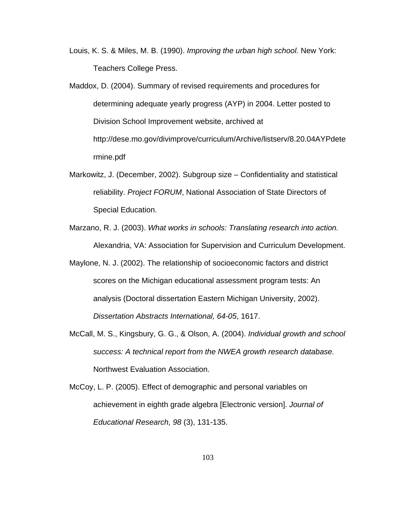- Louis, K. S. & Miles, M. B. (1990). *Improving the urban high school.* New York: Teachers College Press.
- Maddox, D. (2004). Summary of revised requirements and procedures for determining adequate yearly progress (AYP) in 2004. Letter posted to Division School Improvement website, archived at http://dese.mo.gov/divimprove/curriculum/Archive/listserv/8.20.04AYPdete rmine.pdf
- Markowitz, J. (December, 2002). Subgroup size Confidentiality and statistical reliability. *Project FORUM*, National Association of State Directors of Special Education.
- Marzano, R. J. (2003). *What works in schools: Translating research into action.*  Alexandria, VA: Association for Supervision and Curriculum Development.
- Maylone, N. J. (2002). The relationship of socioeconomic factors and district scores on the Michigan educational assessment program tests: An analysis (Doctoral dissertation Eastern Michigan University, 2002). *Dissertation Abstracts International, 64-05*, 1617.
- McCall, M. S., Kingsbury, G. G., & Olson, A. (2004). *Individual growth and school success: A technical report from the NWEA growth research database.*  Northwest Evaluation Association.
- McCoy, L. P. (2005). Effect of demographic and personal variables on achievement in eighth grade algebra [Electronic version]. *Journal of Educational Research, 98* (3), 131-135.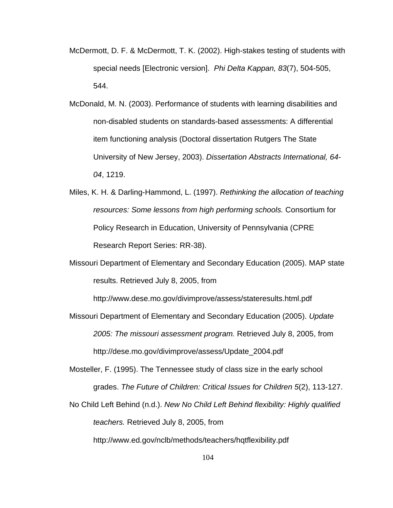- McDermott, D. F. & McDermott, T. K. (2002). High-stakes testing of students with special needs [Electronic version]. *Phi Delta Kappan, 83*(7), 504-505, 544.
- McDonald, M. N. (2003). Performance of students with learning disabilities and non-disabled students on standards-based assessments: A differential item functioning analysis (Doctoral dissertation Rutgers The State University of New Jersey, 2003). *Dissertation Abstracts International, 64- 04*, 1219.
- Miles, K. H. & Darling-Hammond, L. (1997). *Rethinking the allocation of teaching resources: Some lessons from high performing schools.* Consortium for Policy Research in Education, University of Pennsylvania (CPRE Research Report Series: RR-38).
- Missouri Department of Elementary and Secondary Education (2005). MAP state results. Retrieved July 8, 2005, from

http://www.dese.mo.gov/divimprove/assess/stateresults.html.pdf

Missouri Department of Elementary and Secondary Education (2005). *Update 2005: The missouri assessment program.* Retrieved July 8, 2005, from http://dese.mo.gov/divimprove/assess/Update\_2004.pdf

Mosteller, F. (1995). The Tennessee study of class size in the early school grades. *The Future of Children: Critical Issues for Children 5*(2), 113-127.

No Child Left Behind (n.d.). *New No Child Left Behind flexibility: Highly qualified teachers.* Retrieved July 8, 2005, from

http://www.ed.gov/nclb/methods/teachers/hqtflexibility.pdf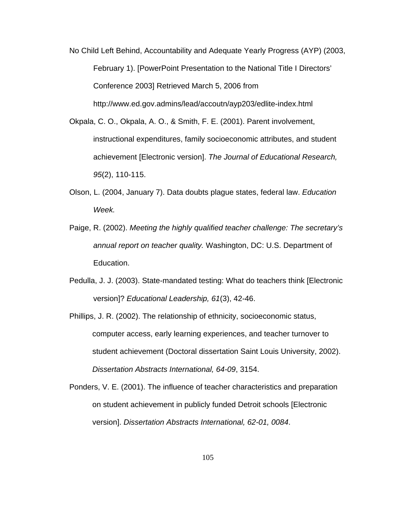- No Child Left Behind, Accountability and Adequate Yearly Progress (AYP) (2003, February 1). [PowerPoint Presentation to the National Title I Directors' Conference 2003] Retrieved March 5, 2006 from http://www.ed.gov.admins/lead/accoutn/ayp203/edlite-index.html
- Okpala, C. O., Okpala, A. O., & Smith, F. E. (2001). Parent involvement, instructional expenditures, family socioeconomic attributes, and student achievement [Electronic version]. *The Journal of Educational Research, 95*(2), 110-115.
- Olson, L. (2004, January 7). Data doubts plague states, federal law. *Education Week.*
- Paige, R. (2002). *Meeting the highly qualified teacher challenge: The secretary's annual report on teacher quality.* Washington, DC: U.S. Department of Education.
- Pedulla, J. J. (2003). State-mandated testing: What do teachers think [Electronic version]? *Educational Leadership, 61*(3), 42-46.
- Phillips, J. R. (2002). The relationship of ethnicity, socioeconomic status, computer access, early learning experiences, and teacher turnover to student achievement (Doctoral dissertation Saint Louis University, 2002). *Dissertation Abstracts International, 64-09*, 3154.
- Ponders, V. E. (2001). The influence of teacher characteristics and preparation on student achievement in publicly funded Detroit schools [Electronic version]. *Dissertation Abstracts International, 62-01, 0084*.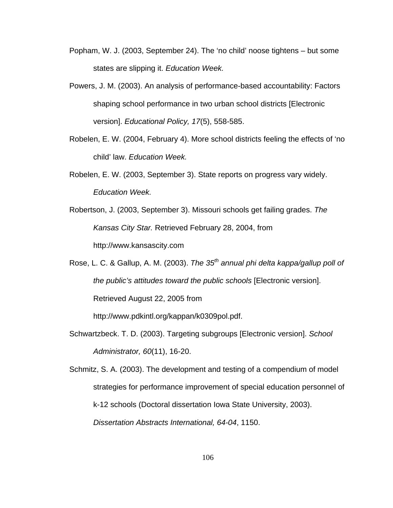- Popham, W. J. (2003, September 24). The 'no child' noose tightens but some states are slipping it. *Education Week.*
- Powers, J. M. (2003). An analysis of performance-based accountability: Factors shaping school performance in two urban school districts [Electronic version]. *Educational Policy, 17*(5), 558-585.
- Robelen, E. W. (2004, February 4). More school districts feeling the effects of 'no child' law. *Education Week.*
- Robelen, E. W. (2003, September 3). State reports on progress vary widely. *Education Week.*
- Robertson, J. (2003, September 3). Missouri schools get failing grades. *The Kansas City Star.* Retrieved February 28, 2004, from

http://www.kansascity.com

Rose, L. C. & Gallup, A. M. (2003). *The 35th annual phi delta kappa/gallup poll of the public's attitudes toward the public schools* [Electronic version]. Retrieved August 22, 2005 from

http://www.pdkintl.org/kappan/k0309pol.pdf.

Schwartzbeck. T. D. (2003). Targeting subgroups [Electronic version]. *School Administrator, 60*(11), 16-20.

Schmitz, S. A. (2003). The development and testing of a compendium of model strategies for performance improvement of special education personnel of k-12 schools (Doctoral dissertation Iowa State University, 2003). *Dissertation Abstracts International, 64-04*, 1150.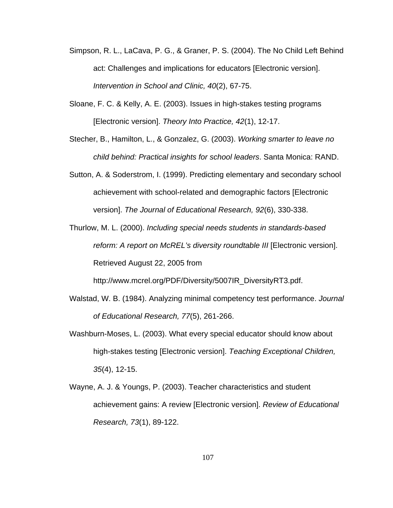- Simpson, R. L., LaCava, P. G., & Graner, P. S. (2004). The No Child Left Behind act: Challenges and implications for educators [Electronic version]. *Intervention in School and Clinic, 40*(2), 67-75.
- Sloane, F. C. & Kelly, A. E. (2003). Issues in high-stakes testing programs [Electronic version]. *Theory Into Practice, 42*(1), 12-17.
- Stecher, B., Hamilton, L., & Gonzalez, G. (2003). *Working smarter to leave no child behind: Practical insights for school leaders*. Santa Monica: RAND.
- Sutton, A. & Soderstrom, I. (1999). Predicting elementary and secondary school achievement with school-related and demographic factors [Electronic version]. *The Journal of Educational Research, 92*(6), 330-338.
- Thurlow, M. L. (2000). *Including special needs students in standards-based reform: A report on McREL's diversity roundtable III* [Electronic version]. Retrieved August 22, 2005 from

http://www.mcrel.org/PDF/Diversity/5007IR\_DiversityRT3.pdf.

- Walstad, W. B. (1984). Analyzing minimal competency test performance. *Journal of Educational Research, 77*(5), 261-266.
- Washburn-Moses, L. (2003). What every special educator should know about high-stakes testing [Electronic version]. *Teaching Exceptional Children, 35*(4), 12-15.
- Wayne, A. J. & Youngs, P. (2003). Teacher characteristics and student achievement gains: A review [Electronic version]. *Review of Educational Research, 73*(1), 89-122.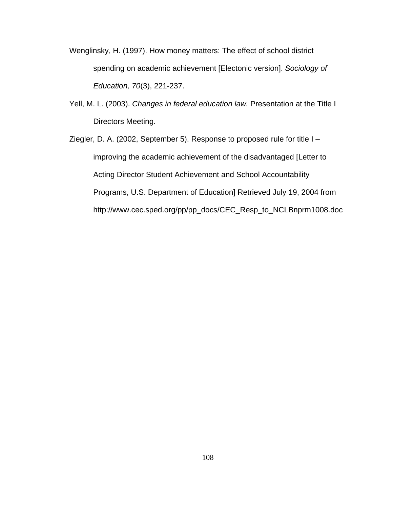- Wenglinsky, H. (1997). How money matters: The effect of school district spending on academic achievement [Electonic version]. *Sociology of Education, 70*(3), 221-237.
- Yell, M. L. (2003). *Changes in federal education law.* Presentation at the Title I Directors Meeting.
- Ziegler, D. A. (2002, September 5). Response to proposed rule for title I improving the academic achievement of the disadvantaged [Letter to Acting Director Student Achievement and School Accountability Programs, U.S. Department of Education] Retrieved July 19, 2004 from http://www.cec.sped.org/pp/pp\_docs/CEC\_Resp\_to\_NCLBnprm1008.doc